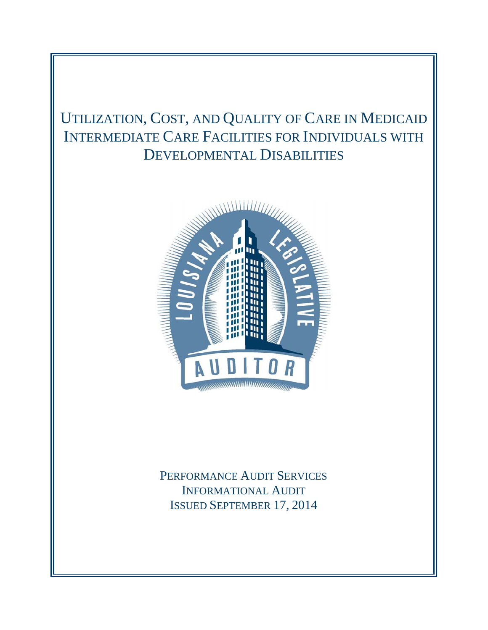# UTILIZATION, COST, AND QUALITY OF CARE IN MEDICAID INTERMEDIATE CARE FACILITIES FOR INDIVIDUALS WITH DEVELOPMENTAL DISABILITIES



PERFORMANCE AUDIT SERVICES INFORMATIONAL AUDIT ISSUED SEPTEMBER 17, 2014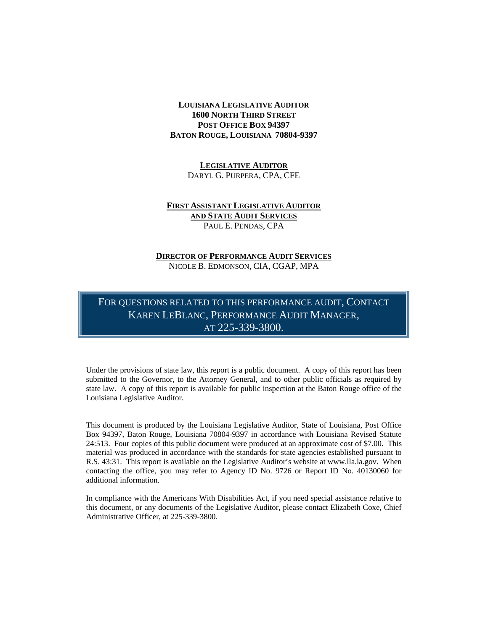### **LOUISIANA LEGISLATIVE AUDITOR 1600 NORTH THIRD STREET POST OFFICE BOX 94397 BATON ROUGE, LOUISIANA 70804-9397**

**LEGISLATIVE AUDITOR** DARYL G. PURPERA, CPA, CFE

### **FIRST ASSISTANT LEGISLATIVE AUDITOR AND STATE AUDIT SERVICES** PAUL E. PENDAS, CPA

### **DIRECTOR OF PERFORMANCE AUDIT SERVICES** NICOLE B. EDMONSON, CIA, CGAP, MPA

FOR QUESTIONS RELATED TO THIS PERFORMANCE AUDIT, CONTACT KAREN LEBLANC, PERFORMANCE AUDIT MANAGER, AT 225-339-3800.

Under the provisions of state law, this report is a public document. A copy of this report has been submitted to the Governor, to the Attorney General, and to other public officials as required by state law. A copy of this report is available for public inspection at the Baton Rouge office of the Louisiana Legislative Auditor.

This document is produced by the Louisiana Legislative Auditor, State of Louisiana, Post Office Box 94397, Baton Rouge, Louisiana 70804-9397 in accordance with Louisiana Revised Statute 24:513. Four copies of this public document were produced at an approximate cost of \$7.00. This material was produced in accordance with the standards for state agencies established pursuant to R.S. 43:31. This report is available on the Legislative Auditor's website at www.lla.la.gov. When contacting the office, you may refer to Agency ID No. 9726 or Report ID No. 40130060 for additional information.

In compliance with the Americans With Disabilities Act, if you need special assistance relative to this document, or any documents of the Legislative Auditor, please contact Elizabeth Coxe, Chief Administrative Officer, at 225-339-3800.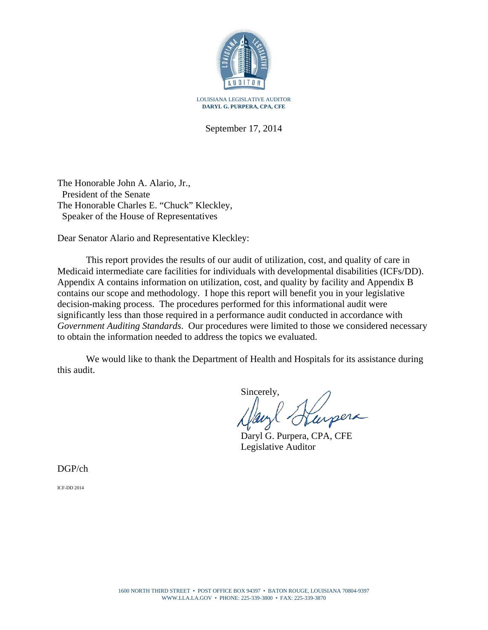

September 17, 2014

The Honorable John A. Alario, Jr., President of the Senate The Honorable Charles E. "Chuck" Kleckley, Speaker of the House of Representatives

Dear Senator Alario and Representative Kleckley:

This report provides the results of our audit of utilization, cost, and quality of care in Medicaid intermediate care facilities for individuals with developmental disabilities (ICFs/DD). Appendix A contains information on utilization, cost, and quality by facility and Appendix B contains our scope and methodology. I hope this report will benefit you in your legislative decision-making process. The procedures performed for this informational audit were significantly less than those required in a performance audit conducted in accordance with *Government Auditing Standards*. Our procedures were limited to those we considered necessary to obtain the information needed to address the topics we evaluated.

We would like to thank the Department of Health and Hospitals for its assistance during this audit.

Sincerely,

Daryl G. Purpera, CPA, CFE Legislative Auditor

DGP/ch

ICF-DD 2014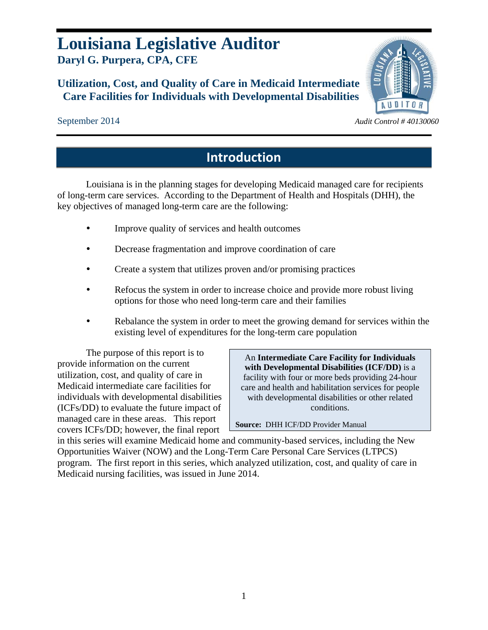# **Louisiana Legislative Auditor Daryl G. Purpera, CPA, CFE**

## **Utilization, Cost, and Quality of Care in Medicaid Intermediate Care Facilities for Individuals with Developmental Disabilities**

# **AUDITOR**

September 2014 *Audit Control # 40130060* 

# **Introduction**

Louisiana is in the planning stages for developing Medicaid managed care for recipients of long-term care services. According to the Department of Health and Hospitals (DHH), the key objectives of managed long-term care are the following:

- Improve quality of services and health outcomes
- Decrease fragmentation and improve coordination of care
- Create a system that utilizes proven and/or promising practices
- Refocus the system in order to increase choice and provide more robust living options for those who need long-term care and their families
- Rebalance the system in order to meet the growing demand for services within the existing level of expenditures for the long-term care population

The purpose of this report is to provide information on the current utilization, cost, and quality of care in Medicaid intermediate care facilities for individuals with developmental disabilities (ICFs/DD) to evaluate the future impact of managed care in these areas. This report covers ICFs/DD; however, the final report

An **Intermediate Care Facility for Individuals with Developmental Disabilities (ICF/DD)** is a facility with four or more beds providing 24-hour care and health and habilitation services for people with developmental disabilities or other related conditions.

**Source:** DHH ICF/DD Provider Manual

in this series will examine Medicaid home and community-based services, including the New Opportunities Waiver (NOW) and the Long-Term Care Personal Care Services (LTPCS) program. The first report in this series, which analyzed utilization, cost, and quality of care in Medicaid nursing facilities, was issued in June 2014.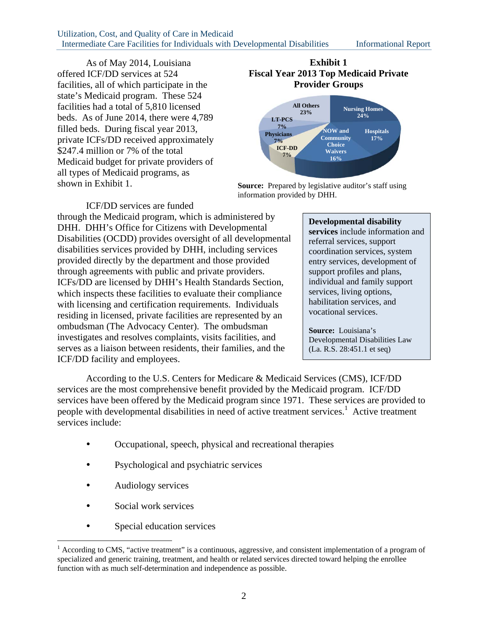### Utilization, Cost, and Quality of Care in Medicaid Intermediate Care Facilities for Individuals with Developmental Disabilities Informational Report

As of May 2014, Louisiana offered ICF/DD services at 524 facilities, all of which participate in the state's Medicaid program. These 524 facilities had a total of 5,810 licensed beds. As of June 2014, there were 4,789 filled beds. During fiscal year 2013, private ICFs/DD received approximately \$247.4 million or 7% of the total Medicaid budget for private providers of all types of Medicaid programs, as shown in Exhibit 1.

### **Exhibit 1 Fiscal Year 2013 Top Medicaid Private Provider Groups**



**Source:** Prepared by legislative auditor's staff using information provided by DHH.

### ICF/DD services are funded

through the Medicaid program, which is administered by DHH. DHH's Office for Citizens with Developmental Disabilities (OCDD) provides oversight of all developmental disabilities services provided by DHH, including services provided directly by the department and those provided through agreements with public and private providers. ICFs/DD are licensed by DHH's Health Standards Section, which inspects these facilities to evaluate their compliance with licensing and certification requirements. Individuals residing in licensed, private facilities are represented by an ombudsman (The Advocacy Center). The ombudsman investigates and resolves complaints, visits facilities, and serves as a liaison between residents, their families, and the ICF/DD facility and employees.

### **Developmental disability**

**services** include information and referral services, support coordination services, system entry services, development of support profiles and plans, individual and family support services, living options, habilitation services, and vocational services.

**Source:** Louisiana's Developmental Disabilities Law (La. R.S. 28:451.1 et seq)

According to the U.S. Centers for Medicare & Medicaid Services (CMS), ICF/DD services are the most comprehensive benefit provided by the Medicaid program. ICF/DD services have been offered by the Medicaid program since 1971. These services are provided to people with developmental disabilities in need of active treatment services.<sup>1</sup> Active treatment services include:

- Occupational, speech, physical and recreational therapies
- Psychological and psychiatric services
- Audiology services
- Social work services

1

• Special education services

 $<sup>1</sup>$  According to CMS, "active treatment" is a continuous, aggressive, and consistent implementation of a program of</sup> specialized and generic training, treatment, and health or related services directed toward helping the enrollee function with as much self-determination and independence as possible.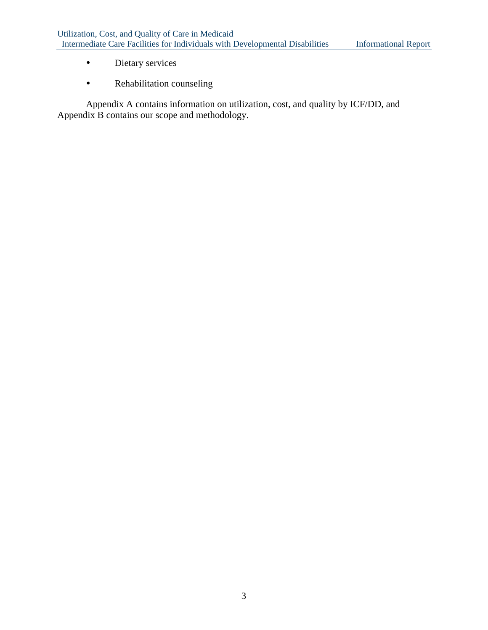- Dietary services
- Rehabilitation counseling

Appendix A contains information on utilization, cost, and quality by ICF/DD, and Appendix B contains our scope and methodology.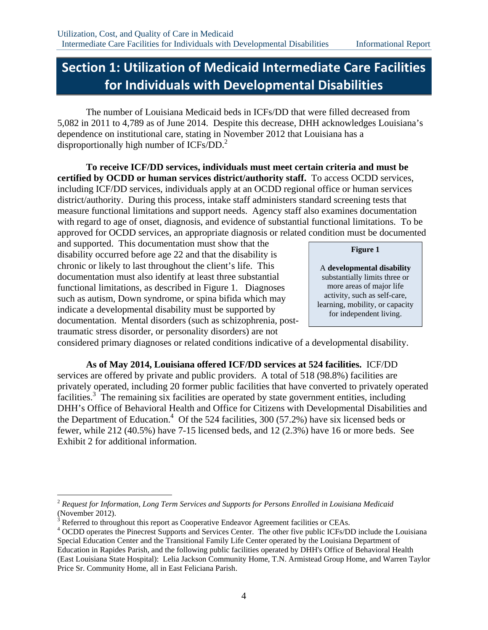# **Section 1: Utilization of Medicaid Intermediate Care Facilities for Individuals with Developmental Disabilities**

The number of Louisiana Medicaid beds in ICFs/DD that were filled decreased from 5,082 in 2011 to 4,789 as of June 2014. Despite this decrease, DHH acknowledges Louisiana's dependence on institutional care, stating in November 2012 that Louisiana has a disproportionally high number of ICFs/DD.<sup>2</sup>

**To receive ICF/DD services, individuals must meet certain criteria and must be certified by OCDD or human services district/authority staff.** To access OCDD services, including ICF/DD services, individuals apply at an OCDD regional office or human services district/authority. During this process, intake staff administers standard screening tests that measure functional limitations and support needs. Agency staff also examines documentation with regard to age of onset, diagnosis, and evidence of substantial functional limitations. To be approved for OCDD services, an appropriate diagnosis or related condition must be documented

and supported. This documentation must show that the disability occurred before age 22 and that the disability is chronic or likely to last throughout the client's life. This documentation must also identify at least three substantial functional limitations, as described in Figure 1. Diagnoses such as autism, Down syndrome, or spina bifida which may indicate a developmental disability must be supported by documentation. Mental disorders (such as schizophrenia, posttraumatic stress disorder, or personality disorders) are not

### **Figure 1**

A **developmental disability** substantially limits three or more areas of major life activity, such as self-care, learning, mobility, or capacity for independent living.

considered primary diagnoses or related conditions indicative of a developmental disability.

**As of May 2014, Louisiana offered ICF/DD services at 524 facilities.** ICF/DD services are offered by private and public providers. A total of 518 (98.8%) facilities are privately operated, including 20 former public facilities that have converted to privately operated facilities.<sup>3</sup> The remaining six facilities are operated by state government entities, including DHH's Office of Behavioral Health and Office for Citizens with Developmental Disabilities and the Department of Education.<sup>4</sup> Of the 524 facilities, 300 (57.2%) have six licensed beds or fewer, while 212 (40.5%) have 7-15 licensed beds, and 12 (2.3%) have 16 or more beds. See Exhibit 2 for additional information.

 $\overline{a}$ 

<sup>2</sup> *Request for Information, Long Term Services and Supports for Persons Enrolled in Louisiana Medicaid*  (November 2012).

<sup>&</sup>lt;sup>3</sup> Referred to throughout this report as Cooperative Endeavor Agreement facilities or CEAs.<br><sup>4</sup> OCDD operates the Pinearest Supports and Services Center. The other five public ICEs/DI

OCDD operates the Pinecrest Supports and Services Center. The other five public ICFs/DD include the Louisiana Special Education Center and the Transitional Family Life Center operated by the Louisiana Department of Education in Rapides Parish, and the following public facilities operated by DHH's Office of Behavioral Health (East Louisiana State Hospital): Lelia Jackson Community Home, T.N. Armistead Group Home, and Warren Taylor Price Sr. Community Home, all in East Feliciana Parish.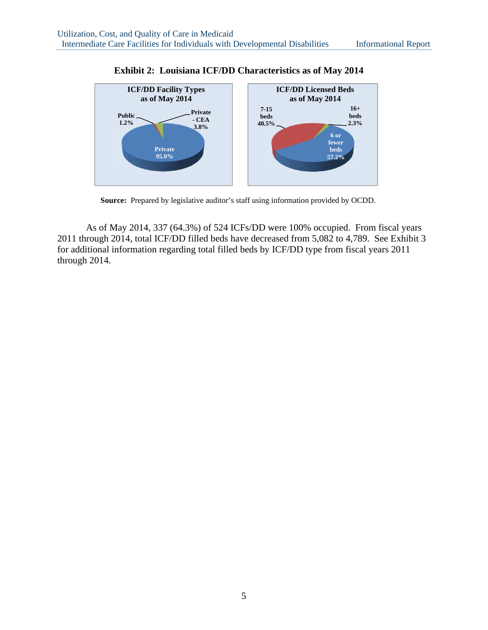

**Exhibit 2: Louisiana ICF/DD Characteristics as of May 2014** 

**Source:** Prepared by legislative auditor's staff using information provided by OCDD.

As of May 2014, 337 (64.3%) of 524 ICFs/DD were 100% occupied. From fiscal years 2011 through 2014, total ICF/DD filled beds have decreased from 5,082 to 4,789. See Exhibit 3 for additional information regarding total filled beds by ICF/DD type from fiscal years 2011 through 2014.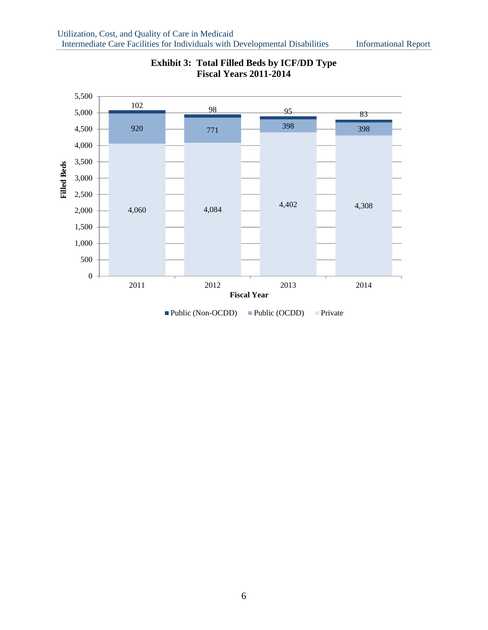

### **Exhibit 3: Total Filled Beds by ICF/DD Type Fiscal Years 2011-2014**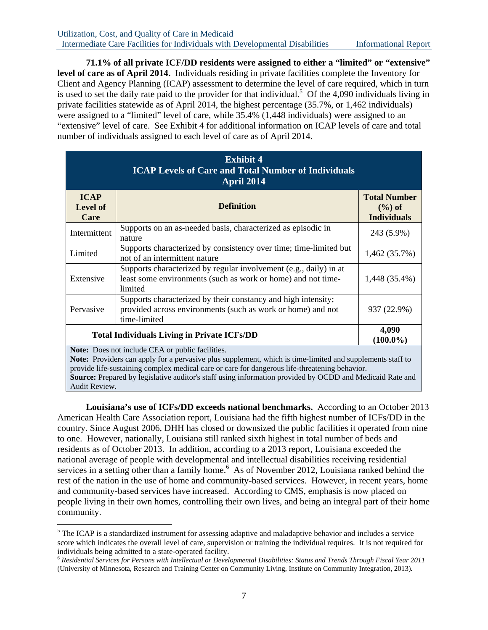**71.1% of all private ICF/DD residents were assigned to either a "limited" or "extensive" level of care as of April 2014.** Individuals residing in private facilities complete the Inventory for Client and Agency Planning (ICAP) assessment to determine the level of care required, which in turn is used to set the daily rate paid to the provider for that individual.<sup>5</sup> Of the 4,090 individuals living in private facilities statewide as of April 2014, the highest percentage (35.7%, or 1,462 individuals) were assigned to a "limited" level of care, while 35.4% (1,448 individuals) were assigned to an "extensive" level of care. See Exhibit 4 for additional information on ICAP levels of care and total number of individuals assigned to each level of care as of April 2014.

|                                        | <b>Exhibit 4</b><br><b>ICAP Levels of Care and Total Number of Individuals</b><br>April 2014                                                                  |                                                        |  |  |  |  |  |
|----------------------------------------|---------------------------------------------------------------------------------------------------------------------------------------------------------------|--------------------------------------------------------|--|--|--|--|--|
| <b>ICAP</b><br><b>Level of</b><br>Care | <b>Definition</b>                                                                                                                                             | <b>Total Number</b><br>$(\%)$ of<br><b>Individuals</b> |  |  |  |  |  |
| Intermittent                           | Supports on an as-needed basis, characterized as episodic in<br>nature                                                                                        | 243 (5.9%)                                             |  |  |  |  |  |
| Limited                                | Supports characterized by consistency over time; time-limited but<br>not of an intermittent nature                                                            | 1,462 (35.7%)                                          |  |  |  |  |  |
| Extensive                              | Supports characterized by regular involvement (e.g., daily) in at<br>least some environments (such as work or home) and not time-<br>limited                  | 1,448 (35.4%)                                          |  |  |  |  |  |
| Pervasive                              | Supports characterized by their constancy and high intensity;<br>provided across environments (such as work or home) and not<br>time-limited                  | 937 (22.9%)                                            |  |  |  |  |  |
|                                        | 4,090<br><b>Total Individuals Living in Private ICFs/DD</b><br>$(100.0\%)$                                                                                    |                                                        |  |  |  |  |  |
|                                        | Note: Does not include CEA or public facilities.<br>Note: Providers can apply for a pervasive plus supplement, which is time-limited and supplements staff to |                                                        |  |  |  |  |  |

provide life-sustaining complex medical care or care for dangerous life-threatening behavior.

**Source:** Prepared by legislative auditor's staff using information provided by OCDD and Medicaid Rate and Audit Review.

**Louisiana's use of ICFs/DD exceeds national benchmarks.** According to an October 2013 American Health Care Association report, Louisiana had the fifth highest number of ICFs/DD in the country. Since August 2006, DHH has closed or downsized the public facilities it operated from nine to one. However, nationally, Louisiana still ranked sixth highest in total number of beds and residents as of October 2013. In addition, according to a 2013 report, Louisiana exceeded the national average of people with developmental and intellectual disabilities receiving residential services in a setting other than a family home.<sup>6</sup> As of November 2012, Louisiana ranked behind the rest of the nation in the use of home and community-based services. However, in recent years, home and community-based services have increased. According to CMS, emphasis is now placed on people living in their own homes, controlling their own lives, and being an integral part of their home community.

 $\overline{a}$ 

<sup>&</sup>lt;sup>5</sup> The ICAP is a standardized instrument for assessing adaptive and maladaptive behavior and includes a service score which indicates the overall level of care, supervision or training the individual requires. It is not required for individuals being admitted to a state-operated facility.

<sup>6</sup> *Residential Services for Persons with Intellectual or Developmental Disabilities: Status and Trends Through Fiscal Year 2011* (University of Minnesota, Research and Training Center on Community Living, Institute on Community Integration, 2013)*.*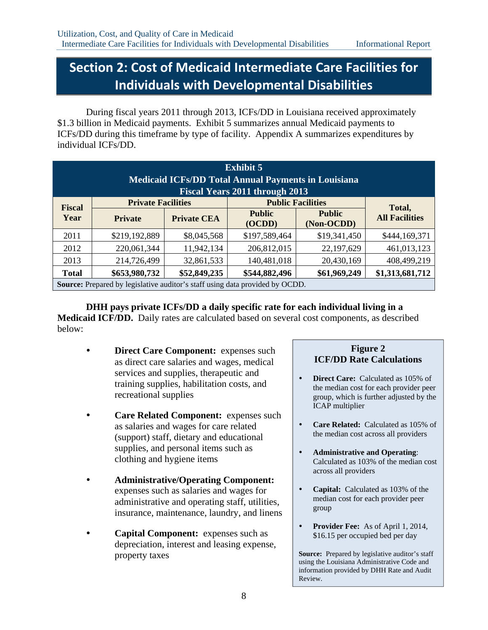# **Section 2: Cost of Medicaid Intermediate Care Facilities for Individuals with Developmental Disabilities**

During fiscal years 2011 through 2013, ICFs/DD in Louisiana received approximately \$1.3 billion in Medicaid payments. Exhibit 5 summarizes annual Medicaid payments to ICFs/DD during this timeframe by type of facility. Appendix A summarizes expenditures by individual ICFs/DD.

| <b>Exhibit 5</b><br><b>Medicaid ICFs/DD Total Annual Payments in Louisiana</b><br><b>Fiscal Years 2011 through 2013</b> |                                                                              |                    |                         |                             |                       |  |  |  |  |
|-------------------------------------------------------------------------------------------------------------------------|------------------------------------------------------------------------------|--------------------|-------------------------|-----------------------------|-----------------------|--|--|--|--|
| <b>Fiscal</b>                                                                                                           | <b>Private Facilities</b>                                                    |                    |                         | <b>Public Facilities</b>    | Total,                |  |  |  |  |
| Year                                                                                                                    | <b>Private</b>                                                               | <b>Private CEA</b> | <b>Public</b><br>(OCDD) | <b>Public</b><br>(Non-OCDD) | <b>All Facilities</b> |  |  |  |  |
| 2011                                                                                                                    | \$219,192,889                                                                | \$8,045,568        | \$197,589,464           | \$19,341,450                | \$444,169,371         |  |  |  |  |
| 2012                                                                                                                    | 220,061,344                                                                  | 11,942,134         | 206,812,015             | 22,197,629                  | 461,013,123           |  |  |  |  |
| 2013                                                                                                                    | 214,726,499                                                                  | 32,861,533         | 140,481,018             | 20,430,169                  | 408,499,219           |  |  |  |  |
| <b>Total</b>                                                                                                            | \$653,980,732                                                                | \$52,849,235       | \$544,882,496           | \$61,969,249                | \$1,313,681,712       |  |  |  |  |
|                                                                                                                         | Source: Prepared by legislative auditor's staff using data provided by OCDD. |                    |                         |                             |                       |  |  |  |  |

**DHH pays private ICFs/DD a daily specific rate for each individual living in a Medicaid ICF/DD.** Daily rates are calculated based on several cost components, as described below:

- **Direct Care Component:** expenses such as direct care salaries and wages, medical services and supplies, therapeutic and training supplies, habilitation costs, and recreational supplies
- **Care Related Component:** expenses such as salaries and wages for care related (support) staff, dietary and educational supplies, and personal items such as clothing and hygiene items
- **Administrative/Operating Component:**  expenses such as salaries and wages for administrative and operating staff, utilities, insurance, maintenance, laundry, and linens
- **Capital Component:** expenses such as depreciation, interest and leasing expense, property taxes

### **Figure 2 ICF/DD Rate Calculations**

- **Direct Care:** Calculated as 105% of the median cost for each provider peer group, which is further adjusted by the ICAP multiplier
- **Care Related:** Calculated as 105% of the median cost across all providers
- **Administrative and Operating**: Calculated as 103% of the median cost across all providers
- **Capital:** Calculated as 103% of the median cost for each provider peer group
- **Provider Fee:** As of April 1, 2014, \$16.15 per occupied bed per day

**Source:** Prepared by legislative auditor's staff using the Louisiana Administrative Code and information provided by DHH Rate and Audit Review.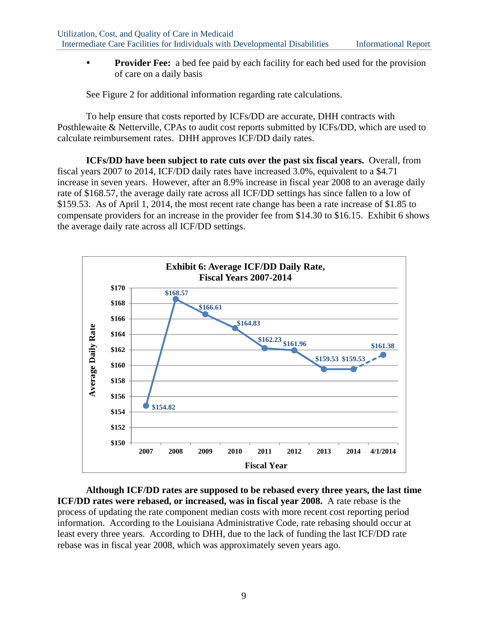**Provider Fee:** a bed fee paid by each facility for each bed used for the provision of care on a daily basis

See Figure 2 for additional information regarding rate calculations.

To help ensure that costs reported by ICFs/DD are accurate, DHH contracts with Posthlewaite & Netterville, CPAs to audit cost reports submitted by ICFs/DD, which are used to calculate reimbursement rates. DHH approves ICF/DD daily rates.

**ICFs/DD have been subject to rate cuts over the past six fiscal years.** Overall, from fiscal years 2007 to 2014, ICF/DD daily rates have increased 3.0%, equivalent to a \$4.71 increase in seven years. However, after an 8.9% increase in fiscal year 2008 to an average daily rate of \$168.57, the average daily rate across all ICF/DD settings has since fallen to a low of \$159.53. As of April 1, 2014, the most recent rate change has been a rate increase of \$1.85 to compensate providers for an increase in the provider fee from \$14.30 to \$16.15. Exhibit 6 shows the average daily rate across all ICF/DD settings.



**Although ICF/DD rates are supposed to be rebased every three years, the last time ICF/DD rates were rebased, or increased, was in fiscal year 2008.** A rate rebase is the process of updating the rate component median costs with more recent cost reporting period information. According to the Louisiana Administrative Code, rate rebasing should occur at least every three years. According to DHH, due to the lack of funding the last ICF/DD rate rebase was in fiscal year 2008, which was approximately seven years ago.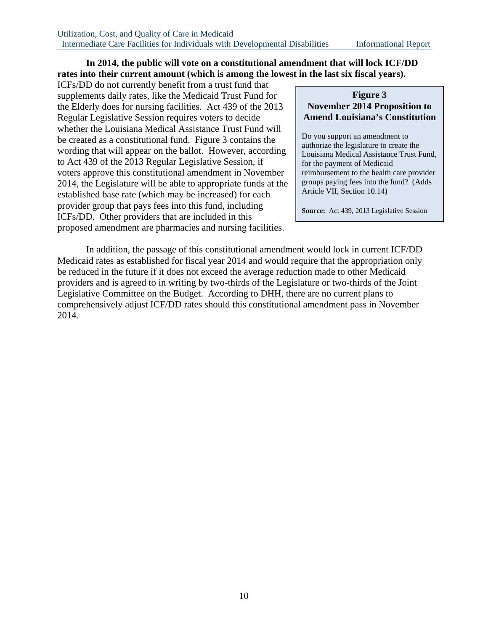### **In 2014, the public will vote on a constitutional amendment that will lock ICF/DD rates into their current amount (which is among the lowest in the last six fiscal years).**

ICFs/DD do not currently benefit from a trust fund that supplements daily rates, like the Medicaid Trust Fund for the Elderly does for nursing facilities. Act 439 of the 2013 Regular Legislative Session requires voters to decide whether the Louisiana Medical Assistance Trust Fund will be created as a constitutional fund. Figure 3 contains the wording that will appear on the ballot. However, according to Act 439 of the 2013 Regular Legislative Session, if voters approve this constitutional amendment in November 2014, the Legislature will be able to appropriate funds at the established base rate (which may be increased) for each provider group that pays fees into this fund, including ICFs/DD. Other providers that are included in this proposed amendment are pharmacies and nursing facilities.

### **Figure 3 November 2014 Proposition to Amend Louisiana's Constitution**

Do you support an amendment to authorize the legislature to create the Louisiana Medical Assistance Trust Fund, for the payment of Medicaid reimbursement to the health care provider groups paying fees into the fund? (Adds Article VII, Section 10.14)

**Source:** Act 439, 2013 Legislative Session

In addition, the passage of this constitutional amendment would lock in current ICF/DD Medicaid rates as established for fiscal year 2014 and would require that the appropriation only be reduced in the future if it does not exceed the average reduction made to other Medicaid providers and is agreed to in writing by two-thirds of the Legislature or two-thirds of the Joint Legislative Committee on the Budget. According to DHH, there are no current plans to comprehensively adjust ICF/DD rates should this constitutional amendment pass in November 2014.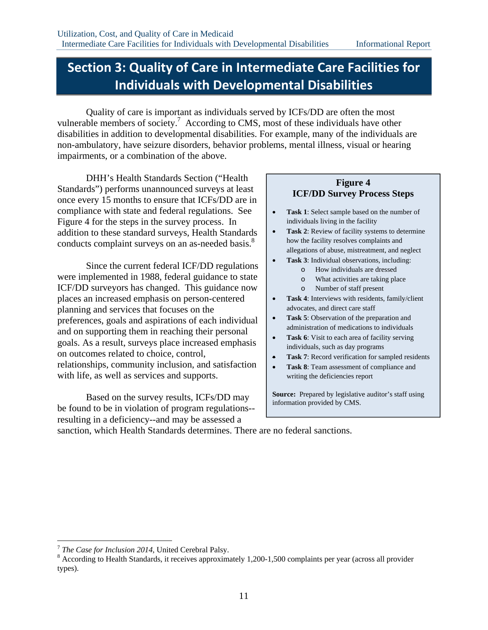# **Section 3: Quality of Care in Intermediate Care Facilities for Individuals with Developmental Disabilities**

Quality of care is important as individuals served by ICFs/DD are often the most vulnerable members of society.<sup>7</sup> According to CMS, most of these individuals have other disabilities in addition to developmental disabilities. For example, many of the individuals are non-ambulatory, have seizure disorders, behavior problems, mental illness, visual or hearing impairments, or a combination of the above.

DHH's Health Standards Section ("Health Standards") performs unannounced surveys at least once every 15 months to ensure that ICFs/DD are in compliance with state and federal regulations. See Figure 4 for the steps in the survey process. In addition to these standard surveys, Health Standards conducts complaint surveys on an as-needed basis.<sup>8</sup>

Since the current federal ICF/DD regulations were implemented in 1988, federal guidance to state ICF/DD surveyors has changed. This guidance now places an increased emphasis on person-centered planning and services that focuses on the preferences, goals and aspirations of each individual and on supporting them in reaching their personal goals. As a result, surveys place increased emphasis on outcomes related to choice, control, relationships, community inclusion, and satisfaction with life, as well as services and supports.

 Based on the survey results, ICFs/DD may be found to be in violation of program regulations- resulting in a deficiency--and may be assessed a

### **Figure 4 ICF/DD Survey Process Steps**

- **Task 1**: Select sample based on the number of individuals living in the facility
- **Task 2:** Review of facility systems to determine how the facility resolves complaints and allegations of abuse, mistreatment, and neglect
	- **Task 3**: Individual observations, including:
		- o How individuals are dressed
		- o What activities are taking place
		- o Number of staff present
- **Task 4**: Interviews with residents, family/client advocates, and direct care staff
- **Task 5**: Observation of the preparation and administration of medications to individuals
- Task 6: Visit to each area of facility serving individuals, such as day programs
- **Task 7**: Record verification for sampled residents
- **Task 8:** Team assessment of compliance and writing the deficiencies report

**Source:** Prepared by legislative auditor's staff using information provided by CMS.

sanction, which Health Standards determines. There are no federal sanctions.

 $\overline{a}$ 

<sup>7</sup> *The Case for Inclusion 2014*, United Cerebral Palsy. 8

<sup>&</sup>lt;sup>8</sup> According to Health Standards, it receives approximately 1,200-1,500 complaints per year (across all provider types).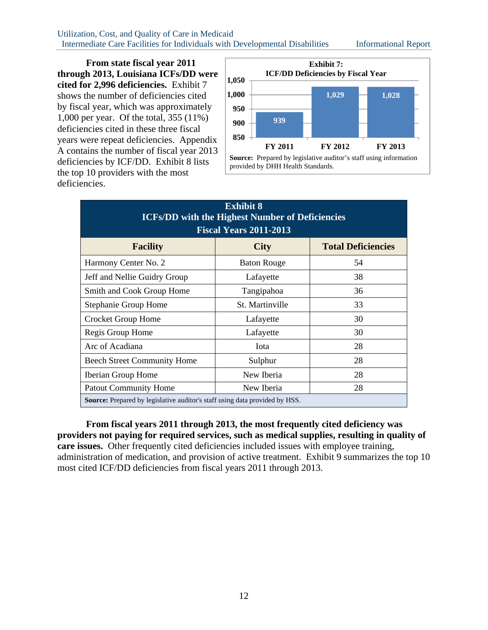Utilization, Cost, and Quality of Care in Medicaid Intermediate Care Facilities for Individuals with Developmental Disabilities Informational Report

**From state fiscal year 2011 through 2013, Louisiana ICFs/DD were cited for 2,996 deficiencies.** Exhibit 7 shows the number of deficiencies cited by fiscal year, which was approximately 1,000 per year. Of the total, 355 (11%) deficiencies cited in these three fiscal years were repeat deficiencies. Appendix A contains the number of fiscal year 2013 deficiencies by ICF/DD. Exhibit 8 lists the top 10 providers with the most deficiencies.



| <b>Exhibit 8</b><br><b>ICFs/DD with the Highest Number of Deficiencies</b><br><b>Fiscal Years 2011-2013</b> |                    |                           |  |  |  |  |  |  |
|-------------------------------------------------------------------------------------------------------------|--------------------|---------------------------|--|--|--|--|--|--|
| <b>Facility</b>                                                                                             | <b>City</b>        | <b>Total Deficiencies</b> |  |  |  |  |  |  |
| Harmony Center No. 2                                                                                        | <b>Baton Rouge</b> | 54                        |  |  |  |  |  |  |
| Jeff and Nellie Guidry Group                                                                                | Lafayette          | 38                        |  |  |  |  |  |  |
| Smith and Cook Group Home                                                                                   | Tangipahoa         | 36                        |  |  |  |  |  |  |
| Stephanie Group Home                                                                                        | St. Martinville    | 33                        |  |  |  |  |  |  |
| Crocket Group Home                                                                                          | Lafayette          | 30                        |  |  |  |  |  |  |
| Regis Group Home                                                                                            | Lafayette          | 30                        |  |  |  |  |  |  |
| Arc of Acadiana                                                                                             | Iota               | 28                        |  |  |  |  |  |  |
| <b>Beech Street Community Home</b>                                                                          | Sulphur            | 28                        |  |  |  |  |  |  |
| Iberian Group Home                                                                                          | New Iberia         | 28                        |  |  |  |  |  |  |
| <b>Patout Community Home</b>                                                                                | New Iberia<br>28   |                           |  |  |  |  |  |  |
| <b>Source:</b> Prepared by legislative auditor's staff using data provided by HSS.                          |                    |                           |  |  |  |  |  |  |

**From fiscal years 2011 through 2013, the most frequently cited deficiency was providers not paying for required services, such as medical supplies, resulting in quality of care issues.** Other frequently cited deficiencies included issues with employee training, administration of medication, and provision of active treatment. Exhibit 9 summarizes the top 10 most cited ICF/DD deficiencies from fiscal years 2011 through 2013.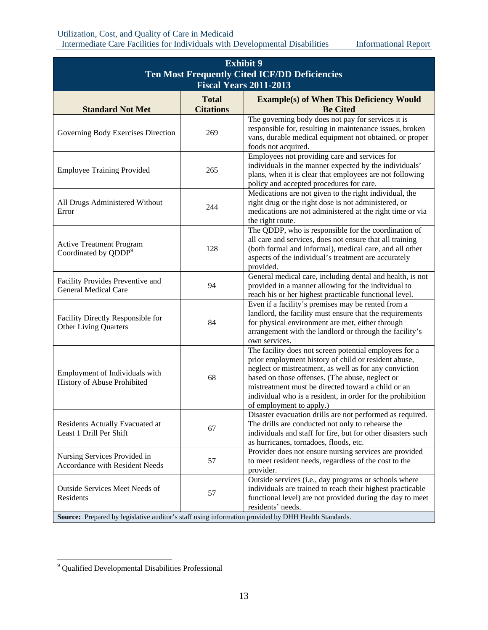|                                                                                                     |                  | <b>Exhibit 9</b><br><b>Ten Most Frequently Cited ICF/DD Deficiencies</b>                                                                                                                                                                                                                                                                                                    |  |  |  |  |  |  |  |
|-----------------------------------------------------------------------------------------------------|------------------|-----------------------------------------------------------------------------------------------------------------------------------------------------------------------------------------------------------------------------------------------------------------------------------------------------------------------------------------------------------------------------|--|--|--|--|--|--|--|
| <b>Fiscal Years 2011-2013</b><br><b>Total</b><br><b>Example(s) of When This Deficiency Would</b>    |                  |                                                                                                                                                                                                                                                                                                                                                                             |  |  |  |  |  |  |  |
| <b>Standard Not Met</b>                                                                             | <b>Citations</b> | <b>Be Cited</b>                                                                                                                                                                                                                                                                                                                                                             |  |  |  |  |  |  |  |
| Governing Body Exercises Direction                                                                  | 269              | The governing body does not pay for services it is<br>responsible for, resulting in maintenance issues, broken<br>vans, durable medical equipment not obtained, or proper<br>foods not acquired.                                                                                                                                                                            |  |  |  |  |  |  |  |
| <b>Employee Training Provided</b>                                                                   | 265              | Employees not providing care and services for<br>individuals in the manner expected by the individuals'<br>plans, when it is clear that employees are not following<br>policy and accepted procedures for care.                                                                                                                                                             |  |  |  |  |  |  |  |
| All Drugs Administered Without<br>Error                                                             | 244              | Medications are not given to the right individual, the<br>right drug or the right dose is not administered, or<br>medications are not administered at the right time or via<br>the right route.                                                                                                                                                                             |  |  |  |  |  |  |  |
| <b>Active Treatment Program</b><br>Coordinated by QDDP <sup>9</sup>                                 | 128              | The QDDP, who is responsible for the coordination of<br>all care and services, does not ensure that all training<br>(both formal and informal), medical care, and all other<br>aspects of the individual's treatment are accurately<br>provided.                                                                                                                            |  |  |  |  |  |  |  |
| Facility Provides Preventive and<br><b>General Medical Care</b>                                     | 94               | General medical care, including dental and health, is not<br>provided in a manner allowing for the individual to<br>reach his or her highest practicable functional level.                                                                                                                                                                                                  |  |  |  |  |  |  |  |
| Facility Directly Responsible for<br><b>Other Living Quarters</b>                                   | 84               | Even if a facility's premises may be rented from a<br>landlord, the facility must ensure that the requirements<br>for physical environment are met, either through<br>arrangement with the landlord or through the facility's<br>own services.                                                                                                                              |  |  |  |  |  |  |  |
| Employment of Individuals with<br>History of Abuse Prohibited                                       | 68               | The facility does not screen potential employees for a<br>prior employment history of child or resident abuse,<br>neglect or mistreatment, as well as for any conviction<br>based on those offenses. (The abuse, neglect or<br>mistreatment must be directed toward a child or an<br>individual who is a resident, in order for the prohibition<br>of employment to apply.) |  |  |  |  |  |  |  |
| Residents Actually Evacuated at<br>Least 1 Drill Per Shift                                          | 67               | Disaster evacuation drills are not performed as required.<br>The drills are conducted not only to rehearse the<br>individuals and staff for fire, but for other disasters such<br>as hurricanes, tornadoes, floods, etc.                                                                                                                                                    |  |  |  |  |  |  |  |
| Nursing Services Provided in<br><b>Accordance with Resident Needs</b>                               | 57               | Provider does not ensure nursing services are provided<br>to meet resident needs, regardless of the cost to the<br>provider.                                                                                                                                                                                                                                                |  |  |  |  |  |  |  |
| Outside Services Meet Needs of<br>Residents                                                         | 57               | Outside services (i.e., day programs or schools where<br>individuals are trained to reach their highest practicable<br>functional level) are not provided during the day to meet<br>residents' needs.                                                                                                                                                                       |  |  |  |  |  |  |  |
| Source: Prepared by legislative auditor's staff using information provided by DHH Health Standards. |                  |                                                                                                                                                                                                                                                                                                                                                                             |  |  |  |  |  |  |  |

 9 Qualified Developmental Disabilities Professional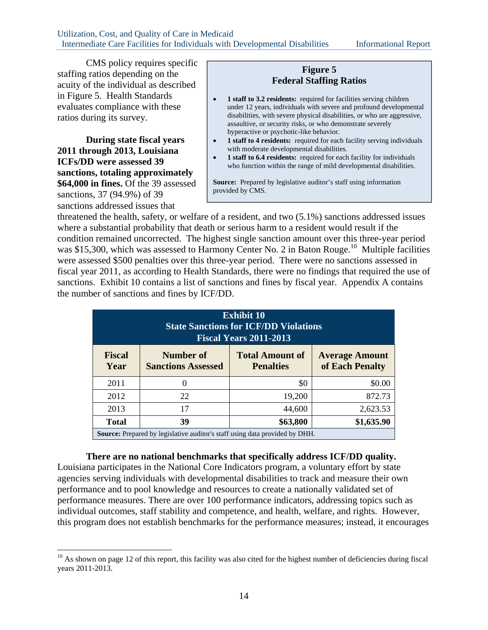CMS policy requires specific staffing ratios depending on the acuity of the individual as described in Figure 5. Health Standards evaluates compliance with these ratios during its survey.

**During state fiscal years 2011 through 2013, Louisiana ICFs/DD were assessed 39 sanctions, totaling approximately \$64,000 in fines.** Of the 39 assessed sanctions, 37 (94.9%) of 39 sanctions addressed issues that

1

### **Figure 5 Federal Staffing Ratios**

- **1 staff to 3.2 residents:** required for facilities serving children under 12 years, individuals with severe and profound developmental disabilities, with severe physical disabilities, or who are aggressive, assaultive, or security risks, or who demonstrate severely hyperactive or psychotic-like behavior.
- **1 staff to 4 residents:** required for each facility serving individuals with moderate developmental disabilities.
- **1 staff to 6.4 residents:** required for each facility for individuals who function within the range of mild developmental disabilities.

**Source:** Prepared by legislative auditor's staff using information provided by CMS.

threatened the health, safety, or welfare of a resident, and two (5.1%) sanctions addressed issues where a substantial probability that death or serious harm to a resident would result if the condition remained uncorrected. The highest single sanction amount over this three-year period was \$15,300, which was assessed to Harmony Center No. 2 in Baton Rouge.<sup>10</sup> Multiple facilities were assessed \$500 penalties over this three-year period. There were no sanctions assessed in fiscal year 2011, as according to Health Standards, there were no findings that required the use of sanctions. Exhibit 10 contains a list of sanctions and fines by fiscal year. Appendix A contains the number of sanctions and fines by ICF/DD.

| <b>Exhibit 10</b><br><b>State Sanctions for ICF/DD Violations</b><br><b>Fiscal Years 2011-2013</b>                                                        |                                                                                    |        |          |  |  |  |  |  |  |  |
|-----------------------------------------------------------------------------------------------------------------------------------------------------------|------------------------------------------------------------------------------------|--------|----------|--|--|--|--|--|--|--|
| <b>Fiscal</b><br><b>Total Amount of</b><br>Number of<br><b>Average Amount</b><br>of Each Penalty<br><b>Sanctions Assessed</b><br>Year<br><b>Penalties</b> |                                                                                    |        |          |  |  |  |  |  |  |  |
| 2011                                                                                                                                                      | $\theta$                                                                           | \$0    | \$0.00   |  |  |  |  |  |  |  |
| 2012                                                                                                                                                      | 22                                                                                 | 19,200 | 872.73   |  |  |  |  |  |  |  |
| 2013                                                                                                                                                      | 17                                                                                 | 44,600 | 2,623.53 |  |  |  |  |  |  |  |
| <b>Total</b>                                                                                                                                              | \$63,800<br>\$1,635.90<br>39                                                       |        |          |  |  |  |  |  |  |  |
|                                                                                                                                                           | <b>Source:</b> Prepared by legislative auditor's staff using data provided by DHH. |        |          |  |  |  |  |  |  |  |

**There are no national benchmarks that specifically address ICF/DD quality.**

Louisiana participates in the National Core Indicators program, a voluntary effort by state agencies serving individuals with developmental disabilities to track and measure their own performance and to pool knowledge and resources to create a nationally validated set of performance measures. There are over 100 performance indicators, addressing topics such as individual outcomes, staff stability and competence, and health, welfare, and rights. However, this program does not establish benchmarks for the performance measures; instead, it encourages

 $10$  As shown on page 12 of this report, this facility was also cited for the highest number of deficiencies during fiscal years 2011-2013.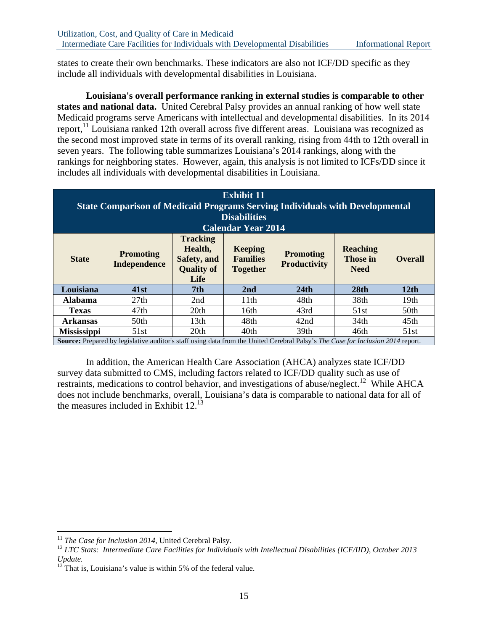states to create their own benchmarks. These indicators are also not ICF/DD specific as they include all individuals with developmental disabilities in Louisiana.

**Louisiana's overall performance ranking in external studies is comparable to other states and national data.** United Cerebral Palsy provides an annual ranking of how well state Medicaid programs serve Americans with intellectual and developmental disabilities. In its 2014 report,<sup>11</sup> Louisiana ranked 12th overall across five different areas. Louisiana was recognized as the second most improved state in terms of its overall ranking, rising from 44th to 12th overall in seven years. The following table summarizes Louisiana's 2014 rankings, along with the rankings for neighboring states. However, again, this analysis is not limited to ICFs/DD since it includes all individuals with developmental disabilities in Louisiana.

| <b>Exhibit 11</b><br><b>State Comparison of Medicaid Programs Serving Individuals with Developmental</b><br><b>Disabilities</b><br><b>Calendar Year 2014</b>                                                                                                                                                |                                                                                                                                               |      |      |                  |      |      |  |  |  |
|-------------------------------------------------------------------------------------------------------------------------------------------------------------------------------------------------------------------------------------------------------------------------------------------------------------|-----------------------------------------------------------------------------------------------------------------------------------------------|------|------|------------------|------|------|--|--|--|
| <b>Tracking</b><br>Health,<br><b>Reaching</b><br><b>Keeping</b><br><b>Promoting</b><br><b>Promoting</b><br><b>State</b><br><b>Families</b><br><b>Those in</b><br>Safety, and<br><b>Overall</b><br><b>Productivity</b><br><b>Independence</b><br><b>Quality of</b><br><b>Together</b><br><b>Need</b><br>Life |                                                                                                                                               |      |      |                  |      |      |  |  |  |
| Louisiana                                                                                                                                                                                                                                                                                                   | 41st                                                                                                                                          | 7th  | 2nd  | 24th             | 28th | 12th |  |  |  |
| <b>Alabama</b>                                                                                                                                                                                                                                                                                              | 27th                                                                                                                                          | 2nd  | 11th | 48th             | 38th | 19th |  |  |  |
| <b>Texas</b>                                                                                                                                                                                                                                                                                                | 47th                                                                                                                                          | 20th | 16th | 43rd             | 51st | 50th |  |  |  |
| <b>Arkansas</b>                                                                                                                                                                                                                                                                                             | 50th                                                                                                                                          | 13th | 48th | 42nd             | 34th | 45th |  |  |  |
| <b>Mississippi</b>                                                                                                                                                                                                                                                                                          | 51st                                                                                                                                          | 20th | 40th | 39 <sub>th</sub> | 46th | 51st |  |  |  |
|                                                                                                                                                                                                                                                                                                             | <b>Source:</b> Prepared by legislative auditor's staff using data from the United Cerebral Palsy's <i>The Case for Inclusion 2014</i> report. |      |      |                  |      |      |  |  |  |

In addition, the American Health Care Association (AHCA) analyzes state ICF/DD survey data submitted to CMS, including factors related to ICF/DD quality such as use of restraints, medications to control behavior, and investigations of abuse/neglect.<sup>12</sup> While AHCA does not include benchmarks, overall, Louisiana's data is comparable to national data for all of the measures included in Exhibit  $12^{13}$ 

<sup>&</sup>lt;sup>11</sup> The Case for Inclusion 2014, United Cerebral Palsy.

<sup>&</sup>lt;sup>12</sup> LTC Stats: Intermediate Care Facilities for Individuals with Intellectual Disabilities (ICF/IID), October 2013 *Update.*

That is, Louisiana's value is within 5% of the federal value.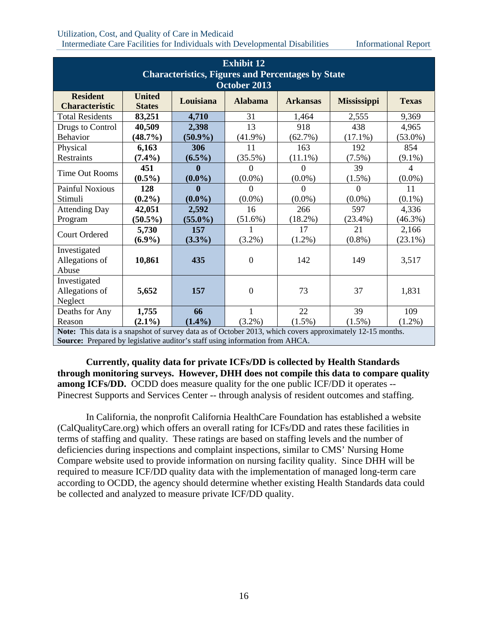### Utilization, Cost, and Quality of Care in Medicaid Intermediate Care Facilities for Individuals with Developmental Disabilities Informational Report

| <b>Exhibit 12</b>                                                                                         |               |              |                |                 |                    |                |  |  |  |  |
|-----------------------------------------------------------------------------------------------------------|---------------|--------------|----------------|-----------------|--------------------|----------------|--|--|--|--|
| <b>Characteristics, Figures and Percentages by State</b>                                                  |               |              |                |                 |                    |                |  |  |  |  |
| October 2013                                                                                              |               |              |                |                 |                    |                |  |  |  |  |
| <b>Resident</b>                                                                                           | <b>United</b> | Louisiana    | <b>Alabama</b> | <b>Arkansas</b> | <b>Mississippi</b> | <b>Texas</b>   |  |  |  |  |
| <b>Characteristic</b>                                                                                     | <b>States</b> |              |                |                 |                    |                |  |  |  |  |
| <b>Total Residents</b>                                                                                    | 83,251        | 4,710        | 31             | 1,464           | 2,555              | 9,369          |  |  |  |  |
| Drugs to Control                                                                                          | 40,509        | 2,398        | 13             | 918             | 438                | 4,965          |  |  |  |  |
| Behavior                                                                                                  | (48.7%)       | $(50.9\%)$   | $(41.9\%)$     | (62.7%)         | $(17.1\%)$         | $(53.0\%)$     |  |  |  |  |
| Physical                                                                                                  | 6,163         | 306          | 11             | 163             | 192                | 854            |  |  |  |  |
| Restraints                                                                                                | $(7.4\%)$     | $(6.5\%)$    | $(35.5\%)$     | $(11.1\%)$      | $(7.5\%)$          | $(9.1\%)$      |  |  |  |  |
| <b>Time Out Rooms</b>                                                                                     | 451           | $\mathbf{0}$ | $\Omega$       | $\Omega$        | 39                 | $\overline{4}$ |  |  |  |  |
|                                                                                                           | $(0.5\%)$     | $(0.0\%)$    | $(0.0\%)$      | $(0.0\%)$       | $(1.5\%)$          | $(0.0\%)$      |  |  |  |  |
| <b>Painful Noxious</b>                                                                                    | 128           | 0            | 0              |                 | 0                  | 11             |  |  |  |  |
| Stimuli                                                                                                   | $(0.2\%)$     | $(0.0\%)$    | $(0.0\%)$      | $(0.0\%)$       | $(0.0\%)$          | $(0.1\%)$      |  |  |  |  |
| <b>Attending Day</b>                                                                                      | 42,051        | 2,592        | 16             | 266             | 597                | 4,336          |  |  |  |  |
| Program                                                                                                   | $(50.5\%)$    | $(55.0\%)$   | $(51.6\%)$     | (18.2%)         | $(23.4\%)$         | $(46.3\%)$     |  |  |  |  |
| <b>Court Ordered</b>                                                                                      | 5,730         | 157          |                | 17              | 21                 | 2,166          |  |  |  |  |
|                                                                                                           | $(6.9\%)$     | $(3.3\%)$    | $(3.2\%)$      | $(1.2\%)$       | $(0.8\%)$          | $(23.1\%)$     |  |  |  |  |
| Investigated                                                                                              |               |              |                |                 |                    |                |  |  |  |  |
| Allegations of                                                                                            | 10,861        | 435          | $\mathbf{0}$   | 142             | 149                | 3,517          |  |  |  |  |
| Abuse                                                                                                     |               |              |                |                 |                    |                |  |  |  |  |
| Investigated                                                                                              |               |              |                |                 |                    |                |  |  |  |  |
| Allegations of                                                                                            | 5,652         | 157          | $\theta$       | 73              | 37                 | 1,831          |  |  |  |  |
| Neglect                                                                                                   |               |              |                |                 |                    |                |  |  |  |  |
| Deaths for Any                                                                                            | 1,755         | 66           | 1              | 22              | 39                 | 109            |  |  |  |  |
| Reason                                                                                                    | $(2.1\%)$     | $(1.4\%)$    | $(3.2\%)$      | $(1.5\%)$       | $(1.5\%)$          | $(1.2\%)$      |  |  |  |  |
| Note: This data is a snapshot of survey data as of October 2013, which covers approximately 12-15 months. |               |              |                |                 |                    |                |  |  |  |  |

**Source:** Prepared by legislative auditor's staff using information from AHCA.

**Currently, quality data for private ICFs/DD is collected by Health Standards through monitoring surveys. However, DHH does not compile this data to compare quality among ICFs/DD.** OCDD does measure quality for the one public ICF/DD it operates --Pinecrest Supports and Services Center -- through analysis of resident outcomes and staffing.

In California, the nonprofit California HealthCare Foundation has established a website (CalQualityCare.org) which offers an overall rating for ICFs/DD and rates these facilities in terms of staffing and quality. These ratings are based on staffing levels and the number of deficiencies during inspections and complaint inspections, similar to CMS' Nursing Home Compare website used to provide information on nursing facility quality. Since DHH will be required to measure ICF/DD quality data with the implementation of managed long-term care according to OCDD, the agency should determine whether existing Health Standards data could be collected and analyzed to measure private ICF/DD quality.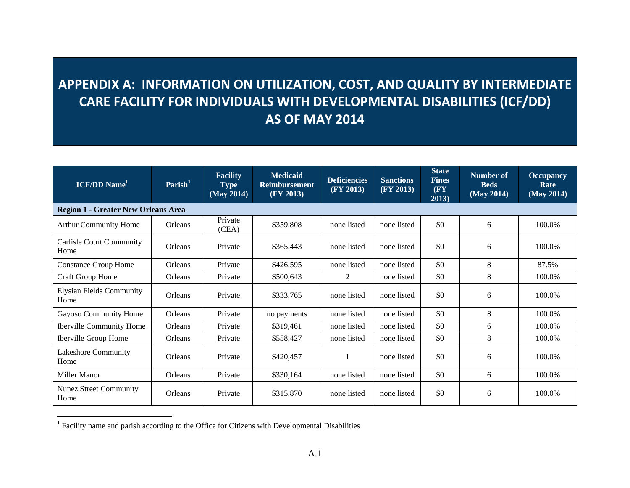# **APPENDIX A: INFORMATION ON UTILIZATION, COST, AND QUALITY BY INTERMEDIATE CARE FACILITY FOR INDIVIDUALS WITH DEVELOPMENTAL DISABILITIES (ICF/DD) AS OF MAY 2014**

| <b>ICF/DD</b> Name <sup>1</sup>            | $\textbf{Parish}^1$ | <b>Facility</b><br><b>Type</b><br>(May 2014) | <b>Medicaid</b><br><b>Reimbursement</b><br>(FY 2013) | <b>Deficiencies</b><br>(FY 2013) | <b>Sanctions</b><br>(FY 2013) | <b>State</b><br><b>Fines</b><br>(FY<br>2013) | <b>Number of</b><br><b>Beds</b><br>(May 2014) | <b>Occupancy</b><br>Rate<br>(May 2014) |
|--------------------------------------------|---------------------|----------------------------------------------|------------------------------------------------------|----------------------------------|-------------------------------|----------------------------------------------|-----------------------------------------------|----------------------------------------|
| <b>Region 1 - Greater New Orleans Area</b> |                     |                                              |                                                      |                                  |                               |                                              |                                               |                                        |
| <b>Arthur Community Home</b>               | Orleans             | Private<br>(CEA)                             | \$359,808                                            | none listed                      | none listed                   | \$0                                          | 6                                             | 100.0%                                 |
| <b>Carlisle Court Community</b><br>Home    | Orleans             | Private                                      | \$365,443                                            | none listed                      | none listed                   | \$0                                          | 6                                             | 100.0%                                 |
| <b>Constance Group Home</b>                | Orleans             | Private                                      | \$426,595                                            | none listed                      | none listed                   | \$0                                          | 8                                             | 87.5%                                  |
| <b>Craft Group Home</b>                    | Orleans             | Private                                      | \$500,643                                            | 2                                | none listed                   | \$0                                          | 8                                             | 100.0%                                 |
| <b>Elysian Fields Community</b><br>Home    | Orleans             | Private                                      | \$333,765                                            | none listed                      | none listed                   | \$0                                          | 6                                             | 100.0%                                 |
| Gayoso Community Home                      | Orleans             | Private                                      | no payments                                          | none listed                      | none listed                   | \$0                                          | 8                                             | 100.0%                                 |
| <b>Iberville Community Home</b>            | Orleans             | Private                                      | \$319,461                                            | none listed                      | none listed                   | \$0                                          | 6                                             | 100.0%                                 |
| <b>Iberville Group Home</b>                | Orleans             | Private                                      | \$558,427                                            | none listed                      | none listed                   | \$0                                          | 8                                             | 100.0%                                 |
| Lakeshore Community<br>Home                | Orleans             | Private                                      | \$420,457                                            |                                  | none listed                   | \$0                                          | 6                                             | 100.0%                                 |
| Miller Manor                               | Orleans             | Private                                      | \$330,164                                            | none listed                      | none listed                   | \$0                                          | 6                                             | 100.0%                                 |
| <b>Nunez Street Community</b><br>Home      | Orleans             | Private                                      | \$315,870                                            | none listed                      | none listed                   | \$0                                          | 6                                             | 100.0%                                 |

<sup>&</sup>lt;sup>1</sup> Facility name and parish according to the Office for Citizens with Developmental Disabilities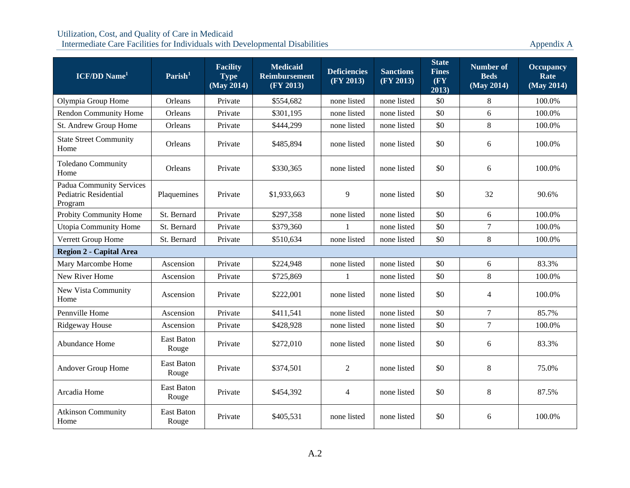| <b>ICF/DD Name</b> <sup>1</sup>                              | Parish <sup>1</sup>        | <b>Facility</b><br><b>Type</b><br>(May 2014) | <b>Medicaid</b><br><b>Reimbursement</b><br>(FY 2013) | <b>Deficiencies</b><br>(FY 2013) | <b>Sanctions</b><br>(FY 2013) | <b>State</b><br><b>Fines</b><br>(FY<br>2013) | <b>Number of</b><br><b>Beds</b><br>(May 2014) | <b>Occupancy</b><br>Rate<br>(May 2014) |
|--------------------------------------------------------------|----------------------------|----------------------------------------------|------------------------------------------------------|----------------------------------|-------------------------------|----------------------------------------------|-----------------------------------------------|----------------------------------------|
| Olympia Group Home                                           | <b>Orleans</b>             | Private                                      | \$554,682                                            | none listed                      | none listed                   | \$0                                          | 8                                             | 100.0%                                 |
| Rendon Community Home                                        | Orleans                    | Private                                      | \$301,195                                            | none listed                      | none listed                   | \$0                                          | 6                                             | 100.0%                                 |
| St. Andrew Group Home                                        | Orleans                    | Private                                      | \$444,299                                            | none listed                      | none listed                   | \$0                                          | $\,8\,$                                       | 100.0%                                 |
| <b>State Street Community</b><br>Home                        | Orleans                    | Private                                      | \$485,894                                            | none listed                      | none listed                   | \$0                                          | 6                                             | 100.0%                                 |
| <b>Toledano Community</b><br>Home                            | Orleans                    | Private                                      | \$330,365                                            | none listed                      | none listed                   | \$0                                          | 6                                             | 100.0%                                 |
| Padua Community Services<br>Pediatric Residential<br>Program | Plaquemines                | Private                                      | \$1,933,663                                          | 9                                | none listed                   | \$0                                          | 32                                            | 90.6%                                  |
| Probity Community Home                                       | St. Bernard                | Private                                      | \$297,358                                            | none listed                      | none listed                   | \$0                                          | 6                                             | 100.0%                                 |
| Utopia Community Home                                        | St. Bernard                | Private                                      | \$379,360                                            | 1                                | none listed                   | \$0                                          | $\boldsymbol{7}$                              | 100.0%                                 |
| Verrett Group Home                                           | St. Bernard                | Private                                      | \$510,634                                            | none listed                      | none listed                   | \$0                                          | 8                                             | 100.0%                                 |
| <b>Region 2 - Capital Area</b>                               |                            |                                              |                                                      |                                  |                               |                                              |                                               |                                        |
| Mary Marcombe Home                                           | Ascension                  | Private                                      | \$224,948                                            | none listed                      | none listed                   | \$0                                          | 6                                             | 83.3%                                  |
| New River Home                                               | Ascension                  | Private                                      | \$725,869                                            | 1                                | none listed                   | \$0                                          | 8                                             | 100.0%                                 |
| New Vista Community<br>Home                                  | Ascension                  | Private                                      | \$222,001                                            | none listed                      | none listed                   | \$0                                          | $\overline{4}$                                | 100.0%                                 |
| Pennville Home                                               | Ascension                  | Private                                      | \$411,541                                            | none listed                      | none listed                   | \$0                                          | $\overline{7}$                                | 85.7%                                  |
| <b>Ridgeway House</b>                                        | Ascension                  | Private                                      | \$428,928                                            | none listed                      | none listed                   | \$0                                          | $\boldsymbol{7}$                              | 100.0%                                 |
| Abundance Home                                               | <b>East Baton</b><br>Rouge | Private                                      | \$272,010                                            | none listed                      | none listed                   | \$0                                          | 6                                             | 83.3%                                  |
| Andover Group Home                                           | <b>East Baton</b><br>Rouge | Private                                      | \$374,501                                            | 2                                | none listed                   | \$0                                          | $\,8\,$                                       | 75.0%                                  |
| Arcadia Home                                                 | <b>East Baton</b><br>Rouge | Private                                      | \$454,392                                            | 4                                | none listed                   | \$0                                          | $\,8\,$                                       | 87.5%                                  |
| <b>Atkinson Community</b><br>Home                            | <b>East Baton</b><br>Rouge | Private                                      | \$405,531                                            | none listed                      | none listed                   | \$0                                          | 6                                             | 100.0%                                 |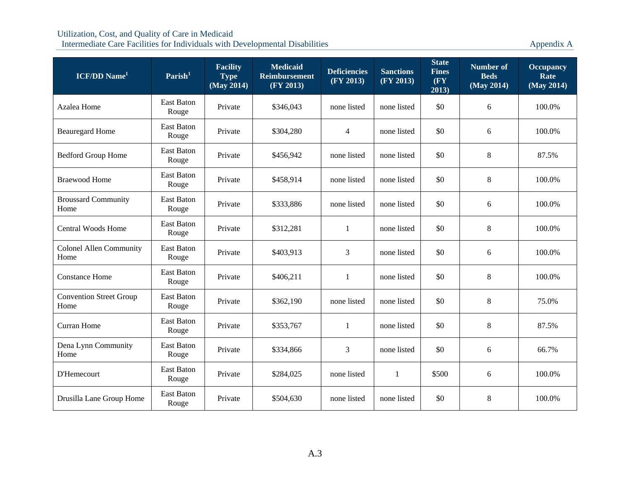| <b>ICF/DD Name</b> <sup>1</sup>        | Parish <sup>1</sup>        | <b>Facility</b><br><b>Type</b><br>(May 2014) | <b>Medicaid</b><br><b>Reimbursement</b><br>(FY 2013) | <b>Deficiencies</b><br>(FY 2013) | <b>Sanctions</b><br>(FY 2013) | <b>State</b><br><b>Fines</b><br>(FY)<br>2013) | <b>Number of</b><br><b>Beds</b><br>(May 2014) | <b>Occupancy</b><br>Rate<br>(May 2014) |
|----------------------------------------|----------------------------|----------------------------------------------|------------------------------------------------------|----------------------------------|-------------------------------|-----------------------------------------------|-----------------------------------------------|----------------------------------------|
| Azalea Home                            | <b>East Baton</b><br>Rouge | Private                                      | \$346,043                                            | none listed                      | none listed                   | \$0                                           | 6                                             | 100.0%                                 |
| <b>Beauregard Home</b>                 | East Baton<br>Rouge        | Private                                      | \$304,280                                            | $\overline{4}$                   | none listed                   | \$0                                           | 6                                             | 100.0%                                 |
| <b>Bedford Group Home</b>              | East Baton<br>Rouge        | Private                                      | \$456,942                                            | none listed                      | none listed                   | \$0                                           | 8                                             | 87.5%                                  |
| <b>Braewood Home</b>                   | East Baton<br>Rouge        | Private                                      | \$458,914                                            | none listed                      | none listed                   | \$0                                           | $\,8\,$                                       | 100.0%                                 |
| <b>Broussard Community</b><br>Home     | East Baton<br>Rouge        | Private                                      | \$333,886                                            | none listed                      | none listed                   | \$0                                           | 6                                             | 100.0%                                 |
| <b>Central Woods Home</b>              | East Baton<br>Rouge        | Private                                      | \$312,281                                            | 1                                | none listed                   | \$0                                           | $\,8\,$                                       | 100.0%                                 |
| <b>Colonel Allen Community</b><br>Home | <b>East Baton</b><br>Rouge | Private                                      | \$403,913                                            | 3                                | none listed                   | \$0                                           | 6                                             | 100.0%                                 |
| <b>Constance Home</b>                  | East Baton<br>Rouge        | Private                                      | \$406,211                                            | 1                                | none listed                   | \$0                                           | $\,8\,$                                       | 100.0%                                 |
| <b>Convention Street Group</b><br>Home | <b>East Baton</b><br>Rouge | Private                                      | \$362,190                                            | none listed                      | none listed                   | \$0                                           | $\,8\,$                                       | 75.0%                                  |
| <b>Curran Home</b>                     | East Baton<br>Rouge        | Private                                      | \$353,767                                            | $\mathbf{1}$                     | none listed                   | \$0                                           | 8                                             | 87.5%                                  |
| Dena Lynn Community<br>Home            | East Baton<br>Rouge        | Private                                      | \$334,866                                            | 3                                | none listed                   | \$0                                           | 6                                             | 66.7%                                  |
| D'Hemecourt                            | East Baton<br>Rouge        | Private                                      | \$284,025                                            | none listed                      | $\mathbf{1}$                  | \$500                                         | 6                                             | 100.0%                                 |
| Drusilla Lane Group Home               | East Baton<br>Rouge        | Private                                      | \$504,630                                            | none listed                      | none listed                   | \$0                                           | $\,8\,$                                       | 100.0%                                 |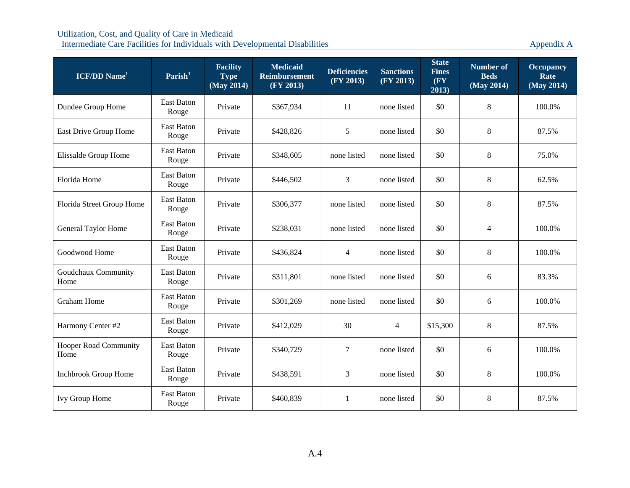| <b>ICF/DD Name</b> <sup>1</sup>      | Parish <sup>1</sup>        | <b>Facility</b><br><b>Type</b><br>(May 2014) | <b>Medicaid</b><br><b>Reimbursement</b><br>(FY 2013) | <b>Deficiencies</b><br>(FY 2013) | <b>Sanctions</b><br>(FY 2013) | <b>State</b><br><b>Fines</b><br>(FY)<br>2013) | <b>Number of</b><br><b>Beds</b><br>(May 2014) | <b>Occupancy</b><br>Rate<br>(May 2014) |
|--------------------------------------|----------------------------|----------------------------------------------|------------------------------------------------------|----------------------------------|-------------------------------|-----------------------------------------------|-----------------------------------------------|----------------------------------------|
| Dundee Group Home                    | <b>East Baton</b><br>Rouge | Private                                      | \$367,934                                            | 11                               | none listed                   | \$0                                           | 8                                             | 100.0%                                 |
| East Drive Group Home                | East Baton<br>Rouge        | Private                                      | \$428,826                                            | 5                                | none listed                   | \$0                                           | $\,8\,$                                       | 87.5%                                  |
| Elissalde Group Home                 | <b>East Baton</b><br>Rouge | Private                                      | \$348,605                                            | none listed                      | none listed                   | \$0                                           | 8                                             | 75.0%                                  |
| Florida Home                         | East Baton<br>Rouge        | Private                                      | \$446,502                                            | 3                                | none listed                   | \$0                                           | $\,8\,$                                       | 62.5%                                  |
| Florida Street Group Home            | East Baton<br>Rouge        | Private                                      | \$306,377                                            | none listed                      | none listed                   | \$0                                           | $\,8\,$                                       | 87.5%                                  |
| General Taylor Home                  | East Baton<br>Rouge        | Private                                      | \$238,031                                            | none listed                      | none listed                   | \$0                                           | 4                                             | 100.0%                                 |
| Goodwood Home                        | <b>East Baton</b><br>Rouge | Private                                      | \$436,824                                            | $\overline{4}$                   | none listed                   | \$0                                           | $\,8\,$                                       | 100.0%                                 |
| Goudchaux Community<br>Home          | East Baton<br>Rouge        | Private                                      | \$311,801                                            | none listed                      | none listed                   | \$0                                           | 6                                             | 83.3%                                  |
| <b>Graham Home</b>                   | East Baton<br>Rouge        | Private                                      | \$301,269                                            | none listed                      | none listed                   | \$0                                           | 6                                             | 100.0%                                 |
| Harmony Center #2                    | East Baton<br>Rouge        | Private                                      | \$412,029                                            | 30                               | $\overline{4}$                | \$15,300                                      | 8                                             | 87.5%                                  |
| <b>Hooper Road Community</b><br>Home | East Baton<br>Rouge        | Private                                      | \$340,729                                            | $\tau$                           | none listed                   | \$0                                           | 6                                             | 100.0%                                 |
| <b>Inchbrook Group Home</b>          | East Baton<br>Rouge        | Private                                      | \$438,591                                            | 3                                | none listed                   | \$0                                           | 8                                             | 100.0%                                 |
| Ivy Group Home                       | <b>East Baton</b><br>Rouge | Private                                      | \$460,839                                            | 1                                | none listed                   | \$0                                           | $\,8\,$                                       | 87.5%                                  |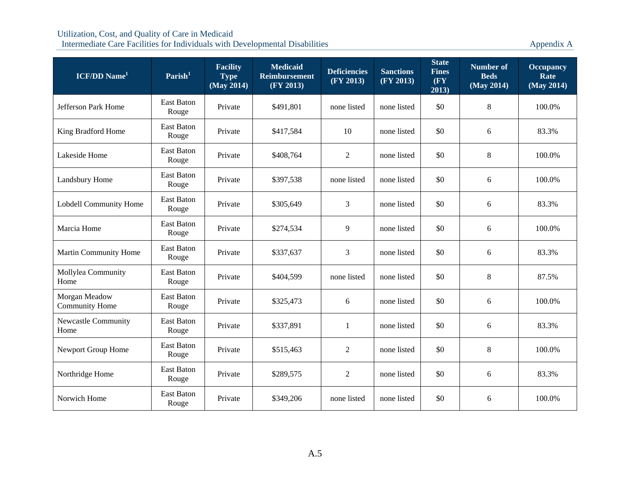| <b>ICF/DD</b> Name <sup>1</sup>        | Parish <sup>1</sup>        | <b>Facility</b><br><b>Type</b><br>$\overline{\text{ (May 2014)}}$ | <b>Medicaid</b><br><b>Reimbursement</b><br>(FY 2013) | <b>Deficiencies</b><br>(FY 2013) | <b>Sanctions</b><br>(FY 2013) | <b>State</b><br><b>Fines</b><br>(FY)<br>2013) | <b>Number of</b><br><b>Beds</b><br>(May 2014) | <b>Occupancy</b><br>Rate<br>(May 2014) |
|----------------------------------------|----------------------------|-------------------------------------------------------------------|------------------------------------------------------|----------------------------------|-------------------------------|-----------------------------------------------|-----------------------------------------------|----------------------------------------|
| <b>Jefferson Park Home</b>             | <b>East Baton</b><br>Rouge | Private                                                           | \$491,801                                            | none listed                      | none listed                   | \$0                                           | 8                                             | 100.0%                                 |
| King Bradford Home                     | East Baton<br>Rouge        | Private                                                           | \$417,584                                            | 10                               | none listed                   | \$0                                           | 6                                             | 83.3%                                  |
| Lakeside Home                          | East Baton<br>Rouge        | Private                                                           | \$408,764                                            | 2                                | none listed                   | \$0                                           | 8                                             | 100.0%                                 |
| Landsbury Home                         | East Baton<br>Rouge        | Private                                                           | \$397,538                                            | none listed                      | none listed                   | \$0                                           | 6                                             | 100.0%                                 |
| Lobdell Community Home                 | East Baton<br>Rouge        | Private                                                           | \$305,649                                            | 3                                | none listed                   | \$0                                           | 6                                             | 83.3%                                  |
| Marcia Home                            | East Baton<br>Rouge        | Private                                                           | \$274,534                                            | 9                                | none listed                   | \$0                                           | 6                                             | 100.0%                                 |
| Martin Community Home                  | East Baton<br>Rouge        | Private                                                           | \$337,637                                            | 3                                | none listed                   | \$0                                           | 6                                             | 83.3%                                  |
| Mollylea Community<br>Home             | <b>East Baton</b><br>Rouge | Private                                                           | \$404,599                                            | none listed                      | none listed                   | \$0                                           | $\,8\,$                                       | 87.5%                                  |
| Morgan Meadow<br><b>Community Home</b> | East Baton<br>Rouge        | Private                                                           | \$325,473                                            | 6                                | none listed                   | \$0                                           | 6                                             | 100.0%                                 |
| <b>Newcastle Community</b><br>Home     | <b>East Baton</b><br>Rouge | Private                                                           | \$337,891                                            | 1                                | none listed                   | \$0                                           | 6                                             | 83.3%                                  |
| Newport Group Home                     | East Baton<br>Rouge        | Private                                                           | \$515,463                                            | 2                                | none listed                   | \$0                                           | $\,8\,$                                       | 100.0%                                 |
| Northridge Home                        | <b>East Baton</b><br>Rouge | Private                                                           | \$289,575                                            | 2                                | none listed                   | \$0                                           | 6                                             | 83.3%                                  |
| Norwich Home                           | East Baton<br>Rouge        | Private                                                           | \$349,206                                            | none listed                      | none listed                   | \$0                                           | 6                                             | 100.0%                                 |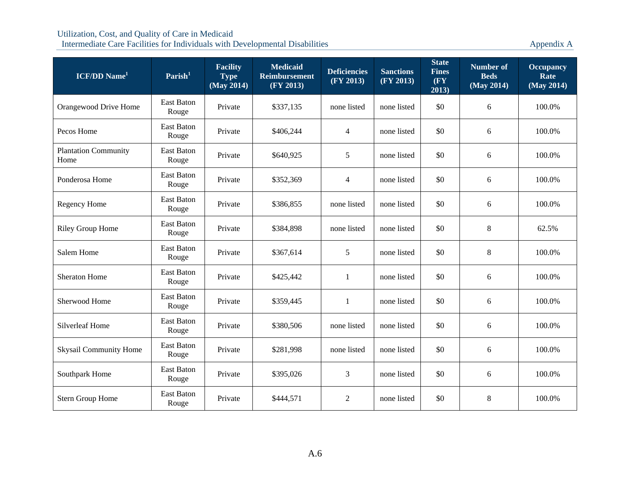| <b>ICF/DD Name</b> <sup>1</sup>     | Parish <sup>1</sup>        | <b>Facility</b><br><b>Type</b><br>(May 2014) | <b>Medicaid</b><br><b>Reimbursement</b><br>(FY 2013) | <b>Deficiencies</b><br>(FY 2013) | <b>Sanctions</b><br>(FY 2013) | <b>State</b><br><b>Fines</b><br>(FY)<br>2013) | <b>Number of</b><br><b>Beds</b><br>(May 2014) | <b>Occupancy</b><br>Rate<br>(May 2014) |
|-------------------------------------|----------------------------|----------------------------------------------|------------------------------------------------------|----------------------------------|-------------------------------|-----------------------------------------------|-----------------------------------------------|----------------------------------------|
| Orangewood Drive Home               | <b>East Baton</b><br>Rouge | Private                                      | \$337,135                                            | none listed                      | none listed                   | \$0                                           | 6                                             | 100.0%                                 |
| Pecos Home                          | East Baton<br>Rouge        | Private                                      | \$406,244                                            | $\overline{4}$                   | none listed                   | \$0                                           | 6                                             | 100.0%                                 |
| <b>Plantation Community</b><br>Home | <b>East Baton</b><br>Rouge | Private                                      | \$640,925                                            | 5                                | none listed                   | \$0                                           | 6                                             | 100.0%                                 |
| Ponderosa Home                      | East Baton<br>Rouge        | Private                                      | \$352,369                                            | $\overline{4}$                   | none listed                   | \$0                                           | 6                                             | 100.0%                                 |
| Regency Home                        | East Baton<br>Rouge        | Private                                      | \$386,855                                            | none listed                      | none listed                   | \$0                                           | 6                                             | 100.0%                                 |
| Riley Group Home                    | East Baton<br>Rouge        | Private                                      | \$384,898                                            | none listed                      | none listed                   | \$0                                           | $8\,$                                         | 62.5%                                  |
| Salem Home                          | <b>East Baton</b><br>Rouge | Private                                      | \$367,614                                            | 5                                | none listed                   | \$0                                           | $\,8\,$                                       | 100.0%                                 |
| <b>Sheraton Home</b>                | East Baton<br>Rouge        | Private                                      | \$425,442                                            | 1                                | none listed                   | \$0                                           | 6                                             | 100.0%                                 |
| Sherwood Home                       | <b>East Baton</b><br>Rouge | Private                                      | \$359,445                                            | $\mathbf{1}$                     | none listed                   | \$0                                           | 6                                             | 100.0%                                 |
| <b>Silverleaf Home</b>              | East Baton<br>Rouge        | Private                                      | \$380,506                                            | none listed                      | none listed                   | \$0                                           | 6                                             | 100.0%                                 |
| <b>Skysail Community Home</b>       | East Baton<br>Rouge        | Private                                      | \$281,998                                            | none listed                      | none listed                   | \$0                                           | 6                                             | 100.0%                                 |
| Southpark Home                      | <b>East Baton</b><br>Rouge | Private                                      | \$395,026                                            | 3                                | none listed                   | \$0                                           | 6                                             | 100.0%                                 |
| Stern Group Home                    | East Baton<br>Rouge        | Private                                      | \$444,571                                            | $\overline{2}$                   | none listed                   | \$0                                           | $\,8\,$                                       | 100.0%                                 |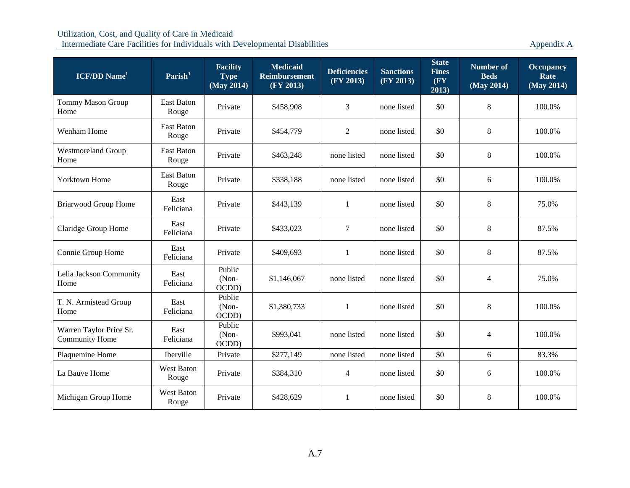| <b>ICF/DD</b> Name <sup>1</sup>                  | Parish <sup>1</sup>        | <b>Facility</b><br><b>Type</b><br>(May 2014) | <b>Medicaid</b><br><b>Reimbursement</b><br>(FY 2013) | <b>Deficiencies</b><br>(FY 2013) | <b>Sanctions</b><br>(FY 2013) | <b>State</b><br><b>Fines</b><br>$(\mathbf{F}\mathbf{Y})$<br>2013) | <b>Number of</b><br><b>Beds</b><br>(May 2014) | <b>Occupancy</b><br>Rate<br>(May 2014) |
|--------------------------------------------------|----------------------------|----------------------------------------------|------------------------------------------------------|----------------------------------|-------------------------------|-------------------------------------------------------------------|-----------------------------------------------|----------------------------------------|
| <b>Tommy Mason Group</b><br>Home                 | <b>East Baton</b><br>Rouge | Private                                      | \$458,908                                            | 3                                | none listed                   | \$0                                                               | 8                                             | 100.0%                                 |
| Wenham Home                                      | <b>East Baton</b><br>Rouge | Private                                      | \$454,779                                            | $\overline{2}$                   | none listed                   | \$0                                                               | 8                                             | 100.0%                                 |
| <b>Westmoreland Group</b><br>Home                | <b>East Baton</b><br>Rouge | Private                                      | \$463,248                                            | none listed                      | none listed                   | \$0                                                               | 8                                             | 100.0%                                 |
| Yorktown Home                                    | East Baton<br>Rouge        | Private                                      | \$338,188                                            | none listed                      | none listed                   | \$0                                                               | 6                                             | 100.0%                                 |
| <b>Briarwood Group Home</b>                      | East<br>Feliciana          | Private                                      | \$443,139                                            | $\mathbf{1}$                     | none listed                   | \$0                                                               | 8                                             | 75.0%                                  |
| Claridge Group Home                              | East<br>Feliciana          | Private                                      | \$433,023                                            | 7                                | none listed                   | \$0                                                               | 8                                             | 87.5%                                  |
| Connie Group Home                                | East<br>Feliciana          | Private                                      | \$409,693                                            | $\mathbf{1}$                     | none listed                   | \$0                                                               | 8                                             | 87.5%                                  |
| Lelia Jackson Community<br>Home                  | East<br>Feliciana          | Public<br>(Non-<br>OCDD)                     | \$1,146,067                                          | none listed                      | none listed                   | \$0                                                               | $\overline{4}$                                | 75.0%                                  |
| T. N. Armistead Group<br>Home                    | East<br>Feliciana          | Public<br>(Non-<br>OCDD)                     | \$1,380,733                                          | 1                                | none listed                   | \$0                                                               | 8                                             | 100.0%                                 |
| Warren Taylor Price Sr.<br><b>Community Home</b> | East<br>Feliciana          | Public<br>(Non-<br>OCDD)                     | \$993,041                                            | none listed                      | none listed                   | \$0                                                               | 4                                             | 100.0%                                 |
| Plaquemine Home                                  | Iberville                  | Private                                      | \$277,149                                            | none listed                      | none listed                   | \$0                                                               | 6                                             | 83.3%                                  |
| La Bauve Home                                    | <b>West Baton</b><br>Rouge | Private                                      | \$384,310                                            | $\overline{4}$                   | none listed                   | \$0                                                               | 6                                             | 100.0%                                 |
| Michigan Group Home                              | <b>West Baton</b><br>Rouge | Private                                      | \$428,629                                            | 1                                | none listed                   | \$0                                                               | $8\,$                                         | 100.0%                                 |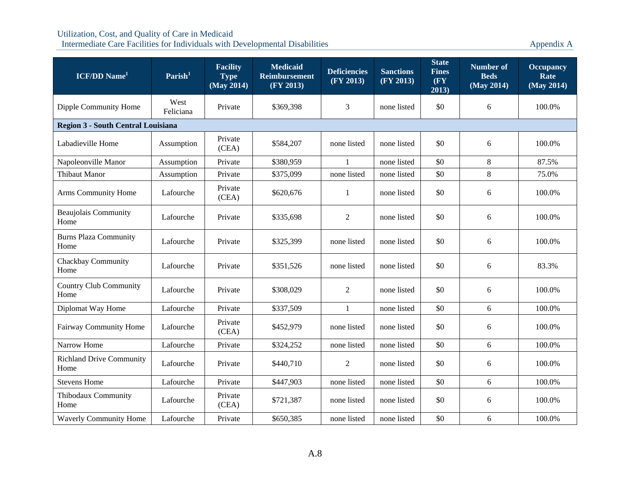| <b>ICF/DD</b> Name <sup>1</sup>           | Parish <sup>1</sup> | <b>Facility</b><br><b>Type</b><br>(May 2014) | <b>Medicaid</b><br><b>Reimbursement</b><br>(FY 2013) | <b>Deficiencies</b><br>(FY 2013) | <b>Sanctions</b><br>(FY 2013) | <b>State</b><br><b>Fines</b><br>$(\mathbf{F}\mathbf{Y})$<br>2013) | Number of<br><b>Beds</b><br>(May 2014) | <b>Occupancy</b><br>Rate<br>(May 2014) |
|-------------------------------------------|---------------------|----------------------------------------------|------------------------------------------------------|----------------------------------|-------------------------------|-------------------------------------------------------------------|----------------------------------------|----------------------------------------|
| Dipple Community Home                     | West<br>Feliciana   | Private                                      | \$369,398                                            | 3                                | none listed                   | \$0                                                               | 6                                      | 100.0%                                 |
| <b>Region 3 - South Central Louisiana</b> |                     |                                              |                                                      |                                  |                               |                                                                   |                                        |                                        |
| Labadieville Home                         | Assumption          | Private<br>(CEA)                             | \$584,207                                            | none listed                      | none listed                   | \$0                                                               | 6                                      | 100.0%                                 |
| Napoleonville Manor                       | Assumption          | Private                                      | \$380,959                                            | $\mathbf{1}$                     | none listed                   | \$0                                                               | 8                                      | 87.5%                                  |
| <b>Thibaut Manor</b>                      | Assumption          | Private                                      | \$375,099                                            | none listed                      | none listed                   | \$0                                                               | 8                                      | 75.0%                                  |
| Arms Community Home                       | Lafourche           | Private<br>(CEA)                             | \$620,676                                            | 1                                | none listed                   | \$0                                                               | 6                                      | 100.0%                                 |
| <b>Beaujolais Community</b><br>Home       | Lafourche           | Private                                      | \$335,698                                            | $\overline{2}$                   | none listed                   | \$0                                                               | 6                                      | 100.0%                                 |
| <b>Burns Plaza Community</b><br>Home      | Lafourche           | Private                                      | \$325,399                                            | none listed                      | none listed                   | \$0                                                               | 6                                      | 100.0%                                 |
| Chackbay Community<br>Home                | Lafourche           | Private                                      | \$351,526                                            | none listed                      | none listed                   | \$0                                                               | 6                                      | 83.3%                                  |
| <b>Country Club Community</b><br>Home     | Lafourche           | Private                                      | \$308,029                                            | $\overline{2}$                   | none listed                   | \$0                                                               | 6                                      | 100.0%                                 |
| Diplomat Way Home                         | Lafourche           | Private                                      | \$337,509                                            | 1                                | none listed                   | \$0                                                               | 6                                      | 100.0%                                 |
| Fairway Community Home                    | Lafourche           | Private<br>(CEA)                             | \$452,979                                            | none listed                      | none listed                   | \$0                                                               | 6                                      | 100.0%                                 |
| Narrow Home                               | Lafourche           | Private                                      | \$324,252                                            | none listed                      | none listed                   | \$0                                                               | 6                                      | 100.0%                                 |
| <b>Richland Drive Community</b><br>Home   | Lafourche           | Private                                      | \$440,710                                            | $\mathbf{2}$                     | none listed                   | \$0                                                               | 6                                      | 100.0%                                 |
| <b>Stevens Home</b>                       | Lafourche           | Private                                      | \$447,903                                            | none listed                      | none listed                   | \$0                                                               | 6                                      | 100.0%                                 |
| Thibodaux Community<br>Home               | Lafourche           | Private<br>(CEA)                             | \$721,387                                            | none listed                      | none listed                   | \$0                                                               | 6                                      | 100.0%                                 |
| Waverly Community Home                    | Lafourche           | Private                                      | \$650,385                                            | none listed                      | none listed                   | \$0                                                               | 6                                      | 100.0%                                 |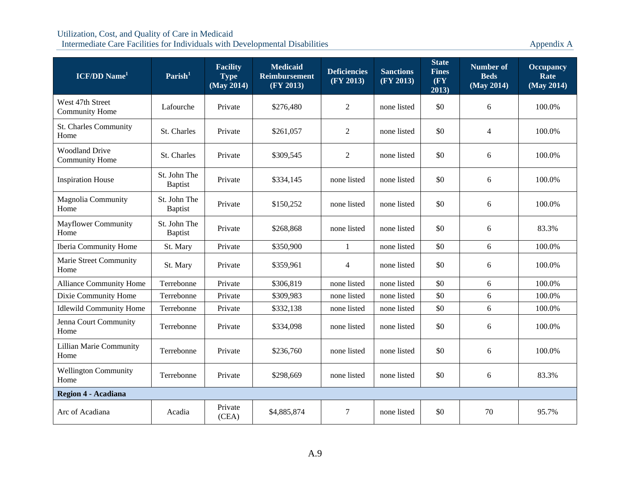| <b>ICF/DD</b> Name <sup>1</sup>                | $\textbf{Parish}^1$            | <b>Facility</b><br><b>Type</b><br>$\overline{\text{ (May 2014)}}$ | <b>Medicaid</b><br><b>Reimbursement</b><br>(FY 2013) | <b>Deficiencies</b><br>(FY 2013) | <b>Sanctions</b><br>(FY 2013) | <b>State</b><br><b>Fines</b><br>(FY)<br>2013) | <b>Number of</b><br><b>Beds</b><br>(May 2014) | <b>Occupancy</b><br>Rate<br>(May 2014) |
|------------------------------------------------|--------------------------------|-------------------------------------------------------------------|------------------------------------------------------|----------------------------------|-------------------------------|-----------------------------------------------|-----------------------------------------------|----------------------------------------|
| West 47th Street<br><b>Community Home</b>      | Lafourche                      | Private                                                           | \$276,480                                            | 2                                | none listed                   | \$0                                           | 6                                             | 100.0%                                 |
| <b>St. Charles Community</b><br>Home           | St. Charles                    | Private                                                           | \$261,057                                            | 2                                | none listed                   | \$0                                           | $\overline{4}$                                | 100.0%                                 |
| <b>Woodland Drive</b><br><b>Community Home</b> | St. Charles                    | Private                                                           | \$309,545                                            | $\mathfrak{2}$                   | none listed                   | \$0                                           | 6                                             | 100.0%                                 |
| <b>Inspiration House</b>                       | St. John The<br><b>Baptist</b> | Private                                                           | \$334,145                                            | none listed                      | none listed                   | \$0                                           | 6                                             | 100.0%                                 |
| <b>Magnolia Community</b><br>Home              | St. John The<br><b>Baptist</b> | Private                                                           | \$150,252                                            | none listed                      | none listed                   | \$0                                           | 6                                             | 100.0%                                 |
| <b>Mayflower Community</b><br>Home             | St. John The<br><b>Baptist</b> | Private                                                           | \$268,868                                            | none listed                      | none listed                   | \$0                                           | 6                                             | 83.3%                                  |
| Iberia Community Home                          | St. Mary                       | Private                                                           | \$350,900                                            | $\mathbf{1}$                     | none listed                   | \$0                                           | 6                                             | 100.0%                                 |
| <b>Marie Street Community</b><br>Home          | St. Mary                       | Private                                                           | \$359,961                                            | 4                                | none listed                   | \$0                                           | 6                                             | 100.0%                                 |
| <b>Alliance Community Home</b>                 | Terrebonne                     | Private                                                           | \$306,819                                            | none listed                      | none listed                   | \$0                                           | 6                                             | 100.0%                                 |
| Dixie Community Home                           | Terrebonne                     | Private                                                           | \$309,983                                            | none listed                      | none listed                   | \$0                                           | 6                                             | 100.0%                                 |
| <b>Idlewild Community Home</b>                 | Terrebonne                     | Private                                                           | \$332,138                                            | none listed                      | none listed                   | \$0                                           | 6                                             | 100.0%                                 |
| Jenna Court Community<br>Home                  | Terrebonne                     | Private                                                           | \$334,098                                            | none listed                      | none listed                   | \$0                                           | 6                                             | 100.0%                                 |
| <b>Lillian Marie Community</b><br>Home         | Terrebonne                     | Private                                                           | \$236,760                                            | none listed                      | none listed                   | \$0                                           | 6                                             | 100.0%                                 |
| <b>Wellington Community</b><br>Home            | Terrebonne                     | Private                                                           | \$298,669                                            | none listed                      | none listed                   | \$0                                           | 6                                             | 83.3%                                  |
| <b>Region 4 - Acadiana</b>                     |                                |                                                                   |                                                      |                                  |                               |                                               |                                               |                                        |
| Arc of Acadiana                                | Acadia                         | Private<br>(CEA)                                                  | \$4,885,874                                          | 7                                | none listed                   | \$0                                           | 70                                            | 95.7%                                  |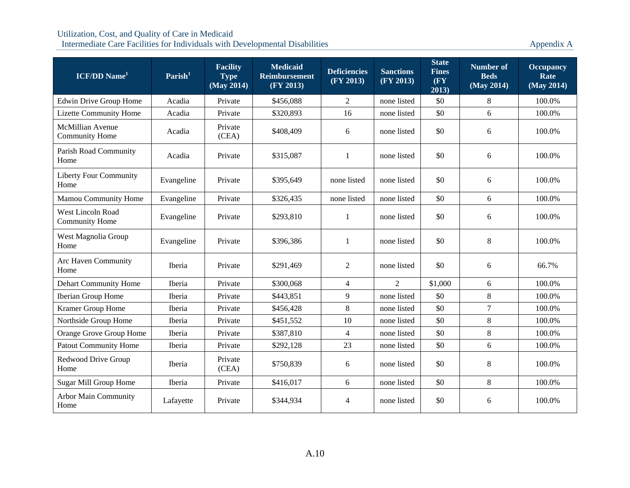| <b>ICF/DD</b> Name <sup>1</sup>                  | $\textbf{Parish}^1$ | <b>Facility</b><br><b>Type</b><br>(May 2014) | <b>Medicaid</b><br><b>Reimbursement</b><br>(FY 2013) | <b>Deficiencies</b><br>(FY 2013) | <b>Sanctions</b><br>(FY 2013) | <b>State</b><br><b>Fines</b><br>$(\mathbf{F}\mathbf{Y})$<br>2013) | <b>Number of</b><br><b>Beds</b><br>(May 2014) | <b>Occupancy</b><br>Rate<br>(May 2014) |
|--------------------------------------------------|---------------------|----------------------------------------------|------------------------------------------------------|----------------------------------|-------------------------------|-------------------------------------------------------------------|-----------------------------------------------|----------------------------------------|
| Edwin Drive Group Home                           | Acadia              | Private                                      | \$456,088                                            | 2                                | none listed                   | \$0                                                               | 8                                             | 100.0%                                 |
| <b>Lizette Community Home</b>                    | Acadia              | Private                                      | \$320,893                                            | 16                               | none listed                   | \$0                                                               | 6                                             | 100.0%                                 |
| <b>McMillian Avenue</b><br><b>Community Home</b> | Acadia              | Private<br>(CEA)                             | \$408,409                                            | 6                                | none listed                   | \$0                                                               | 6                                             | 100.0%                                 |
| Parish Road Community<br>Home                    | Acadia              | Private                                      | \$315,087                                            | $\mathbf{1}$                     | none listed                   | \$0                                                               | 6                                             | 100.0%                                 |
| <b>Liberty Four Community</b><br>Home            | Evangeline          | Private                                      | \$395,649                                            | none listed                      | none listed                   | \$0                                                               | 6                                             | 100.0%                                 |
| Mamou Community Home                             | Evangeline          | Private                                      | \$326,435                                            | none listed                      | none listed                   | \$0                                                               | 6                                             | 100.0%                                 |
| West Lincoln Road<br><b>Community Home</b>       | Evangeline          | Private                                      | \$293,810                                            | 1                                | none listed                   | \$0                                                               | 6                                             | 100.0%                                 |
| West Magnolia Group<br>Home                      | Evangeline          | Private                                      | \$396,386                                            | 1                                | none listed                   | \$0                                                               | 8                                             | 100.0%                                 |
| Arc Haven Community<br>Home                      | Iberia              | Private                                      | \$291,469                                            | $\overline{2}$                   | none listed                   | \$0                                                               | 6                                             | 66.7%                                  |
| <b>Dehart Community Home</b>                     | Iberia              | Private                                      | \$300,068                                            | $\overline{4}$                   | $\overline{2}$                | \$1,000                                                           | 6                                             | 100.0%                                 |
| Iberian Group Home                               | <b>Iberia</b>       | Private                                      | \$443,851                                            | 9                                | none listed                   | \$0                                                               | $\,8\,$                                       | 100.0%                                 |
| Kramer Group Home                                | Iberia              | Private                                      | \$456,428                                            | 8                                | none listed                   | \$0                                                               | $\overline{7}$                                | 100.0%                                 |
| Northside Group Home                             | Iberia              | Private                                      | \$451,552                                            | 10                               | none listed                   | \$0                                                               | $8\,$                                         | 100.0%                                 |
| Orange Grove Group Home                          | Iberia              | Private                                      | \$387,810                                            | $\overline{4}$                   | none listed                   | \$0                                                               | $\,8\,$                                       | 100.0%                                 |
| <b>Patout Community Home</b>                     | Iberia              | Private                                      | \$292,128                                            | 23                               | none listed                   | \$0                                                               | 6                                             | 100.0%                                 |
| Redwood Drive Group<br>Home                      | Iberia              | Private<br>(CEA)                             | \$750,839                                            | 6                                | none listed                   | \$0                                                               | $\,8\,$                                       | 100.0%                                 |
| Sugar Mill Group Home                            | Iberia              | Private                                      | \$416,017                                            | 6                                | none listed                   | \$0                                                               | 8                                             | 100.0%                                 |
| Arbor Main Community<br>Home                     | Lafayette           | Private                                      | \$344,934                                            | 4                                | none listed                   | \$0                                                               | 6                                             | 100.0%                                 |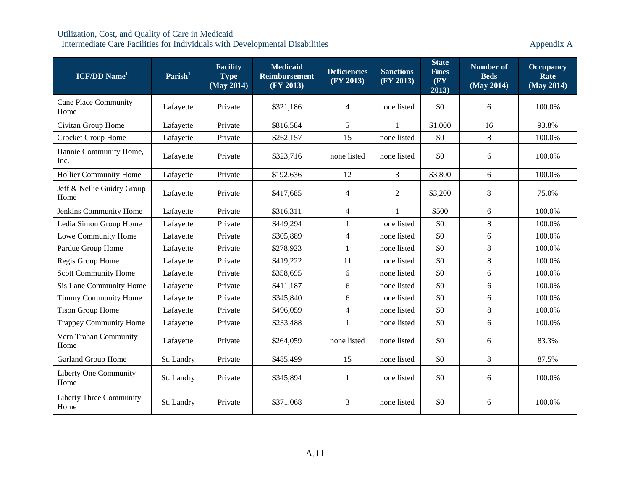| ICF/DD Name <sup>1</sup>            | $\mathrm{Parish}^1$ | <b>Facility</b><br><b>Type</b><br>(May 2014) | <b>Medicaid</b><br><b>Reimbursement</b><br>(FY 2013) | <b>Deficiencies</b><br>(FY 2013) | <b>Sanctions</b><br>(FY 2013) | <b>State</b><br><b>Fines</b><br>$(\mathbf{F}\mathbf{Y})$<br>2013) | <b>Number of</b><br><b>Beds</b><br>(May 2014) | <b>Occupancy</b><br>Rate<br>(May 2014) |
|-------------------------------------|---------------------|----------------------------------------------|------------------------------------------------------|----------------------------------|-------------------------------|-------------------------------------------------------------------|-----------------------------------------------|----------------------------------------|
| <b>Cane Place Community</b><br>Home | Lafayette           | Private                                      | \$321,186                                            | $\overline{4}$                   | none listed                   | \$0                                                               | 6                                             | 100.0%                                 |
| Civitan Group Home                  | Lafayette           | Private                                      | \$816,584                                            | 5                                | $\mathbf{1}$                  | \$1,000                                                           | 16                                            | 93.8%                                  |
| Crocket Group Home                  | Lafayette           | Private                                      | \$262,157                                            | 15                               | none listed                   | \$0                                                               | $8\,$                                         | 100.0%                                 |
| Hannie Community Home,<br>Inc.      | Lafayette           | Private                                      | \$323,716                                            | none listed                      | none listed                   | \$0                                                               | 6                                             | 100.0%                                 |
| <b>Hollier Community Home</b>       | Lafayette           | Private                                      | \$192,636                                            | 12                               | 3                             | \$3,800                                                           | 6                                             | 100.0%                                 |
| Jeff & Nellie Guidry Group<br>Home  | Lafayette           | Private                                      | \$417,685                                            | $\overline{4}$                   | $\overline{2}$                | \$3,200                                                           | $8\,$                                         | 75.0%                                  |
| Jenkins Community Home              | Lafayette           | Private                                      | \$316,311                                            | $\overline{4}$                   | 1                             | \$500                                                             | 6                                             | 100.0%                                 |
| Ledia Simon Group Home              | Lafayette           | Private                                      | \$449,294                                            | $\mathbf{1}$                     | none listed                   | \$0                                                               | $8\,$                                         | 100.0%                                 |
| Lowe Community Home                 | Lafayette           | Private                                      | \$305,889                                            | $\overline{4}$                   | none listed                   | \$0                                                               | 6                                             | 100.0%                                 |
| Pardue Group Home                   | Lafayette           | Private                                      | \$278,923                                            | 1                                | none listed                   | \$0                                                               | $8\,$                                         | 100.0%                                 |
| Regis Group Home                    | Lafayette           | Private                                      | \$419,222                                            | 11                               | none listed                   | \$0                                                               | $\,8\,$                                       | 100.0%                                 |
| <b>Scott Community Home</b>         | Lafayette           | Private                                      | \$358,695                                            | 6                                | none listed                   | \$0                                                               | 6                                             | 100.0%                                 |
| Sis Lane Community Home             | Lafayette           | Private                                      | \$411,187                                            | 6                                | none listed                   | \$0                                                               | 6                                             | 100.0%                                 |
| <b>Timmy Community Home</b>         | Lafayette           | Private                                      | \$345,840                                            | 6                                | none listed                   | \$0                                                               | 6                                             | 100.0%                                 |
| <b>Tison Group Home</b>             | Lafayette           | Private                                      | \$496,059                                            | $\overline{4}$                   | none listed                   | \$0                                                               | $8\,$                                         | 100.0%                                 |
| <b>Trappey Community Home</b>       | Lafayette           | Private                                      | \$233,488                                            | $\mathbf{1}$                     | none listed                   | \$0                                                               | 6                                             | 100.0%                                 |
| Vern Trahan Community<br>Home       | Lafayette           | Private                                      | \$264,059                                            | none listed                      | none listed                   | \$0                                                               | 6                                             | 83.3%                                  |
| Garland Group Home                  | St. Landry          | Private                                      | \$485,499                                            | 15                               | none listed                   | \$0                                                               | 8                                             | 87.5%                                  |
| Liberty One Community<br>Home       | St. Landry          | Private                                      | \$345,894                                            | $\mathbf{1}$                     | none listed                   | \$0                                                               | 6                                             | 100.0%                                 |
| Liberty Three Community<br>Home     | St. Landry          | Private                                      | \$371,068                                            | 3                                | none listed                   | \$0                                                               | 6                                             | 100.0%                                 |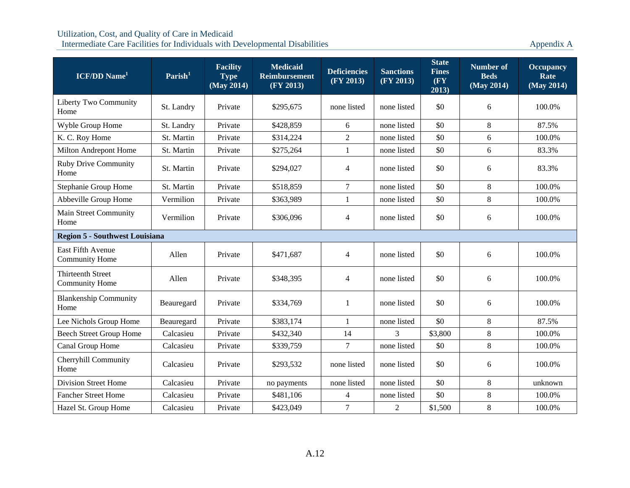| <b>ICF/DD</b> Name <sup>1</sup>                   | Parish <sup>1</sup> | <b>Facility</b><br><b>Type</b><br>(May 2014) | <b>Medicaid</b><br><b>Reimbursement</b><br>(FY 2013) | <b>Deficiencies</b><br>(FY 2013) | <b>Sanctions</b><br>(FY 2013) | <b>State</b><br><b>Fines</b><br>(FY)<br>2013) | <b>Number of</b><br><b>Beds</b><br>(May 2014) | <b>Occupancy</b><br>Rate<br>(May 2014) |  |  |  |
|---------------------------------------------------|---------------------|----------------------------------------------|------------------------------------------------------|----------------------------------|-------------------------------|-----------------------------------------------|-----------------------------------------------|----------------------------------------|--|--|--|
| Liberty Two Community<br>Home                     | St. Landry          | Private                                      | \$295,675                                            | none listed                      | none listed                   | \$0                                           | 6                                             | 100.0%                                 |  |  |  |
| Wyble Group Home                                  | St. Landry          | Private                                      | \$428,859                                            | 6                                | none listed                   | \$0                                           | $\,8\,$                                       | 87.5%                                  |  |  |  |
| K. C. Roy Home                                    | St. Martin          | Private                                      | \$314,224                                            | $\overline{2}$                   | none listed                   | \$0                                           | 6                                             | 100.0%                                 |  |  |  |
| Milton Andrepont Home                             | St. Martin          | Private                                      | \$275,264                                            | $\mathbf{1}$                     | none listed                   | \$0                                           | 6                                             | 83.3%                                  |  |  |  |
| <b>Ruby Drive Community</b><br>Home               | St. Martin          | Private                                      | \$294,027                                            | $\overline{4}$                   | none listed                   | \$0                                           | 6                                             | 83.3%                                  |  |  |  |
| Stephanie Group Home                              | St. Martin          | Private                                      | \$518,859                                            | $\tau$                           | none listed                   | \$0                                           | $\,8\,$                                       | 100.0%                                 |  |  |  |
| Abbeville Group Home                              | Vermilion           | Private                                      | \$363,989                                            | $\mathbf{1}$                     | none listed                   | \$0                                           | $8\,$                                         | 100.0%                                 |  |  |  |
| Main Street Community<br>Home                     | Vermilion           | Private                                      | \$306,096                                            | 4                                | none listed                   | \$0                                           | 6                                             | 100.0%                                 |  |  |  |
| <b>Region 5 - Southwest Louisiana</b>             |                     |                                              |                                                      |                                  |                               |                                               |                                               |                                        |  |  |  |
| <b>East Fifth Avenue</b><br><b>Community Home</b> | Allen               | Private                                      | \$471,687                                            | $\overline{4}$                   | none listed                   | \$0                                           | 6                                             | 100.0%                                 |  |  |  |
| <b>Thirteenth Street</b><br><b>Community Home</b> | Allen               | Private                                      | \$348,395                                            | $\overline{4}$                   | none listed                   | \$0                                           | 6                                             | 100.0%                                 |  |  |  |
| <b>Blankenship Community</b><br>Home              | Beauregard          | Private                                      | \$334,769                                            | 1                                | none listed                   | \$0                                           | 6                                             | 100.0%                                 |  |  |  |
| Lee Nichols Group Home                            | Beauregard          | Private                                      | \$383,174                                            | $\mathbf{1}$                     | none listed                   | \$0                                           | $\,8\,$                                       | 87.5%                                  |  |  |  |
| <b>Beech Street Group Home</b>                    | Calcasieu           | Private                                      | \$432,340                                            | 14                               | $\overline{3}$                | \$3,800                                       | $8\,$                                         | 100.0%                                 |  |  |  |
| Canal Group Home                                  | Calcasieu           | Private                                      | \$339,759                                            | $\tau$                           | none listed                   | \$0                                           | 8                                             | 100.0%                                 |  |  |  |
| Cherryhill Community<br>Home                      | Calcasieu           | Private                                      | \$293,532                                            | none listed                      | none listed                   | \$0                                           | 6                                             | 100.0%                                 |  |  |  |
| <b>Division Street Home</b>                       | Calcasieu           | Private                                      | no payments                                          | none listed                      | none listed                   | \$0                                           | $8\,$                                         | unknown                                |  |  |  |
| <b>Fancher Street Home</b>                        | Calcasieu           | Private                                      | \$481,106                                            | $\overline{4}$                   | none listed                   | \$0                                           | 8                                             | 100.0%                                 |  |  |  |
| Hazel St. Group Home                              | Calcasieu           | Private                                      | \$423,049                                            | $\overline{7}$                   | $\overline{2}$                | \$1,500                                       | $8\,$                                         | 100.0%                                 |  |  |  |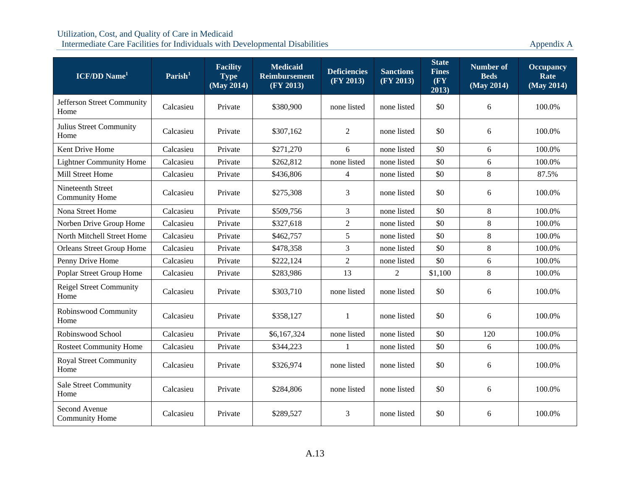| <b>ICF/DD</b> Name <sup>1</sup>            | $\textbf{Parish}^1$ | <b>Facility</b><br><b>Type</b><br>(May 2014) | <b>Medicaid</b><br><b>Reimbursement</b><br>(FY 2013) | <b>Deficiencies</b><br>(FY 2013) | <b>Sanctions</b><br>(FY 2013) | <b>State</b><br><b>Fines</b><br>(FY)<br>2013) | <b>Number of</b><br><b>Beds</b><br>(May 2014) | <b>Occupancy</b><br>Rate<br>(May 2014) |
|--------------------------------------------|---------------------|----------------------------------------------|------------------------------------------------------|----------------------------------|-------------------------------|-----------------------------------------------|-----------------------------------------------|----------------------------------------|
| Jefferson Street Community<br>Home         | Calcasieu           | Private                                      | \$380,900                                            | none listed                      | none listed                   | \$0                                           | 6                                             | 100.0%                                 |
| Julius Street Community<br>Home            | Calcasieu           | Private                                      | \$307,162                                            | 2                                | none listed                   | \$0                                           | 6                                             | 100.0%                                 |
| Kent Drive Home                            | Calcasieu           | Private                                      | \$271,270                                            | 6                                | none listed                   | \$0                                           | 6                                             | 100.0%                                 |
| <b>Lightner Community Home</b>             | Calcasieu           | Private                                      | \$262,812                                            | none listed                      | none listed                   | \$0                                           | 6                                             | 100.0%                                 |
| Mill Street Home                           | Calcasieu           | Private                                      | \$436,806                                            | $\overline{4}$                   | none listed                   | \$0                                           | $8\,$                                         | 87.5%                                  |
| Nineteenth Street<br><b>Community Home</b> | Calcasieu           | Private                                      | \$275,308                                            | 3                                | none listed                   | \$0                                           | 6                                             | 100.0%                                 |
| Nona Street Home                           | Calcasieu           | Private                                      | \$509,756                                            | 3                                | none listed                   | \$0                                           | $\,8\,$                                       | 100.0%                                 |
| Norben Drive Group Home                    | Calcasieu           | Private                                      | \$327,618                                            | $\overline{2}$                   | none listed                   | \$0                                           | 8                                             | 100.0%                                 |
| North Mitchell Street Home                 | Calcasieu           | Private                                      | \$462,757                                            | 5                                | none listed                   | \$0                                           | $\,8\,$                                       | 100.0%                                 |
| <b>Orleans Street Group Home</b>           | Calcasieu           | Private                                      | \$478,358                                            | 3                                | none listed                   | \$0                                           | 8                                             | 100.0%                                 |
| Penny Drive Home                           | Calcasieu           | Private                                      | \$222,124                                            | $\overline{2}$                   | none listed                   | \$0                                           | 6                                             | 100.0%                                 |
| Poplar Street Group Home                   | Calcasieu           | Private                                      | \$283,986                                            | 13                               | $\overline{2}$                | \$1,100                                       | $8\,$                                         | 100.0%                                 |
| <b>Reigel Street Community</b><br>Home     | Calcasieu           | Private                                      | \$303,710                                            | none listed                      | none listed                   | \$0                                           | 6                                             | 100.0%                                 |
| Robinswood Community<br>Home               | Calcasieu           | Private                                      | \$358,127                                            | 1                                | none listed                   | \$0                                           | 6                                             | 100.0%                                 |
| Robinswood School                          | Calcasieu           | Private                                      | \$6,167,324                                          | none listed                      | none listed                   | \$0                                           | 120                                           | 100.0%                                 |
| <b>Rosteet Community Home</b>              | Calcasieu           | Private                                      | \$344,223                                            | 1                                | none listed                   | \$0                                           | 6                                             | 100.0%                                 |
| <b>Royal Street Community</b><br>Home      | Calcasieu           | Private                                      | \$326,974                                            | none listed                      | none listed                   | \$0                                           | 6                                             | 100.0%                                 |
| <b>Sale Street Community</b><br>Home       | Calcasieu           | Private                                      | \$284,806                                            | none listed                      | none listed                   | \$0                                           | 6                                             | 100.0%                                 |
| Second Avenue<br><b>Community Home</b>     | Calcasieu           | Private                                      | \$289,527                                            | 3                                | none listed                   | \$0                                           | 6                                             | 100.0%                                 |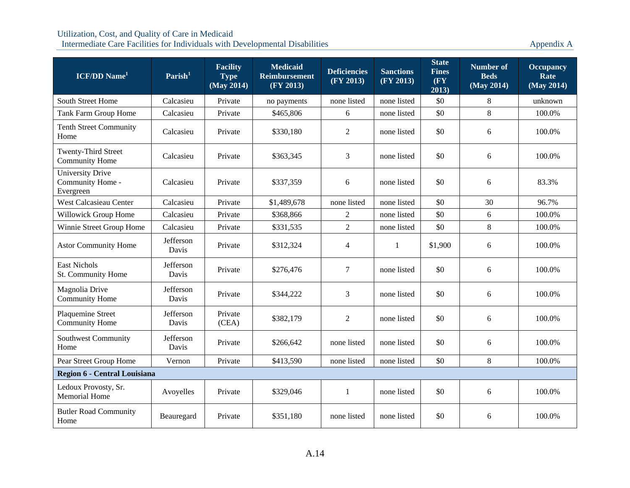| $ICF/DD$ Name <sup>1</sup>                               | Parish <sup>1</sup> | <b>Facility</b><br><b>Type</b><br>$\overline{\text{ (May 2014)}}$ | <b>Medicaid</b><br><b>Reimbursement</b><br>(FY 2013) | <b>Deficiencies</b><br>(FY 2013) | <b>Sanctions</b><br>(FY 2013) | <b>State</b><br><b>Fines</b><br>$(\mathbf{F}\mathbf{Y})$<br>2013) | <b>Number of</b><br><b>Beds</b><br>(May 2014) | <b>Occupancy</b><br>Rate<br>(May 2014) |
|----------------------------------------------------------|---------------------|-------------------------------------------------------------------|------------------------------------------------------|----------------------------------|-------------------------------|-------------------------------------------------------------------|-----------------------------------------------|----------------------------------------|
| South Street Home                                        | Calcasieu           | Private                                                           | no payments                                          | none listed                      | none listed                   | \$0                                                               | 8                                             | unknown                                |
| Tank Farm Group Home                                     | Calcasieu           | Private                                                           | \$465,806                                            | 6                                | none listed                   | \$0                                                               | 8                                             | 100.0%                                 |
| <b>Tenth Street Community</b><br>Home                    | Calcasieu           | Private                                                           | \$330,180                                            | $\overline{2}$                   | none listed                   | \$0                                                               | 6                                             | 100.0%                                 |
| Twenty-Third Street<br>Community Home                    | Calcasieu           | Private                                                           | \$363,345                                            | $\overline{3}$                   | none listed                   | \$0                                                               | 6                                             | 100.0%                                 |
| <b>University Drive</b><br>Community Home -<br>Evergreen | Calcasieu           | Private                                                           | \$337,359                                            | 6                                | none listed                   | \$0                                                               | 6                                             | 83.3%                                  |
| <b>West Calcasieau Center</b>                            | Calcasieu           | Private                                                           | \$1,489,678                                          | none listed                      | none listed                   | \$0                                                               | 30                                            | 96.7%                                  |
| Willowick Group Home                                     | Calcasieu           | Private                                                           | \$368,866                                            | $\overline{2}$                   | none listed                   | \$0                                                               | 6                                             | 100.0%                                 |
| Winnie Street Group Home                                 | Calcasieu           | Private                                                           | \$331,535                                            | 2                                | none listed                   | \$0                                                               | $8\,$                                         | 100.0%                                 |
| <b>Astor Community Home</b>                              | Jefferson<br>Davis  | Private                                                           | \$312,324                                            | $\overline{4}$                   | $\mathbf{1}$                  | \$1,900                                                           | 6                                             | 100.0%                                 |
| East Nichols<br>St. Community Home                       | Jefferson<br>Davis  | Private                                                           | \$276,476                                            | $\overline{7}$                   | none listed                   | \$0                                                               | 6                                             | 100.0%                                 |
| Magnolia Drive<br><b>Community Home</b>                  | Jefferson<br>Davis  | Private                                                           | \$344,222                                            | 3                                | none listed                   | \$0                                                               | 6                                             | 100.0%                                 |
| Plaquemine Street<br><b>Community Home</b>               | Jefferson<br>Davis  | Private<br>(CEA)                                                  | \$382,179                                            | $\overline{2}$                   | none listed                   | \$0                                                               | 6                                             | 100.0%                                 |
| Southwest Community<br>Home                              | Jefferson<br>Davis  | Private                                                           | \$266,642                                            | none listed                      | none listed                   | \$0                                                               | 6                                             | 100.0%                                 |
| Pear Street Group Home                                   | Vernon              | Private                                                           | \$413,590                                            | none listed                      | none listed                   | \$0                                                               | 8                                             | 100.0%                                 |
| Region 6 - Central Louisiana                             |                     |                                                                   |                                                      |                                  |                               |                                                                   |                                               |                                        |
| Ledoux Provosty, Sr.<br><b>Memorial Home</b>             | Avoyelles           | Private                                                           | \$329,046                                            | 1                                | none listed                   | \$0                                                               | 6                                             | 100.0%                                 |
| <b>Butler Road Community</b><br>Home                     | Beauregard          | Private                                                           | \$351,180                                            | none listed                      | none listed                   | \$0                                                               | 6                                             | 100.0%                                 |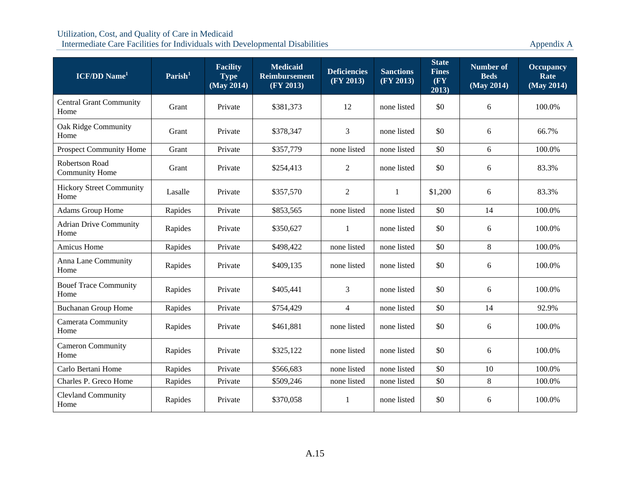| $ICF/DD$ Name <sup>1</sup>                     | $\textbf{Parish}^1$ | <b>Facility</b><br><b>Type</b><br>(May 2014) | <b>Medicaid</b><br><b>Reimbursement</b><br>(FY 2013) | <b>Deficiencies</b><br>(FY 2013) | <b>Sanctions</b><br>(FY 2013) | <b>State</b><br><b>Fines</b><br>(FY)<br>2013) | <b>Number of</b><br><b>Beds</b><br>(May 2014) | <b>Occupancy</b><br>Rate<br>(May 2014) |
|------------------------------------------------|---------------------|----------------------------------------------|------------------------------------------------------|----------------------------------|-------------------------------|-----------------------------------------------|-----------------------------------------------|----------------------------------------|
| <b>Central Grant Community</b><br>Home         | Grant               | Private                                      | \$381,373                                            | 12                               | none listed                   | \$0                                           | 6                                             | 100.0%                                 |
| Oak Ridge Community<br>Home                    | Grant               | Private                                      | \$378,347                                            | 3                                | none listed                   | \$0                                           | 6                                             | 66.7%                                  |
| <b>Prospect Community Home</b>                 | Grant               | Private                                      | \$357,779                                            | none listed                      | none listed                   | \$0                                           | 6                                             | 100.0%                                 |
| <b>Robertson Road</b><br><b>Community Home</b> | Grant               | Private                                      | \$254,413                                            | $\overline{2}$                   | none listed                   | \$0                                           | 6                                             | 83.3%                                  |
| <b>Hickory Street Community</b><br>Home        | Lasalle             | Private                                      | \$357,570                                            | $\overline{2}$                   | $\mathbf{1}$                  | \$1,200                                       | 6                                             | 83.3%                                  |
| Adams Group Home                               | Rapides             | Private                                      | \$853,565                                            | none listed                      | none listed                   | \$0                                           | 14                                            | 100.0%                                 |
| <b>Adrian Drive Community</b><br>Home          | Rapides             | Private                                      | \$350,627                                            | 1                                | none listed                   | \$0                                           | 6                                             | 100.0%                                 |
| Amicus Home                                    | Rapides             | Private                                      | \$498,422                                            | none listed                      | none listed                   | \$0                                           | $8\,$                                         | 100.0%                                 |
| Anna Lane Community<br>Home                    | Rapides             | Private                                      | \$409,135                                            | none listed                      | none listed                   | \$0                                           | 6                                             | 100.0%                                 |
| <b>Bouef Trace Community</b><br>Home           | Rapides             | Private                                      | \$405,441                                            | 3                                | none listed                   | \$0                                           | 6                                             | 100.0%                                 |
| <b>Buchanan Group Home</b>                     | Rapides             | Private                                      | \$754,429                                            | $\overline{4}$                   | none listed                   | \$0                                           | 14                                            | 92.9%                                  |
| Camerata Community<br>Home                     | Rapides             | Private                                      | \$461,881                                            | none listed                      | none listed                   | \$0                                           | 6                                             | 100.0%                                 |
| <b>Cameron Community</b><br>Home               | Rapides             | Private                                      | \$325,122                                            | none listed                      | none listed                   | \$0                                           | 6                                             | 100.0%                                 |
| Carlo Bertani Home                             | Rapides             | Private                                      | \$566,683                                            | none listed                      | none listed                   | \$0                                           | 10                                            | 100.0%                                 |
| Charles P. Greco Home                          | Rapides             | Private                                      | \$509,246                                            | none listed                      | none listed                   | \$0                                           | $8\,$                                         | 100.0%                                 |
| <b>Clevland Community</b><br>Home              | Rapides             | Private                                      | \$370,058                                            | 1                                | none listed                   | \$0                                           | 6                                             | 100.0%                                 |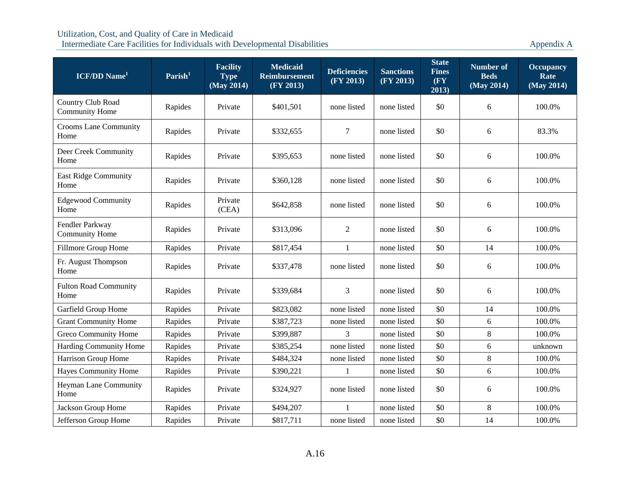| <b>ICF/DD</b> Name <sup>1</sup>            | Parish <sup>1</sup> | <b>Facility</b><br><b>Type</b><br>(May 2014) | <b>Medicaid</b><br><b>Reimbursement</b><br>(FY 2013) | <b>Deficiencies</b><br>(FY 2013) | <b>Sanctions</b><br>(FY 2013) | <b>State</b><br><b>Fines</b><br>(FY)<br>2013) | <b>Number of</b><br><b>Beds</b><br>(May 2014) | <b>Occupancy</b><br>Rate<br>(May 2014) |
|--------------------------------------------|---------------------|----------------------------------------------|------------------------------------------------------|----------------------------------|-------------------------------|-----------------------------------------------|-----------------------------------------------|----------------------------------------|
| Country Club Road<br><b>Community Home</b> | Rapides             | Private                                      | \$401,501                                            | none listed                      | none listed                   | \$0                                           | 6                                             | 100.0%                                 |
| <b>Crooms Lane Community</b><br>Home       | Rapides             | Private                                      | \$332,655                                            | 7                                | none listed                   | \$0                                           | 6                                             | 83.3%                                  |
| Deer Creek Community<br>Home               | Rapides             | Private                                      | \$395,653                                            | none listed                      | none listed                   | \$0                                           | 6                                             | 100.0%                                 |
| <b>East Ridge Community</b><br>Home        | Rapides             | Private                                      | \$360,128                                            | none listed                      | none listed                   | \$0                                           | 6                                             | 100.0%                                 |
| <b>Edgewood Community</b><br>Home          | Rapides             | Private<br>(CEA)                             | \$642,858                                            | none listed                      | none listed                   | \$0                                           | 6                                             | 100.0%                                 |
| Fendler Parkway<br><b>Community Home</b>   | Rapides             | Private                                      | \$313,096                                            | $\overline{2}$                   | none listed                   | \$0                                           | 6                                             | 100.0%                                 |
| Fillmore Group Home                        | Rapides             | Private                                      | \$817,454                                            | 1                                | none listed                   | \$0                                           | 14                                            | 100.0%                                 |
| Fr. August Thompson<br>Home                | Rapides             | Private                                      | \$337,478                                            | none listed                      | none listed                   | \$0                                           | 6                                             | 100.0%                                 |
| <b>Fulton Road Community</b><br>Home       | Rapides             | Private                                      | \$339,684                                            | 3                                | none listed                   | \$0                                           | 6                                             | 100.0%                                 |
| Garfield Group Home                        | Rapides             | Private                                      | \$823,082                                            | none listed                      | none listed                   | \$0                                           | 14                                            | 100.0%                                 |
| <b>Grant Community Home</b>                | Rapides             | Private                                      | \$387,723                                            | none listed                      | none listed                   | \$0                                           | 6                                             | 100.0%                                 |
| <b>Greco Community Home</b>                | Rapides             | Private                                      | \$399,887                                            | 3                                | none listed                   | \$0                                           | $8\,$                                         | 100.0%                                 |
| Harding Community Home                     | Rapides             | Private                                      | \$385,254                                            | none listed                      | none listed                   | \$0                                           | 6                                             | unknown                                |
| Harrison Group Home                        | Rapides             | Private                                      | \$484,324                                            | none listed                      | none listed                   | \$0                                           | $\,8\,$                                       | 100.0%                                 |
| <b>Hayes Community Home</b>                | Rapides             | Private                                      | \$390,221                                            | $\mathbf{1}$                     | none listed                   | \$0                                           | 6                                             | 100.0%                                 |
| <b>Heyman Lane Community</b><br>Home       | Rapides             | Private                                      | \$324,927                                            | none listed                      | none listed                   | \$0                                           | 6                                             | 100.0%                                 |
| Jackson Group Home                         | Rapides             | Private                                      | \$494,207                                            |                                  | none listed                   | \$0                                           | $\,8\,$                                       | 100.0%                                 |
| Jefferson Group Home                       | Rapides             | Private                                      | \$817,711                                            | none listed                      | none listed                   | \$0                                           | 14                                            | 100.0%                                 |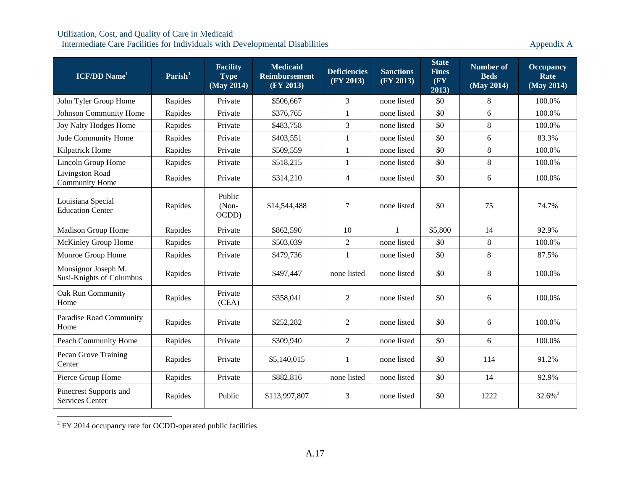Intermediate Care Facilities for Individuals with Developmental Disabilities Appendix A

| $ICF/DD$ Name <sup>1</sup>                      | Parish <sup>1</sup> | <b>Facility</b><br><b>Type</b><br>(May 2014) | <b>Medicaid</b><br><b>Reimbursement</b><br>(FY 2013) | <b>Deficiencies</b><br>(FY 2013) | <b>Sanctions</b><br>(FY 2013) | <b>State</b><br><b>Fines</b><br>$(\mathbf{F}\mathbf{Y})$<br>2013) | <b>Number of</b><br><b>Beds</b><br>$\overline{\text{ (May 2014)}}$ | <b>Occupancy</b><br>Rate<br>(May 2014) |
|-------------------------------------------------|---------------------|----------------------------------------------|------------------------------------------------------|----------------------------------|-------------------------------|-------------------------------------------------------------------|--------------------------------------------------------------------|----------------------------------------|
| John Tyler Group Home                           | Rapides             | Private                                      | \$506,667                                            | 3                                | none listed                   | \$0                                                               | 8                                                                  | 100.0%                                 |
| Johnson Community Home                          | Rapides             | Private                                      | \$376,765                                            | 1                                | none listed                   | \$0                                                               | 6                                                                  | 100.0%                                 |
| Joy Nalty Hodges Home                           | Rapides             | Private                                      | \$483,758                                            | $\overline{3}$                   | none listed                   | \$0                                                               | 8                                                                  | 100.0%                                 |
| Jude Community Home                             | Rapides             | Private                                      | \$403,551                                            | 1                                | none listed                   | \$0                                                               | 6                                                                  | 83.3%                                  |
| Kilpatrick Home                                 | Rapides             | Private                                      | \$509,559                                            | $\mathbf{1}$                     | none listed                   | \$0                                                               | $\,8\,$                                                            | 100.0%                                 |
| Lincoln Group Home                              | Rapides             | Private                                      | \$518,215                                            | 1                                | none listed                   | \$0                                                               | 8                                                                  | 100.0%                                 |
| Livingston Road<br><b>Community Home</b>        | Rapides             | Private                                      | \$314,210                                            | $\overline{4}$                   | none listed                   | \$0                                                               | 6                                                                  | 100.0%                                 |
| Louisiana Special<br><b>Education Center</b>    | Rapides             | Public<br>(Non-<br>OCDD)                     | \$14,544,488                                         | $\boldsymbol{7}$                 | none listed                   | \$0                                                               | 75                                                                 | 74.7%                                  |
| Madison Group Home                              | Rapides             | Private                                      | \$862,590                                            | 10                               | 1                             | \$5,800                                                           | 14                                                                 | 92.9%                                  |
| McKinley Group Home                             | Rapides             | Private                                      | \$503,039                                            | $\overline{2}$                   | none listed                   | \$0                                                               | $\,8\,$                                                            | 100.0%                                 |
| Monroe Group Home                               | Rapides             | Private                                      | \$479,736                                            | $\mathbf{1}$                     | none listed                   | \$0                                                               | $\,8\,$                                                            | 87.5%                                  |
| Monsignor Joseph M.<br>Susi-Knights of Columbus | Rapides             | Private                                      | \$497,447                                            | none listed                      | none listed                   | \$0                                                               | $\,8\,$                                                            | 100.0%                                 |
| Oak Run Community<br>Home                       | Rapides             | Private<br>(CEA)                             | \$358,041                                            | 2                                | none listed                   | \$0                                                               | 6                                                                  | 100.0%                                 |
| Paradise Road Community<br>Home                 | Rapides             | Private                                      | \$252,282                                            | $\overline{2}$                   | none listed                   | \$0                                                               | 6                                                                  | 100.0%                                 |
| Peach Community Home                            | Rapides             | Private                                      | \$309,940                                            | $\overline{2}$                   | none listed                   | \$0                                                               | 6                                                                  | 100.0%                                 |
| Pecan Grove Training<br>Center                  | Rapides             | Private                                      | \$5,140,015                                          | $\mathbf{1}$                     | none listed                   | \$0                                                               | 114                                                                | 91.2%                                  |
| Pierce Group Home                               | Rapides             | Private                                      | \$882,816                                            | none listed                      | none listed                   | \$0                                                               | 14                                                                 | 92.9%                                  |
| Pinecrest Supports and<br>Services Center       | Rapides             | Public                                       | \$113,997,807                                        | 3                                | none listed                   | \$0                                                               | 1222                                                               | $32.6\%$ <sup>2</sup>                  |

<sup>2</sup> FY 2014 occupancy rate for OCDD-operated public facilities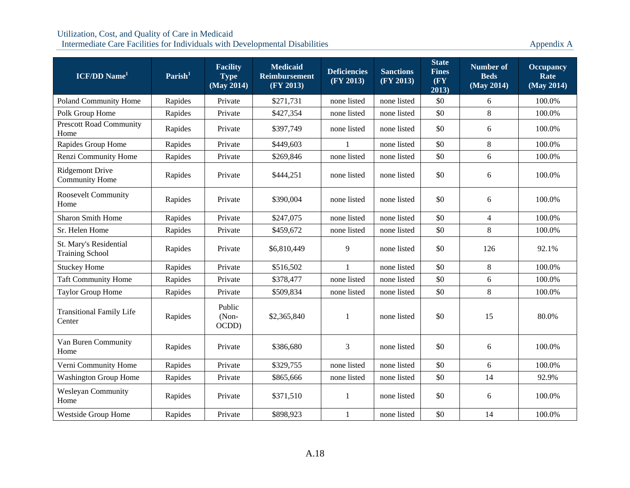| $ICF/DD$ Name <sup>1</sup>                       | $\mathrm{Parish}^1$ | <b>Facility</b><br><b>Type</b><br>(May 2014) | <b>Medicaid</b><br><b>Reimbursement</b><br>(FY 2013) | <b>Deficiencies</b><br>(FY 2013) | <b>Sanctions</b><br>(FY 2013) | <b>State</b><br><b>Fines</b><br>(FY<br>2013) | <b>Number of</b><br><b>Beds</b><br>(May 2014) | <b>Occupancy</b><br>Rate<br>(May 2014) |
|--------------------------------------------------|---------------------|----------------------------------------------|------------------------------------------------------|----------------------------------|-------------------------------|----------------------------------------------|-----------------------------------------------|----------------------------------------|
| <b>Poland Community Home</b>                     | Rapides             | Private                                      | \$271,731                                            | none listed                      | none listed                   | \$0                                          | 6                                             | 100.0%                                 |
| Polk Group Home                                  | Rapides             | Private                                      | \$427,354                                            | none listed                      | none listed                   | \$0                                          | 8                                             | 100.0%                                 |
| <b>Prescott Road Community</b><br>Home           | Rapides             | Private                                      | \$397,749                                            | none listed                      | none listed                   | \$0                                          | 6                                             | 100.0%                                 |
| Rapides Group Home                               | Rapides             | Private                                      | \$449,603                                            | 1                                | none listed                   | \$0                                          | 8                                             | 100.0%                                 |
| Renzi Community Home                             | Rapides             | Private                                      | \$269,846                                            | none listed                      | none listed                   | \$0                                          | 6                                             | 100.0%                                 |
| <b>Ridgemont Drive</b><br><b>Community Home</b>  | Rapides             | Private                                      | \$444,251                                            | none listed                      | none listed                   | \$0                                          | 6                                             | 100.0%                                 |
| <b>Roosevelt Community</b><br>Home               | Rapides             | Private                                      | \$390,004                                            | none listed                      | none listed                   | \$0                                          | 6                                             | 100.0%                                 |
| <b>Sharon Smith Home</b>                         | Rapides             | Private                                      | \$247,075                                            | none listed                      | none listed                   | \$0                                          | $\overline{4}$                                | 100.0%                                 |
| Sr. Helen Home                                   | Rapides             | Private                                      | \$459,672                                            | none listed                      | none listed                   | \$0                                          | 8                                             | 100.0%                                 |
| St. Mary's Residential<br><b>Training School</b> | Rapides             | Private                                      | \$6,810,449                                          | 9                                | none listed                   | \$0                                          | 126                                           | 92.1%                                  |
| <b>Stuckey Home</b>                              | Rapides             | Private                                      | \$516,502                                            | 1                                | none listed                   | \$0                                          | $8\,$                                         | 100.0%                                 |
| <b>Taft Community Home</b>                       | Rapides             | Private                                      | \$378,477                                            | none listed                      | none listed                   | \$0                                          | 6                                             | 100.0%                                 |
| <b>Taylor Group Home</b>                         | Rapides             | Private                                      | \$509,834                                            | none listed                      | none listed                   | \$0                                          | 8                                             | 100.0%                                 |
| <b>Transitional Family Life</b><br>Center        | Rapides             | Public<br>(Non-<br>OCDD)                     | \$2,365,840                                          | 1                                | none listed                   | \$0                                          | 15                                            | 80.0%                                  |
| Van Buren Community<br>Home                      | Rapides             | Private                                      | \$386,680                                            | 3                                | none listed                   | \$0                                          | 6                                             | 100.0%                                 |
| Verni Community Home                             | Rapides             | Private                                      | \$329,755                                            | none listed                      | none listed                   | \$0                                          | 6                                             | 100.0%                                 |
| <b>Washington Group Home</b>                     | Rapides             | Private                                      | \$865,666                                            | none listed                      | none listed                   | \$0                                          | 14                                            | 92.9%                                  |
| Wesleyan Community<br>Home                       | Rapides             | Private                                      | \$371,510                                            | 1                                | none listed                   | \$0                                          | 6                                             | 100.0%                                 |
| <b>Westside Group Home</b>                       | Rapides             | Private                                      | \$898,923                                            | $\mathbf{1}$                     | none listed                   | \$0                                          | 14                                            | 100.0%                                 |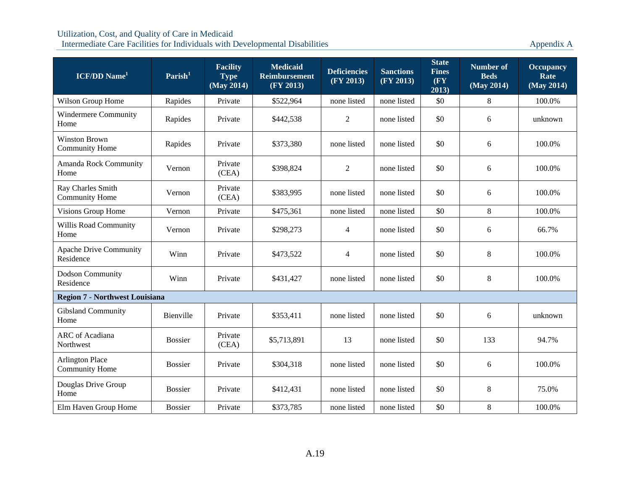| <b>ICF/DD</b> Name <sup>1</sup>                 | Parish <sup>1</sup> | <b>Facility</b><br><b>Type</b><br>(May 2014) | <b>Medicaid</b><br><b>Reimbursement</b><br>(FY 2013) | <b>Deficiencies</b><br>(FY 2013) | <b>Sanctions</b><br>(FY 2013) | <b>State</b><br><b>Fines</b><br>(FY)<br>2013) | <b>Number of</b><br><b>Beds</b><br>(May 2014) | <b>Occupancy</b><br>Rate<br>(May 2014) |
|-------------------------------------------------|---------------------|----------------------------------------------|------------------------------------------------------|----------------------------------|-------------------------------|-----------------------------------------------|-----------------------------------------------|----------------------------------------|
| Wilson Group Home                               | Rapides             | Private                                      | \$522,964                                            | none listed                      | none listed                   | \$0                                           | $\,8\,$                                       | 100.0%                                 |
| Windermere Community<br>Home                    | Rapides             | Private                                      | \$442,538                                            | $\overline{2}$                   | none listed                   | \$0                                           | 6                                             | unknown                                |
| <b>Winston Brown</b><br><b>Community Home</b>   | Rapides             | Private                                      | \$373,380                                            | none listed                      | none listed                   | \$0                                           | 6                                             | 100.0%                                 |
| Amanda Rock Community<br>Home                   | Vernon              | Private<br>(CEA)                             | \$398,824                                            | $\overline{2}$                   | none listed                   | \$0                                           | 6                                             | 100.0%                                 |
| Ray Charles Smith<br><b>Community Home</b>      | Vernon              | Private<br>(CEA)                             | \$383,995                                            | none listed                      | none listed                   | \$0                                           | 6                                             | 100.0%                                 |
| Visions Group Home                              | Vernon              | Private                                      | \$475,361                                            | none listed                      | none listed                   | \$0                                           | 8                                             | 100.0%                                 |
| Willis Road Community<br>Home                   | Vernon              | Private                                      | \$298,273                                            | $\overline{4}$                   | none listed                   | \$0                                           | 6                                             | 66.7%                                  |
| <b>Apache Drive Community</b><br>Residence      | Winn                | Private                                      | \$473,522                                            | 4                                | none listed                   | \$0                                           | 8                                             | 100.0%                                 |
| <b>Dodson Community</b><br>Residence            | Winn                | Private                                      | \$431,427                                            | none listed                      | none listed                   | \$0                                           | $\,8\,$                                       | 100.0%                                 |
| <b>Region 7 - Northwest Louisiana</b>           |                     |                                              |                                                      |                                  |                               |                                               |                                               |                                        |
| <b>Gibsland Community</b><br>Home               | Bienville           | Private                                      | \$353,411                                            | none listed                      | none listed                   | \$0                                           | 6                                             | unknown                                |
| ARC of Acadiana<br>Northwest                    | <b>Bossier</b>      | Private<br>(CEA)                             | \$5,713,891                                          | 13                               | none listed                   | \$0                                           | 133                                           | 94.7%                                  |
| <b>Arlington Place</b><br><b>Community Home</b> | <b>Bossier</b>      | Private                                      | \$304,318                                            | none listed                      | none listed                   | \$0                                           | 6                                             | 100.0%                                 |
| Douglas Drive Group<br>Home                     | <b>Bossier</b>      | Private                                      | \$412,431                                            | none listed                      | none listed                   | \$0                                           | 8                                             | 75.0%                                  |
| Elm Haven Group Home                            | <b>Bossier</b>      | Private                                      | \$373,785                                            | none listed                      | none listed                   | \$0                                           | $\,8\,$                                       | 100.0%                                 |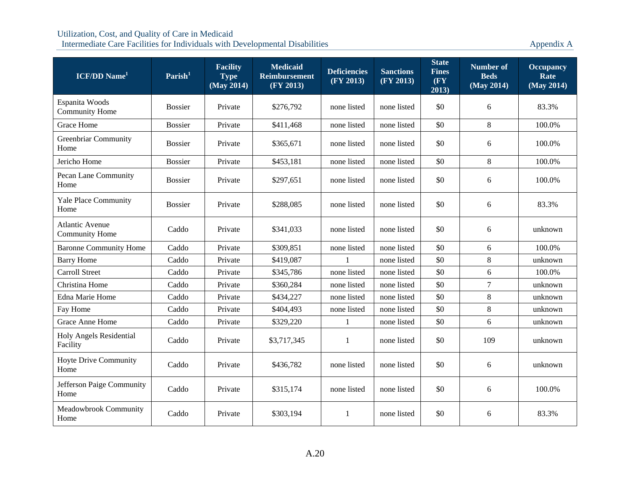| <b>ICF/DD</b> Name <sup>1</sup>                 | $\textbf{Parish}^1$ | <b>Facility</b><br><b>Type</b><br>(May 2014) | <b>Medicaid</b><br><b>Reimbursement</b><br>(FY 2013) | <b>Deficiencies</b><br>(FY 2013) | <b>Sanctions</b><br>(FY 2013) | <b>State</b><br><b>Fines</b><br>(FY)<br>2013) | <b>Number of</b><br><b>Beds</b><br>(May 2014) | <b>Occupancy</b><br>Rate<br>(May 2014) |
|-------------------------------------------------|---------------------|----------------------------------------------|------------------------------------------------------|----------------------------------|-------------------------------|-----------------------------------------------|-----------------------------------------------|----------------------------------------|
| Espanita Woods<br><b>Community Home</b>         | <b>Bossier</b>      | Private                                      | \$276,792                                            | none listed                      | none listed                   | \$0                                           | 6                                             | 83.3%                                  |
| <b>Grace Home</b>                               | <b>Bossier</b>      | Private                                      | \$411,468                                            | none listed                      | none listed                   | \$0                                           | $\,8\,$                                       | 100.0%                                 |
| <b>Greenbriar Community</b><br>Home             | <b>Bossier</b>      | Private                                      | \$365,671                                            | none listed                      | none listed                   | \$0                                           | 6                                             | 100.0%                                 |
| Jericho Home                                    | <b>Bossier</b>      | Private                                      | \$453,181                                            | none listed                      | none listed                   | \$0                                           | $8\,$                                         | 100.0%                                 |
| Pecan Lane Community<br>Home                    | <b>Bossier</b>      | Private                                      | \$297,651                                            | none listed                      | none listed                   | \$0                                           | 6                                             | 100.0%                                 |
| Yale Place Community<br>Home                    | <b>Bossier</b>      | Private                                      | \$288,085                                            | none listed                      | none listed                   | \$0                                           | 6                                             | 83.3%                                  |
| <b>Atlantic Avenue</b><br><b>Community Home</b> | Caddo               | Private                                      | \$341,033                                            | none listed                      | none listed                   | \$0                                           | 6                                             | unknown                                |
| <b>Baronne Community Home</b>                   | Caddo               | Private                                      | \$309,851                                            | none listed                      | none listed                   | \$0                                           | 6                                             | 100.0%                                 |
| <b>Barry Home</b>                               | Caddo               | Private                                      | \$419,087                                            |                                  | none listed                   | \$0                                           | 8                                             | unknown                                |
| <b>Carroll Street</b>                           | Caddo               | Private                                      | \$345,786                                            | none listed                      | none listed                   | \$0                                           | 6                                             | 100.0%                                 |
| Christina Home                                  | Caddo               | Private                                      | \$360,284                                            | none listed                      | none listed                   | \$0                                           | $\tau$                                        | unknown                                |
| Edna Marie Home                                 | Caddo               | Private                                      | \$434,227                                            | none listed                      | none listed                   | \$0                                           | 8                                             | unknown                                |
| Fay Home                                        | Caddo               | Private                                      | \$404,493                                            | none listed                      | none listed                   | \$0                                           | $8\,$                                         | unknown                                |
| Grace Anne Home                                 | Caddo               | Private                                      | \$329,220                                            | 1                                | none listed                   | \$0                                           | 6                                             | unknown                                |
| Holy Angels Residential<br>Facility             | Caddo               | Private                                      | \$3,717,345                                          | 1                                | none listed                   | \$0                                           | 109                                           | unknown                                |
| Hoyte Drive Community<br>Home                   | Caddo               | Private                                      | \$436,782                                            | none listed                      | none listed                   | \$0                                           | 6                                             | unknown                                |
| Jefferson Paige Community<br>Home               | Caddo               | Private                                      | \$315,174                                            | none listed                      | none listed                   | \$0                                           | 6                                             | 100.0%                                 |
| Meadowbrook Community<br>Home                   | Caddo               | Private                                      | \$303,194                                            | -1                               | none listed                   | \$0                                           | 6                                             | 83.3%                                  |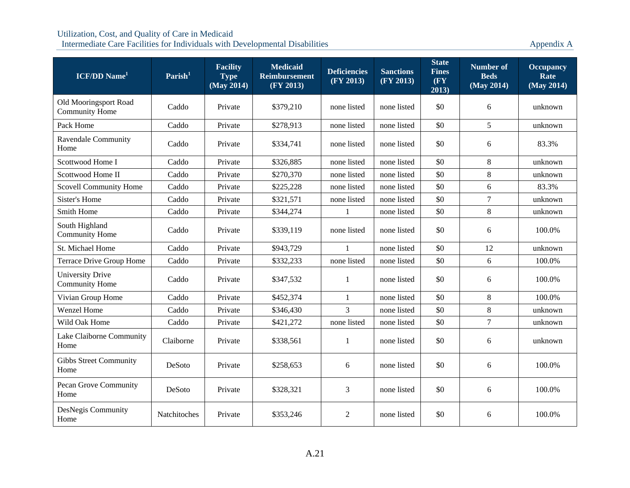| <b>ICF/DD</b> Name <sup>1</sup>                  | Parish <sup>1</sup> | <b>Facility</b><br><b>Type</b><br>(May 2014) | <b>Medicaid</b><br><b>Reimbursement</b><br>(FY 2013) | <b>Deficiencies</b><br>(FY 2013) | <b>Sanctions</b><br>(FY 2013) | <b>State</b><br><b>Fines</b><br>(FY)<br>2013) | <b>Number of</b><br><b>Beds</b><br>(May 2014) | <b>Occupancy</b><br>Rate<br>(May 2014) |
|--------------------------------------------------|---------------------|----------------------------------------------|------------------------------------------------------|----------------------------------|-------------------------------|-----------------------------------------------|-----------------------------------------------|----------------------------------------|
| Old Mooringsport Road<br><b>Community Home</b>   | Caddo               | Private                                      | \$379,210                                            | none listed                      | none listed                   | \$0                                           | 6                                             | unknown                                |
| Pack Home                                        | Caddo               | Private                                      | \$278,913                                            | none listed                      | none listed                   | \$0                                           | 5                                             | unknown                                |
| <b>Ravendale Community</b><br>Home               | Caddo               | Private                                      | \$334,741                                            | none listed                      | none listed                   | \$0                                           | 6                                             | 83.3%                                  |
| Scottwood Home I                                 | Caddo               | Private                                      | \$326,885                                            | none listed                      | none listed                   | \$0                                           | $8\,$                                         | unknown                                |
| Scottwood Home II                                | Caddo               | Private                                      | \$270,370                                            | none listed                      | none listed                   | \$0                                           | $\,8\,$                                       | unknown                                |
| <b>Scovell Community Home</b>                    | Caddo               | Private                                      | \$225,228                                            | none listed                      | none listed                   | \$0                                           | 6                                             | 83.3%                                  |
| Sister's Home                                    | Caddo               | Private                                      | \$321,571                                            | none listed                      | none listed                   | \$0                                           | $\tau$                                        | unknown                                |
| Smith Home                                       | Caddo               | Private                                      | \$344,274                                            | $\mathbf{1}$                     | none listed                   | \$0                                           | 8                                             | unknown                                |
| South Highland<br><b>Community Home</b>          | Caddo               | Private                                      | \$339,119                                            | none listed                      | none listed                   | \$0                                           | 6                                             | 100.0%                                 |
| St. Michael Home                                 | Caddo               | Private                                      | \$943,729                                            | 1                                | none listed                   | \$0                                           | 12                                            | unknown                                |
| Terrace Drive Group Home                         | Caddo               | Private                                      | \$332,233                                            | none listed                      | none listed                   | \$0                                           | 6                                             | 100.0%                                 |
| <b>University Drive</b><br><b>Community Home</b> | Caddo               | Private                                      | \$347,532                                            | 1                                | none listed                   | \$0                                           | 6                                             | 100.0%                                 |
| Vivian Group Home                                | Caddo               | Private                                      | \$452,374                                            | 1                                | none listed                   | \$0                                           | $8\,$                                         | 100.0%                                 |
| Wenzel Home                                      | Caddo               | Private                                      | \$346,430                                            | $\overline{3}$                   | none listed                   | \$0                                           | $8\,$                                         | unknown                                |
| Wild Oak Home                                    | Caddo               | Private                                      | \$421,272                                            | none listed                      | none listed                   | \$0                                           | $\tau$                                        | unknown                                |
| Lake Claiborne Community<br>Home                 | Claiborne           | Private                                      | \$338,561                                            | 1                                | none listed                   | \$0                                           | 6                                             | unknown                                |
| <b>Gibbs Street Community</b><br>Home            | DeSoto              | Private                                      | \$258,653                                            | 6                                | none listed                   | \$0                                           | 6                                             | 100.0%                                 |
| Pecan Grove Community<br>Home                    | DeSoto              | Private                                      | \$328,321                                            | 3                                | none listed                   | \$0                                           | 6                                             | 100.0%                                 |
| DesNegis Community<br>Home                       | Natchitoches        | Private                                      | \$353,246                                            | $\overline{2}$                   | none listed                   | \$0                                           | 6                                             | 100.0%                                 |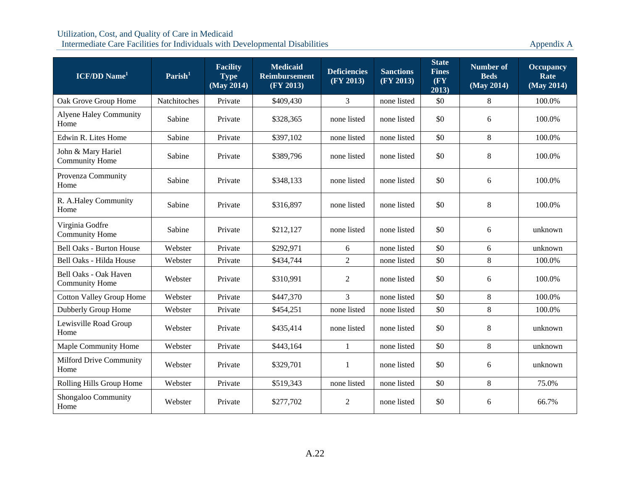| <b>ICF/DD</b> Name <sup>1</sup>                | $\textbf{Parish}^1$ | <b>Facility</b><br><b>Type</b><br>(May 2014) | <b>Medicaid</b><br><b>Reimbursement</b><br>(FY 2013) | <b>Deficiencies</b><br>(FY 2013) | <b>Sanctions</b><br>(FY 2013) | <b>State</b><br><b>Fines</b><br>(FY<br>2013) | <b>Number of</b><br><b>Beds</b><br>(May 2014) | <b>Occupancy</b><br>Rate<br>(May 2014) |
|------------------------------------------------|---------------------|----------------------------------------------|------------------------------------------------------|----------------------------------|-------------------------------|----------------------------------------------|-----------------------------------------------|----------------------------------------|
| Oak Grove Group Home                           | Natchitoches        | Private                                      | \$409,430                                            | 3                                | none listed                   | \$0                                          | 8                                             | 100.0%                                 |
| <b>Alyene Haley Community</b><br>Home          | Sabine              | Private                                      | \$328,365                                            | none listed                      | none listed                   | \$0                                          | 6                                             | 100.0%                                 |
| Edwin R. Lites Home                            | Sabine              | Private                                      | \$397,102                                            | none listed                      | none listed                   | \$0                                          | 8                                             | 100.0%                                 |
| John & Mary Hariel<br><b>Community Home</b>    | Sabine              | Private                                      | \$389,796                                            | none listed                      | none listed                   | \$0                                          | 8                                             | 100.0%                                 |
| Provenza Community<br>Home                     | Sabine              | Private                                      | \$348,133                                            | none listed                      | none listed                   | \$0                                          | 6                                             | 100.0%                                 |
| R. A.Haley Community<br>Home                   | Sabine              | Private                                      | \$316,897                                            | none listed                      | none listed                   | \$0                                          | 8                                             | 100.0%                                 |
| Virginia Godfre<br><b>Community Home</b>       | Sabine              | Private                                      | \$212,127                                            | none listed                      | none listed                   | \$0                                          | 6                                             | unknown                                |
| <b>Bell Oaks - Burton House</b>                | Webster             | Private                                      | \$292,971                                            | 6                                | none listed                   | \$0                                          | 6                                             | unknown                                |
| Bell Oaks - Hilda House                        | Webster             | Private                                      | \$434,744                                            | $\overline{2}$                   | none listed                   | \$0                                          | 8                                             | 100.0%                                 |
| Bell Oaks - Oak Haven<br><b>Community Home</b> | Webster             | Private                                      | \$310,991                                            | $\overline{2}$                   | none listed                   | \$0                                          | 6                                             | 100.0%                                 |
| <b>Cotton Valley Group Home</b>                | Webster             | Private                                      | \$447,370                                            | 3                                | none listed                   | \$0                                          | $\,8\,$                                       | 100.0%                                 |
| Dubberly Group Home                            | Webster             | Private                                      | \$454,251                                            | none listed                      | none listed                   | \$0                                          | $\,8\,$                                       | 100.0%                                 |
| Lewisville Road Group<br>Home                  | Webster             | Private                                      | \$435,414                                            | none listed                      | none listed                   | \$0                                          | $\,8\,$                                       | unknown                                |
| Maple Community Home                           | Webster             | Private                                      | \$443,164                                            | 1                                | none listed                   | \$0                                          | 8                                             | unknown                                |
| <b>Milford Drive Community</b><br>Home         | Webster             | Private                                      | \$329,701                                            | 1                                | none listed                   | \$0                                          | 6                                             | unknown                                |
| Rolling Hills Group Home                       | Webster             | Private                                      | \$519,343                                            | none listed                      | none listed                   | \$0                                          | 8                                             | 75.0%                                  |
| Shongaloo Community<br>Home                    | Webster             | Private                                      | \$277,702                                            | 2                                | none listed                   | \$0                                          | 6                                             | 66.7%                                  |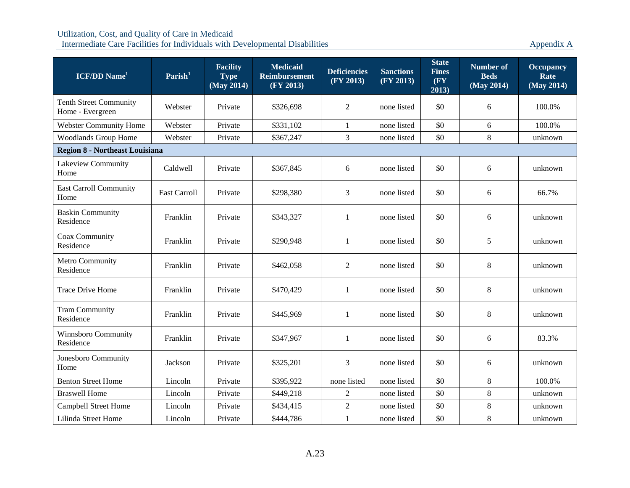| <b>ICF/DD</b> Name <sup>1</sup>                   | $\mathrm{Parish}^1$                   | <b>Facility</b><br><b>Type</b><br>$\overline{\text{ (May 2014)}}$ | <b>Medicaid</b><br><b>Reimbursement</b><br>(FY 2013) | <b>Deficiencies</b><br>(FY 2013) | <b>Sanctions</b><br>(FY 2013) | <b>State</b><br><b>Fines</b><br>(FY)<br>2013) | <b>Number of</b><br><b>Beds</b><br>(May 2014) | <b>Occupancy</b><br>Rate<br>(May 2014) |  |  |  |
|---------------------------------------------------|---------------------------------------|-------------------------------------------------------------------|------------------------------------------------------|----------------------------------|-------------------------------|-----------------------------------------------|-----------------------------------------------|----------------------------------------|--|--|--|
| <b>Tenth Street Community</b><br>Home - Evergreen | Webster                               | Private                                                           | \$326,698                                            | $\overline{2}$                   | none listed                   | \$0                                           | 6                                             | 100.0%                                 |  |  |  |
| <b>Webster Community Home</b>                     | Webster                               | Private                                                           | \$331,102                                            | $\mathbf{1}$                     | none listed                   | \$0                                           | 6                                             | 100.0%                                 |  |  |  |
| <b>Woodlands Group Home</b>                       | Webster                               | Private                                                           | \$367,247                                            | 3                                | none listed                   | \$0                                           | $8\,$                                         | unknown                                |  |  |  |
|                                                   | <b>Region 8 - Northeast Louisiana</b> |                                                                   |                                                      |                                  |                               |                                               |                                               |                                        |  |  |  |
| Lakeview Community<br>Home                        | Caldwell                              | Private                                                           | \$367,845                                            | 6                                | none listed                   | \$0                                           | 6                                             | unknown                                |  |  |  |
| <b>East Carroll Community</b><br>Home             | <b>East Carroll</b>                   | Private                                                           | \$298,380                                            | 3                                | none listed                   | \$0                                           | 6                                             | 66.7%                                  |  |  |  |
| <b>Baskin Community</b><br>Residence              | Franklin                              | Private                                                           | \$343,327                                            | 1                                | none listed                   | \$0                                           | 6                                             | unknown                                |  |  |  |
| Coax Community<br>Residence                       | Franklin                              | Private                                                           | \$290,948                                            | $\mathbf{1}$                     | none listed                   | \$0                                           | 5                                             | unknown                                |  |  |  |
| Metro Community<br>Residence                      | Franklin                              | Private                                                           | \$462,058                                            | $\overline{2}$                   | none listed                   | \$0                                           | $\,8\,$                                       | unknown                                |  |  |  |
| <b>Trace Drive Home</b>                           | Franklin                              | Private                                                           | \$470,429                                            | 1                                | none listed                   | \$0                                           | $8\,$                                         | unknown                                |  |  |  |
| <b>Tram Community</b><br>Residence                | Franklin                              | Private                                                           | \$445,969                                            | 1                                | none listed                   | \$0                                           | $8\,$                                         | unknown                                |  |  |  |
| Winnsboro Community<br>Residence                  | Franklin                              | Private                                                           | \$347,967                                            | 1                                | none listed                   | \$0                                           | 6                                             | 83.3%                                  |  |  |  |
| Jonesboro Community<br>Home                       | Jackson                               | Private                                                           | \$325,201                                            | 3                                | none listed                   | \$0                                           | 6                                             | unknown                                |  |  |  |
| <b>Benton Street Home</b>                         | Lincoln                               | Private                                                           | \$395,922                                            | none listed                      | none listed                   | \$0                                           | $\,8\,$                                       | 100.0%                                 |  |  |  |
| <b>Braswell Home</b>                              | Lincoln                               | Private                                                           | \$449,218                                            | 2                                | none listed                   | \$0                                           | $8\,$                                         | unknown                                |  |  |  |
| <b>Campbell Street Home</b>                       | Lincoln                               | Private                                                           | \$434,415                                            | $\overline{2}$                   | none listed                   | \$0                                           | $8\,$                                         | unknown                                |  |  |  |
| Lilinda Street Home                               | Lincoln                               | Private                                                           | \$444,786                                            | $\mathbf{1}$                     | none listed                   | \$0                                           | $8\,$                                         | unknown                                |  |  |  |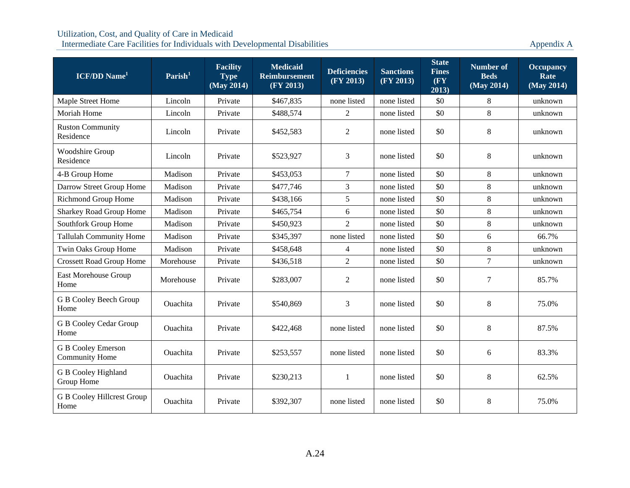| <b>ICF/DD</b> Name <sup>1</sup>                    | $\textbf{Parish}^1$ | <b>Facility</b><br><b>Type</b><br>(May 2014) | <b>Medicaid</b><br><b>Reimbursement</b><br>(FY 2013) | <b>Deficiencies</b><br>(FY 2013) | <b>Sanctions</b><br>(FY 2013) | <b>State</b><br><b>Fines</b><br>(FY)<br>2013) | <b>Number of</b><br><b>Beds</b><br>(May 2014) | <b>Occupancy</b><br>Rate<br>(May 2014) |
|----------------------------------------------------|---------------------|----------------------------------------------|------------------------------------------------------|----------------------------------|-------------------------------|-----------------------------------------------|-----------------------------------------------|----------------------------------------|
| Maple Street Home                                  | Lincoln             | Private                                      | \$467,835                                            | none listed                      | none listed                   | \$0                                           | 8                                             | unknown                                |
| Moriah Home                                        | Lincoln             | Private                                      | \$488,574                                            | $\overline{2}$                   | none listed                   | \$0                                           | 8                                             | unknown                                |
| <b>Ruston Community</b><br>Residence               | Lincoln             | Private                                      | \$452,583                                            | 2                                | none listed                   | \$0                                           | $8\,$                                         | unknown                                |
| Woodshire Group<br>Residence                       | Lincoln             | Private                                      | \$523,927                                            | 3                                | none listed                   | \$0                                           | $8\,$                                         | unknown                                |
| 4-B Group Home                                     | Madison             | Private                                      | \$453,053                                            | $\overline{7}$                   | none listed                   | \$0                                           | 8                                             | unknown                                |
| Darrow Street Group Home                           | Madison             | Private                                      | \$477,746                                            | 3                                | none listed                   | \$0                                           | 8                                             | unknown                                |
| Richmond Group Home                                | Madison             | Private                                      | \$438,166                                            | 5                                | none listed                   | \$0                                           | $\,8\,$                                       | unknown                                |
| <b>Sharkey Road Group Home</b>                     | Madison             | Private                                      | \$465,754                                            | 6                                | none listed                   | \$0                                           | 8                                             | unknown                                |
| Southfork Group Home                               | Madison             | Private                                      | \$450,923                                            | $\overline{2}$                   | none listed                   | \$0                                           | $8\,$                                         | unknown                                |
| <b>Tallulah Community Home</b>                     | Madison             | Private                                      | \$345,397                                            | none listed                      | none listed                   | \$0                                           | 6                                             | 66.7%                                  |
| Twin Oaks Group Home                               | Madison             | Private                                      | \$458,648                                            | $\overline{4}$                   | none listed                   | \$0                                           | 8                                             | unknown                                |
| <b>Crossett Road Group Home</b>                    | Morehouse           | Private                                      | \$436,518                                            | $\overline{2}$                   | none listed                   | \$0                                           | $\overline{7}$                                | unknown                                |
| East Morehouse Group<br>Home                       | Morehouse           | Private                                      | \$283,007                                            | 2                                | none listed                   | \$0                                           | $\tau$                                        | 85.7%                                  |
| G B Cooley Beech Group<br>Home                     | Ouachita            | Private                                      | \$540,869                                            | 3                                | none listed                   | \$0                                           | $8\,$                                         | 75.0%                                  |
| <b>G B Cooley Cedar Group</b><br>Home              | Ouachita            | Private                                      | \$422,468                                            | none listed                      | none listed                   | \$0                                           | $8\,$                                         | 87.5%                                  |
| <b>G B Cooley Emerson</b><br><b>Community Home</b> | Ouachita            | Private                                      | \$253,557                                            | none listed                      | none listed                   | \$0                                           | 6                                             | 83.3%                                  |
| G B Cooley Highland<br>Group Home                  | Ouachita            | Private                                      | \$230,213                                            | 1                                | none listed                   | \$0                                           | $\,8\,$                                       | 62.5%                                  |
| <b>G B Cooley Hillcrest Group</b><br>Home          | Ouachita            | Private                                      | \$392,307                                            | none listed                      | none listed                   | \$0                                           | $\,8\,$                                       | 75.0%                                  |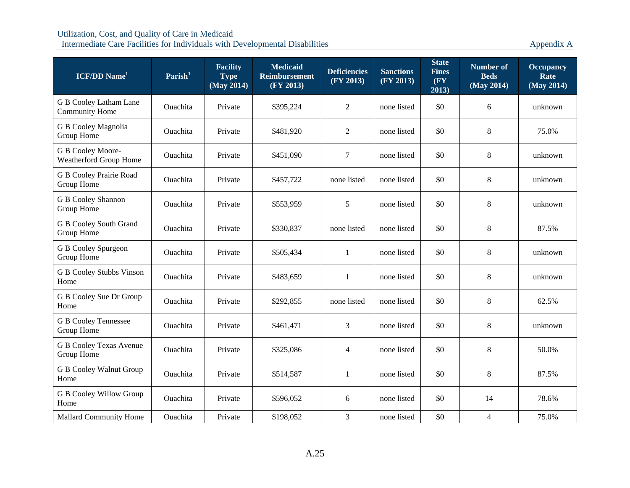| <b>ICF/DD</b> Name <sup>1</sup>                 | Parish <sup>1</sup> | <b>Facility</b><br><b>Type</b><br>(May 2014) | <b>Medicaid</b><br><b>Reimbursement</b><br>(FY 2013) | <b>Deficiencies</b><br>(FY 2013) | <b>Sanctions</b><br>(FY 2013) | <b>State</b><br><b>Fines</b><br>$(\mathbf{F}\mathbf{Y})$<br>2013) | <b>Number of</b><br><b>Beds</b><br>(May 2014) | <b>Occupancy</b><br>Rate<br>(May 2014) |
|-------------------------------------------------|---------------------|----------------------------------------------|------------------------------------------------------|----------------------------------|-------------------------------|-------------------------------------------------------------------|-----------------------------------------------|----------------------------------------|
| G B Cooley Latham Lane<br><b>Community Home</b> | <b>Ouachita</b>     | Private                                      | \$395,224                                            | $\overline{2}$                   | none listed                   | \$0                                                               | 6                                             | unknown                                |
| G B Cooley Magnolia<br>Group Home               | <b>Ouachita</b>     | Private                                      | \$481,920                                            | 2                                | none listed                   | \$0                                                               | 8                                             | 75.0%                                  |
| G B Cooley Moore-<br>Weatherford Group Home     | <b>Ouachita</b>     | Private                                      | \$451,090                                            | $\tau$                           | none listed                   | \$0                                                               | 8                                             | unknown                                |
| G B Cooley Prairie Road<br>Group Home           | Ouachita            | Private                                      | \$457,722                                            | none listed                      | none listed                   | \$0                                                               | 8                                             | unknown                                |
| G B Cooley Shannon<br>Group Home                | Ouachita            | Private                                      | \$553,959                                            | 5                                | none listed                   | \$0                                                               | 8                                             | unknown                                |
| <b>G B Cooley South Grand</b><br>Group Home     | Ouachita            | Private                                      | \$330,837                                            | none listed                      | none listed                   | \$0                                                               | $8\,$                                         | 87.5%                                  |
| G B Cooley Spurgeon<br>Group Home               | Ouachita            | Private                                      | \$505,434                                            | 1                                | none listed                   | \$0                                                               | 8                                             | unknown                                |
| <b>G B Cooley Stubbs Vinson</b><br>Home         | Ouachita            | Private                                      | \$483,659                                            | 1                                | none listed                   | \$0                                                               | 8                                             | unknown                                |
| G B Cooley Sue Dr Group<br>Home                 | <b>Ouachita</b>     | Private                                      | \$292,855                                            | none listed                      | none listed                   | \$0                                                               | 8                                             | 62.5%                                  |
| <b>G B Cooley Tennessee</b><br>Group Home       | Ouachita            | Private                                      | \$461,471                                            | 3                                | none listed                   | \$0                                                               | 8                                             | unknown                                |
| G B Cooley Texas Avenue<br>Group Home           | Ouachita            | Private                                      | \$325,086                                            | $\overline{4}$                   | none listed                   | \$0                                                               | 8                                             | 50.0%                                  |
| <b>G B Cooley Walnut Group</b><br>Home          | <b>Ouachita</b>     | Private                                      | \$514,587                                            | $\mathbf{1}$                     | none listed                   | \$0                                                               | 8                                             | 87.5%                                  |
| <b>G B Cooley Willow Group</b><br>Home          | Ouachita            | Private                                      | \$596,052                                            | 6                                | none listed                   | \$0                                                               | 14                                            | 78.6%                                  |
| <b>Mallard Community Home</b>                   | Ouachita            | Private                                      | \$198,052                                            | 3                                | none listed                   | \$0                                                               | $\overline{4}$                                | 75.0%                                  |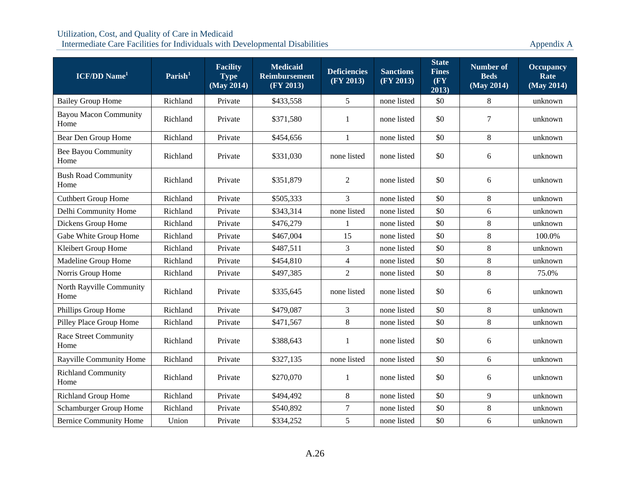| <b>ICF/DD</b> Name <sup>1</sup>      | Parish <sup>1</sup> | <b>Facility</b><br><b>Type</b><br>(May 2014) | <b>Medicaid</b><br><b>Reimbursement</b><br>(FY 2013) | <b>Deficiencies</b><br>(FY 2013) | <b>Sanctions</b><br>(FY 2013) | <b>State</b><br><b>Fines</b><br>(FY)<br>2013) | Number of<br><b>Beds</b><br>(May 2014) | <b>Occupancy</b><br>Rate<br>(May 2014) |
|--------------------------------------|---------------------|----------------------------------------------|------------------------------------------------------|----------------------------------|-------------------------------|-----------------------------------------------|----------------------------------------|----------------------------------------|
| <b>Bailey Group Home</b>             | Richland            | Private                                      | \$433,558                                            | 5                                | none listed                   | \$0                                           | 8                                      | unknown                                |
| <b>Bayou Macon Community</b><br>Home | Richland            | Private                                      | \$371,580                                            | 1                                | none listed                   | \$0                                           | $\boldsymbol{7}$                       | unknown                                |
| Bear Den Group Home                  | Richland            | Private                                      | \$454,656                                            | $\mathbf{1}$                     | none listed                   | \$0                                           | 8                                      | unknown                                |
| <b>Bee Bayou Community</b><br>Home   | Richland            | Private                                      | \$331,030                                            | none listed                      | none listed                   | \$0                                           | $\sqrt{6}$                             | unknown                                |
| <b>Bush Road Community</b><br>Home   | Richland            | Private                                      | \$351,879                                            | $\overline{2}$                   | none listed                   | \$0                                           | 6                                      | unknown                                |
| <b>Cuthbert Group Home</b>           | Richland            | Private                                      | \$505,333                                            | $\overline{3}$                   | none listed                   | \$0                                           | 8                                      | unknown                                |
| Delhi Community Home                 | Richland            | Private                                      | \$343,314                                            | none listed                      | none listed                   | \$0                                           | 6                                      | unknown                                |
| Dickens Group Home                   | Richland            | Private                                      | \$476,279                                            | $\mathbf{1}$                     | none listed                   | \$0                                           | 8                                      | unknown                                |
| Gabe White Group Home                | Richland            | Private                                      | \$467,004                                            | 15                               | none listed                   | \$0                                           | $8\,$                                  | 100.0%                                 |
| Kleibert Group Home                  | Richland            | Private                                      | \$487,511                                            | $\overline{3}$                   | none listed                   | \$0                                           | 8                                      | unknown                                |
| Madeline Group Home                  | Richland            | Private                                      | \$454,810                                            | $\overline{4}$                   | none listed                   | \$0                                           | $\,8\,$                                | unknown                                |
| Norris Group Home                    | Richland            | Private                                      | \$497,385                                            | $\overline{2}$                   | none listed                   | \$0                                           | 8                                      | 75.0%                                  |
| North Rayville Community<br>Home     | Richland            | Private                                      | \$335,645                                            | none listed                      | none listed                   | \$0                                           | 6                                      | unknown                                |
| Phillips Group Home                  | Richland            | Private                                      | \$479,087                                            | $\overline{3}$                   | none listed                   | \$0                                           | $8\,$                                  | unknown                                |
| Pilley Place Group Home              | Richland            | Private                                      | \$471,567                                            | 8                                | none listed                   | \$0                                           | $\,8\,$                                | unknown                                |
| Race Street Community<br>Home        | Richland            | Private                                      | \$388,643                                            | 1                                | none listed                   | \$0                                           | 6                                      | unknown                                |
| Rayville Community Home              | Richland            | Private                                      | \$327,135                                            | none listed                      | none listed                   | \$0                                           | 6                                      | unknown                                |
| <b>Richland Community</b><br>Home    | Richland            | Private                                      | \$270,070                                            | 1                                | none listed                   | \$0                                           | 6                                      | unknown                                |
| <b>Richland Group Home</b>           | Richland            | Private                                      | \$494,492                                            | $8\,$                            | none listed                   | \$0                                           | 9                                      | unknown                                |
| Schamburger Group Home               | Richland            | Private                                      | \$540,892                                            | $\overline{7}$                   | none listed                   | \$0                                           | $\,8\,$                                | unknown                                |
| <b>Bernice Community Home</b>        | Union               | Private                                      | \$334,252                                            | 5                                | none listed                   | \$0                                           | $\sqrt{6}$                             | unknown                                |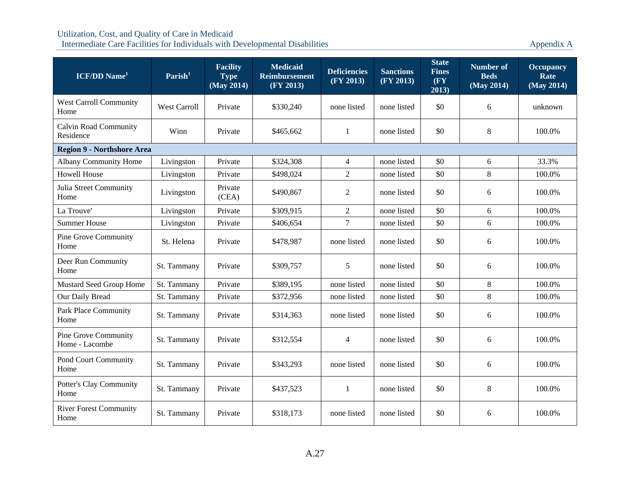| <b>ICF/DD</b> Name <sup>1</sup>               | $\mathrm{Parish}^1$ | <b>Facility</b><br><b>Type</b><br>(May 2014) | <b>Medicaid</b><br><b>Reimbursement</b><br>(FY 2013) | <b>Deficiencies</b><br>(FY 2013) | <b>Sanctions</b><br>(FY 2013) | <b>State</b><br><b>Fines</b><br>(FY)<br>2013) | <b>Number of</b><br><b>Beds</b><br>(May 2014) | <b>Occupancy</b><br>Rate<br>(May 2014) |
|-----------------------------------------------|---------------------|----------------------------------------------|------------------------------------------------------|----------------------------------|-------------------------------|-----------------------------------------------|-----------------------------------------------|----------------------------------------|
| <b>West Carroll Community</b><br>Home         | <b>West Carroll</b> | Private                                      | \$330,240                                            | none listed                      | none listed                   | \$0                                           | 6                                             | unknown                                |
| <b>Calvin Road Community</b><br>Residence     | Winn                | Private                                      | \$465,662                                            | 1                                | none listed                   | \$0                                           | 8                                             | 100.0%                                 |
| <b>Region 9 - Northshore Area</b>             |                     |                                              |                                                      |                                  |                               |                                               |                                               |                                        |
| <b>Albany Community Home</b>                  | Livingston          | Private                                      | \$324,308                                            | $\overline{4}$                   | none listed                   | \$0                                           | 6                                             | 33.3%                                  |
| <b>Howell House</b>                           | Livingston          | Private                                      | \$498,024                                            | $\overline{2}$                   | none listed                   | \$0                                           | 8                                             | 100.0%                                 |
| Julia Street Community<br>Home                | Livingston          | Private<br>(CEA)                             | \$490,867                                            | 2                                | none listed                   | \$0                                           | 6                                             | 100.0%                                 |
| La Trouve'                                    | Livingston          | Private                                      | \$309,915                                            | $\mathbf{2}$                     | none listed                   | \$0                                           | 6                                             | 100.0%                                 |
| <b>Summer House</b>                           | Livingston          | Private                                      | \$406,654                                            | $\tau$                           | none listed                   | \$0                                           | 6                                             | 100.0%                                 |
| <b>Pine Grove Community</b><br>Home           | St. Helena          | Private                                      | \$478,987                                            | none listed                      | none listed                   | \$0                                           | 6                                             | 100.0%                                 |
| Deer Run Community<br>Home                    | St. Tammany         | Private                                      | \$309,757                                            | 5                                | none listed                   | \$0                                           | 6                                             | 100.0%                                 |
| Mustard Seed Group Home                       | St. Tammany         | Private                                      | \$389,195                                            | none listed                      | none listed                   | \$0                                           | 8                                             | 100.0%                                 |
| Our Daily Bread                               | St. Tammany         | Private                                      | \$372,956                                            | none listed                      | none listed                   | \$0                                           | 8                                             | 100.0%                                 |
| <b>Park Place Community</b><br>Home           | St. Tammany         | Private                                      | \$314,363                                            | none listed                      | none listed                   | \$0                                           | 6                                             | 100.0%                                 |
| <b>Pine Grove Community</b><br>Home - Lacombe | St. Tammany         | Private                                      | \$312,554                                            | $\overline{4}$                   | none listed                   | \$0                                           | 6                                             | 100.0%                                 |
| Pond Court Community<br>Home                  | St. Tammany         | Private                                      | \$343,293                                            | none listed                      | none listed                   | \$0                                           | 6                                             | 100.0%                                 |
| Potter's Clay Community<br>Home               | St. Tammany         | Private                                      | \$437,523                                            | $\mathbf{1}$                     | none listed                   | \$0                                           | $8\,$                                         | 100.0%                                 |
| <b>River Forest Community</b><br>Home         | St. Tammany         | Private                                      | \$318,173                                            | none listed                      | none listed                   | \$0                                           | 6                                             | 100.0%                                 |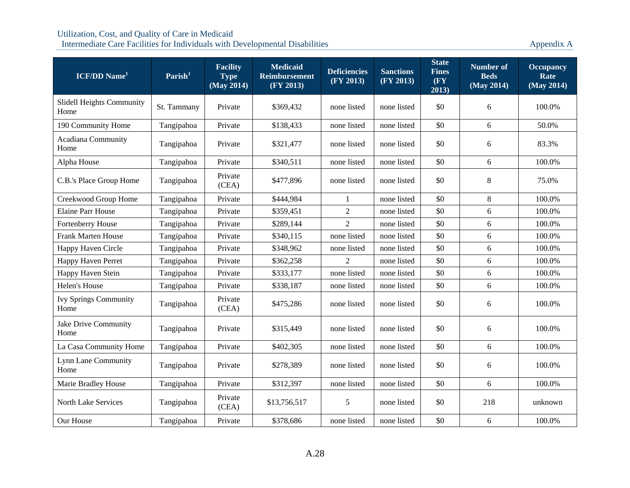| <b>ICF/DD</b> Name <sup>1</sup>      | $\mathrm{Parish}^1$ | <b>Facility</b><br><b>Type</b><br>(May 2014) | <b>Medicaid</b><br><b>Reimbursement</b><br>(FY 2013) | <b>Deficiencies</b><br>(FY 2013) | <b>Sanctions</b><br>(FY 2013) | <b>State</b><br><b>Fines</b><br>(FY)<br>2013) | Number of<br><b>Beds</b><br>(May 2014) | <b>Occupancy</b><br>Rate<br>(May 2014) |
|--------------------------------------|---------------------|----------------------------------------------|------------------------------------------------------|----------------------------------|-------------------------------|-----------------------------------------------|----------------------------------------|----------------------------------------|
| Slidell Heights Community<br>Home    | St. Tammany         | Private                                      | \$369,432                                            | none listed                      | none listed                   | \$0                                           | 6                                      | 100.0%                                 |
| 190 Community Home                   | Tangipahoa          | Private                                      | \$138,433                                            | none listed                      | none listed                   | \$0                                           | 6                                      | 50.0%                                  |
| <b>Acadiana Community</b><br>Home    | Tangipahoa          | Private                                      | \$321,477                                            | none listed                      | none listed                   | \$0                                           | 6                                      | 83.3%                                  |
| Alpha House                          | Tangipahoa          | Private                                      | \$340,511                                            | none listed                      | none listed                   | \$0                                           | 6                                      | 100.0%                                 |
| C.B.'s Place Group Home              | Tangipahoa          | Private<br>(CEA)                             | \$477,896                                            | none listed                      | none listed                   | \$0                                           | $\,8\,$                                | 75.0%                                  |
| Creekwood Group Home                 | Tangipahoa          | Private                                      | \$444,984                                            | 1                                | none listed                   | \$0                                           | $\,8\,$                                | 100.0%                                 |
| <b>Elaine Parr House</b>             | Tangipahoa          | Private                                      | \$359,451                                            | 2                                | none listed                   | \$0                                           | 6                                      | 100.0%                                 |
| Fortenberry House                    | Tangipahoa          | Private                                      | \$289,144                                            | 2                                | none listed                   | \$0                                           | 6                                      | 100.0%                                 |
| <b>Frank Marten House</b>            | Tangipahoa          | Private                                      | \$340,115                                            | none listed                      | none listed                   | \$0                                           | 6                                      | 100.0%                                 |
| Happy Haven Circle                   | Tangipahoa          | Private                                      | \$348,962                                            | none listed                      | none listed                   | \$0                                           | 6                                      | 100.0%                                 |
| Happy Haven Perret                   | Tangipahoa          | Private                                      | \$362,258                                            | 2                                | none listed                   | \$0                                           | 6                                      | 100.0%                                 |
| Happy Haven Stein                    | Tangipahoa          | Private                                      | \$333,177                                            | none listed                      | none listed                   | \$0                                           | 6                                      | 100.0%                                 |
| Helen's House                        | Tangipahoa          | Private                                      | \$338,187                                            | none listed                      | none listed                   | \$0                                           | 6                                      | 100.0%                                 |
| <b>Ivy Springs Community</b><br>Home | Tangipahoa          | Private<br>(CEA)                             | \$475,286                                            | none listed                      | none listed                   | \$0                                           | $\sqrt{6}$                             | 100.0%                                 |
| Jake Drive Community<br>Home         | Tangipahoa          | Private                                      | \$315,449                                            | none listed                      | none listed                   | \$0                                           | 6                                      | 100.0%                                 |
| La Casa Community Home               | Tangipahoa          | Private                                      | \$402,305                                            | none listed                      | none listed                   | \$0                                           | 6                                      | 100.0%                                 |
| Lynn Lane Community<br>Home          | Tangipahoa          | Private                                      | \$278,389                                            | none listed                      | none listed                   | \$0                                           | 6                                      | 100.0%                                 |
| Marie Bradley House                  | Tangipahoa          | Private                                      | \$312,397                                            | none listed                      | none listed                   | \$0                                           | 6                                      | 100.0%                                 |
| <b>North Lake Services</b>           | Tangipahoa          | Private<br>(CEA)                             | \$13,756,517                                         | 5                                | none listed                   | \$0                                           | 218                                    | unknown                                |
| Our House                            | Tangipahoa          | Private                                      | \$378,686                                            | none listed                      | none listed                   | \$0                                           | 6                                      | 100.0%                                 |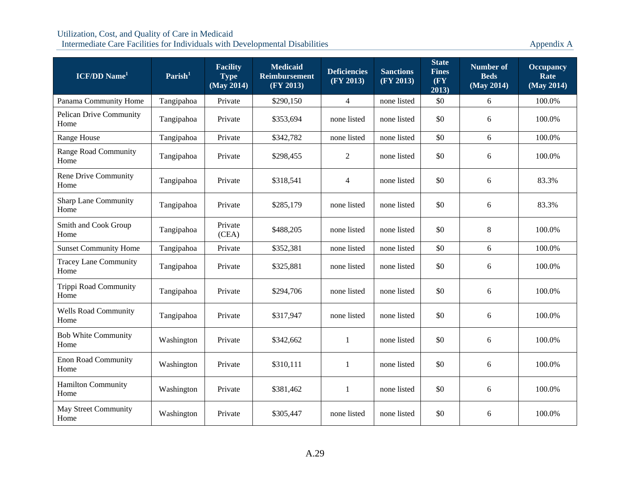| <b>ICF/DD</b> Name <sup>1</sup>        | Parish <sup>1</sup> | <b>Facility</b><br><b>Type</b><br>(May 2014) | <b>Medicaid</b><br><b>Reimbursement</b><br>(FY 2013) | <b>Deficiencies</b><br>(FY 2013) | <b>Sanctions</b><br>(FY 2013) | <b>State</b><br><b>Fines</b><br>(FY)<br>2013) | <b>Number of</b><br><b>Beds</b><br>(May 2014) | <b>Occupancy</b><br>Rate<br>(May 2014) |
|----------------------------------------|---------------------|----------------------------------------------|------------------------------------------------------|----------------------------------|-------------------------------|-----------------------------------------------|-----------------------------------------------|----------------------------------------|
| Panama Community Home                  | Tangipahoa          | Private                                      | \$290,150                                            | $\overline{4}$                   | none listed                   | \$0                                           | 6                                             | 100.0%                                 |
| <b>Pelican Drive Community</b><br>Home | Tangipahoa          | Private                                      | \$353.694                                            | none listed                      | none listed                   | \$0                                           | 6                                             | 100.0%                                 |
| Range House                            | Tangipahoa          | Private                                      | \$342,782                                            | none listed                      | none listed                   | \$0                                           | 6                                             | 100.0%                                 |
| <b>Range Road Community</b><br>Home    | Tangipahoa          | Private                                      | \$298,455                                            | $\overline{2}$                   | none listed                   | \$0                                           | 6                                             | 100.0%                                 |
| Rene Drive Community<br>Home           | Tangipahoa          | Private                                      | \$318,541                                            | 4                                | none listed                   | \$0                                           | 6                                             | 83.3%                                  |
| <b>Sharp Lane Community</b><br>Home    | Tangipahoa          | Private                                      | \$285,179                                            | none listed                      | none listed                   | \$0                                           | 6                                             | 83.3%                                  |
| Smith and Cook Group<br>Home           | Tangipahoa          | Private<br>(CEA)                             | \$488,205                                            | none listed                      | none listed                   | \$0                                           | 8                                             | 100.0%                                 |
| <b>Sunset Community Home</b>           | Tangipahoa          | Private                                      | \$352,381                                            | none listed                      | none listed                   | \$0                                           | 6                                             | 100.0%                                 |
| <b>Tracey Lane Community</b><br>Home   | Tangipahoa          | Private                                      | \$325,881                                            | none listed                      | none listed                   | \$0                                           | 6                                             | 100.0%                                 |
| Trippi Road Community<br>Home          | Tangipahoa          | Private                                      | \$294,706                                            | none listed                      | none listed                   | \$0                                           | 6                                             | 100.0%                                 |
| <b>Wells Road Community</b><br>Home    | Tangipahoa          | Private                                      | \$317,947                                            | none listed                      | none listed                   | \$0                                           | 6                                             | 100.0%                                 |
| <b>Bob White Community</b><br>Home     | Washington          | Private                                      | \$342,662                                            | 1                                | none listed                   | \$0                                           | 6                                             | 100.0%                                 |
| <b>Enon Road Community</b><br>Home     | Washington          | Private                                      | \$310,111                                            | $\mathbf{1}$                     | none listed                   | \$0                                           | 6                                             | 100.0%                                 |
| <b>Hamilton Community</b><br>Home      | Washington          | Private                                      | \$381,462                                            | 1                                | none listed                   | \$0                                           | 6                                             | 100.0%                                 |
| <b>May Street Community</b><br>Home    | Washington          | Private                                      | \$305,447                                            | none listed                      | none listed                   | \$0                                           | 6                                             | 100.0%                                 |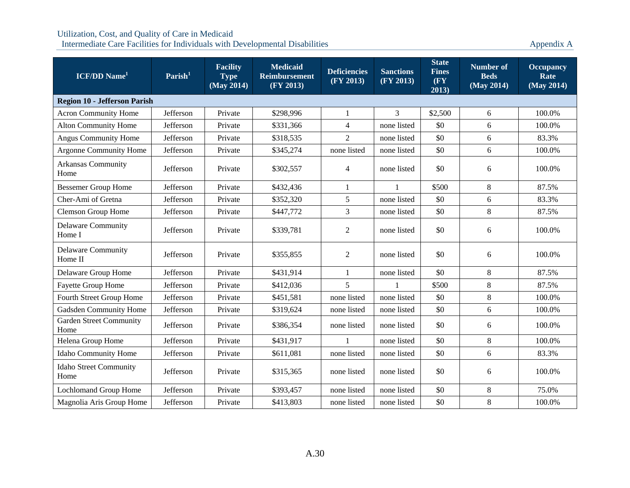| <b>ICF/DD</b> Name <sup>1</sup>        | $\mathrm{Parish}^1$ | <b>Facility</b><br><b>Type</b><br>(May 2014) | <b>Medicaid</b><br>Reimbursement<br>(FY 2013) | <b>Deficiencies</b><br>(FY 2013) | <b>Sanctions</b><br>(FY 2013) | <b>State</b><br><b>Fines</b><br>$(\mathbf{F}\mathbf{Y})$<br>2013) | Number of<br><b>Beds</b><br>(May 2014) | <b>Occupancy</b><br>Rate<br>(May 2014) |  |
|----------------------------------------|---------------------|----------------------------------------------|-----------------------------------------------|----------------------------------|-------------------------------|-------------------------------------------------------------------|----------------------------------------|----------------------------------------|--|
| <b>Region 10 - Jefferson Parish</b>    |                     |                                              |                                               |                                  |                               |                                                                   |                                        |                                        |  |
| <b>Acron Community Home</b>            | Jefferson           | Private                                      | \$298,996                                     | $\mathbf{1}$                     | $\overline{3}$                | \$2,500                                                           | 6                                      | 100.0%                                 |  |
| <b>Alton Community Home</b>            | Jefferson           | Private                                      | \$331,366                                     | $\overline{4}$                   | none listed                   | \$0                                                               | 6                                      | 100.0%                                 |  |
| <b>Angus Community Home</b>            | Jefferson           | Private                                      | \$318,535                                     | 2                                | none listed                   | \$0                                                               | $\sqrt{6}$                             | 83.3%                                  |  |
| <b>Argonne Community Home</b>          | Jefferson           | Private                                      | \$345,274                                     | none listed                      | none listed                   | \$0                                                               | 6                                      | 100.0%                                 |  |
| <b>Arkansas Community</b><br>Home      | Jefferson           | Private                                      | \$302,557                                     | $\overline{4}$                   | none listed                   | \$0                                                               | $\sqrt{6}$                             | 100.0%                                 |  |
| <b>Bessemer Group Home</b>             | Jefferson           | Private                                      | \$432,436                                     | $\mathbf{1}$                     | 1                             | \$500                                                             | $8\,$                                  | 87.5%                                  |  |
| Cher-Ami of Gretna                     | Jefferson           | Private                                      | \$352,320                                     | 5                                | none listed                   | \$0                                                               | 6                                      | 83.3%                                  |  |
| <b>Clemson Group Home</b>              | Jefferson           | Private                                      | \$447,772                                     | 3                                | none listed                   | \$0                                                               | $8\,$                                  | 87.5%                                  |  |
| <b>Delaware Community</b><br>Home I    | Jefferson           | Private                                      | \$339,781                                     | 2                                | none listed                   | \$0                                                               | 6                                      | 100.0%                                 |  |
| <b>Delaware Community</b><br>Home II   | Jefferson           | Private                                      | \$355,855                                     | $\overline{2}$                   | none listed                   | \$0                                                               | 6                                      | 100.0%                                 |  |
| Delaware Group Home                    | Jefferson           | Private                                      | \$431,914                                     | $\mathbf{1}$                     | none listed                   | \$0                                                               | $\,8\,$                                | 87.5%                                  |  |
| <b>Fayette Group Home</b>              | Jefferson           | Private                                      | \$412,036                                     | 5                                | 1                             | \$500                                                             | 8                                      | 87.5%                                  |  |
| Fourth Street Group Home               | Jefferson           | Private                                      | \$451,581                                     | none listed                      | none listed                   | \$0                                                               | $8\,$                                  | 100.0%                                 |  |
| Gadsden Community Home                 | Jefferson           | Private                                      | \$319,624                                     | none listed                      | none listed                   | \$0                                                               | 6                                      | 100.0%                                 |  |
| <b>Garden Street Community</b><br>Home | Jefferson           | Private                                      | \$386,354                                     | none listed                      | none listed                   | \$0                                                               | $\boldsymbol{6}$                       | 100.0%                                 |  |
| Helena Group Home                      | Jefferson           | Private                                      | \$431,917                                     | $\mathbf{1}$                     | none listed                   | \$0                                                               | $\,8\,$                                | 100.0%                                 |  |
| Idaho Community Home                   | Jefferson           | Private                                      | \$611,081                                     | none listed                      | none listed                   | \$0                                                               | 6                                      | 83.3%                                  |  |
| Idaho Street Community<br>Home         | Jefferson           | Private                                      | \$315,365                                     | none listed                      | none listed                   | \$0                                                               | 6                                      | 100.0%                                 |  |
| Lochlomand Group Home                  | Jefferson           | Private                                      | \$393,457                                     | none listed                      | none listed                   | \$0                                                               | 8                                      | 75.0%                                  |  |
| Magnolia Aris Group Home               | Jefferson           | Private                                      | \$413,803                                     | none listed                      | none listed                   | \$0                                                               | $\,8\,$                                | 100.0%                                 |  |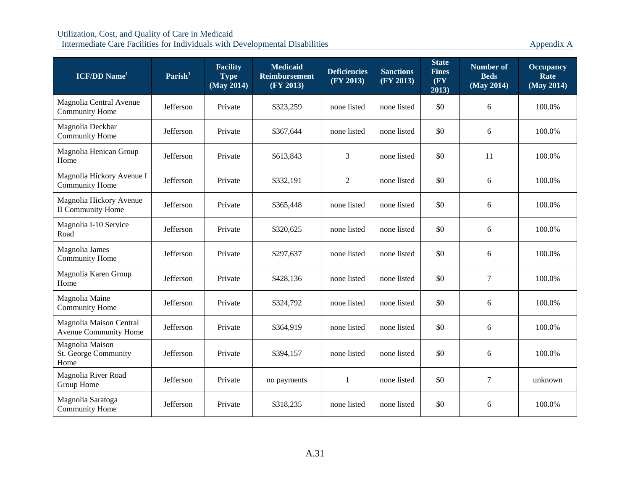| $ICF/DD$ Name <sup>1</sup>                              | $\mathrm{Parish}^1$ | <b>Facility</b><br><b>Type</b><br>(May 2014) | <b>Medicaid</b><br><b>Reimbursement</b><br>(FY 2013) | <b>Deficiencies</b><br>(FY 2013) | <b>Sanctions</b><br>(FY 2013) | <b>State</b><br><b>Fines</b><br>(FY)<br>2013) | <b>Number of</b><br><b>Beds</b><br>(May 2014) | <b>Occupancy</b><br>Rate<br>(May 2014) |
|---------------------------------------------------------|---------------------|----------------------------------------------|------------------------------------------------------|----------------------------------|-------------------------------|-----------------------------------------------|-----------------------------------------------|----------------------------------------|
| Magnolia Central Avenue<br><b>Community Home</b>        | Jefferson           | Private                                      | \$323,259                                            | none listed                      | none listed                   | \$0                                           | 6                                             | 100.0%                                 |
| Magnolia Deckbar<br><b>Community Home</b>               | Jefferson           | Private                                      | \$367,644                                            | none listed                      | none listed                   | \$0                                           | 6                                             | 100.0%                                 |
| Magnolia Henican Group<br>Home                          | Jefferson           | Private                                      | \$613,843                                            | 3                                | none listed                   | \$0                                           | 11                                            | 100.0%                                 |
| Magnolia Hickory Avenue I<br><b>Community Home</b>      | Jefferson           | Private                                      | \$332,191                                            | $\mathfrak{2}$                   | none listed                   | \$0                                           | 6                                             | 100.0%                                 |
| Magnolia Hickory Avenue<br><b>II Community Home</b>     | Jefferson           | Private                                      | \$365,448                                            | none listed                      | none listed                   | \$0                                           | 6                                             | 100.0%                                 |
| Magnolia I-10 Service<br>Road                           | Jefferson           | Private                                      | \$320,625                                            | none listed                      | none listed                   | \$0                                           | 6                                             | 100.0%                                 |
| Magnolia James<br><b>Community Home</b>                 | Jefferson           | Private                                      | \$297,637                                            | none listed                      | none listed                   | \$0                                           | 6                                             | 100.0%                                 |
| Magnolia Karen Group<br>Home                            | Jefferson           | Private                                      | \$428,136                                            | none listed                      | none listed                   | \$0                                           | $\boldsymbol{7}$                              | 100.0%                                 |
| Magnolia Maine<br><b>Community Home</b>                 | Jefferson           | Private                                      | \$324,792                                            | none listed                      | none listed                   | \$0                                           | 6                                             | 100.0%                                 |
| Magnolia Maison Central<br><b>Avenue Community Home</b> | Jefferson           | Private                                      | \$364,919                                            | none listed                      | none listed                   | \$0                                           | 6                                             | 100.0%                                 |
| Magnolia Maison<br>St. George Community<br>Home         | Jefferson           | Private                                      | \$394,157                                            | none listed                      | none listed                   | \$0                                           | 6                                             | 100.0%                                 |
| Magnolia River Road<br>Group Home                       | Jefferson           | Private                                      | no payments                                          | -1                               | none listed                   | \$0                                           | 7                                             | unknown                                |
| Magnolia Saratoga<br><b>Community Home</b>              | Jefferson           | Private                                      | \$318,235                                            | none listed                      | none listed                   | \$0                                           | 6                                             | 100.0%                                 |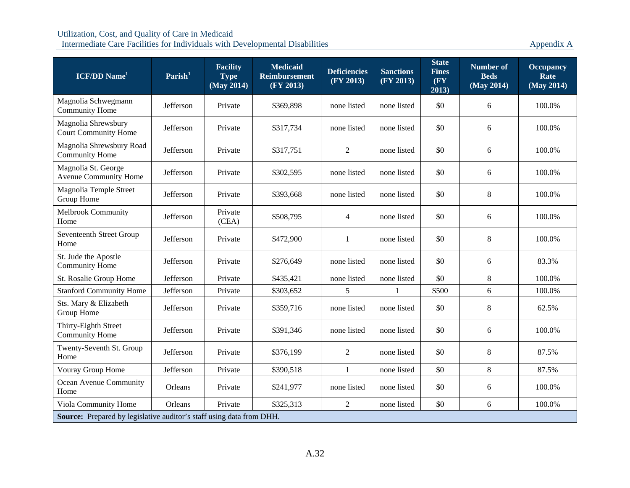| <b>ICF/DD</b> Name <sup>1</sup>                                      | $\mathrm{Parish}^1$ | <b>Facility</b><br><b>Type</b><br>(May 2014) | <b>Medicaid</b><br><b>Reimbursement</b><br>(FY 2013) | <b>Deficiencies</b><br>(FY 2013) | <b>Sanctions</b><br>(FY 2013) | <b>State</b><br><b>Fines</b><br>(FY)<br>2013) | <b>Number of</b><br><b>Beds</b><br>(May 2014) | <b>Occupancy</b><br>Rate<br>(May 2014) |
|----------------------------------------------------------------------|---------------------|----------------------------------------------|------------------------------------------------------|----------------------------------|-------------------------------|-----------------------------------------------|-----------------------------------------------|----------------------------------------|
| Magnolia Schwegmann<br><b>Community Home</b>                         | Jefferson           | Private                                      | \$369,898                                            | none listed                      | none listed                   | \$0                                           | 6                                             | 100.0%                                 |
| Magnolia Shrewsbury<br><b>Court Community Home</b>                   | Jefferson           | Private                                      | \$317,734                                            | none listed                      | none listed                   | \$0                                           | 6                                             | 100.0%                                 |
| Magnolia Shrewsbury Road<br><b>Community Home</b>                    | Jefferson           | Private                                      | \$317,751                                            | $\overline{2}$                   | none listed                   | \$0                                           | 6                                             | 100.0%                                 |
| Magnolia St. George<br>Avenue Community Home                         | Jefferson           | Private                                      | \$302,595                                            | none listed                      | none listed                   | \$0                                           | 6                                             | 100.0%                                 |
| Magnolia Temple Street<br>Group Home                                 | Jefferson           | Private                                      | \$393,668                                            | none listed                      | none listed                   | \$0                                           | $\,8\,$                                       | 100.0%                                 |
| Melbrook Community<br>Home                                           | Jefferson           | Private<br>(CEA)                             | \$508,795                                            | $\overline{4}$                   | none listed                   | \$0                                           | 6                                             | 100.0%                                 |
| Seventeenth Street Group<br>Home                                     | Jefferson           | Private                                      | \$472,900                                            | 1                                | none listed                   | \$0                                           | $8\,$                                         | 100.0%                                 |
| St. Jude the Apostle<br><b>Community Home</b>                        | Jefferson           | Private                                      | \$276,649                                            | none listed                      | none listed                   | \$0                                           | $\sqrt{6}$                                    | 83.3%                                  |
| St. Rosalie Group Home                                               | Jefferson           | Private                                      | \$435,421                                            | none listed                      | none listed                   | \$0                                           | $\,8\,$                                       | 100.0%                                 |
| <b>Stanford Community Home</b>                                       | Jefferson           | Private                                      | \$303,652                                            | 5                                | $\mathbf{1}$                  | \$500                                         | 6                                             | 100.0%                                 |
| Sts. Mary & Elizabeth<br>Group Home                                  | Jefferson           | Private                                      | \$359,716                                            | none listed                      | none listed                   | \$0                                           | $8\,$                                         | 62.5%                                  |
| Thirty-Eighth Street<br><b>Community Home</b>                        | Jefferson           | Private                                      | \$391,346                                            | none listed                      | none listed                   | \$0                                           | 6                                             | 100.0%                                 |
| Twenty-Seventh St. Group<br>Home                                     | Jefferson           | Private                                      | \$376,199                                            | $\overline{2}$                   | none listed                   | \$0                                           | $8\,$                                         | 87.5%                                  |
| Vouray Group Home                                                    | Jefferson           | Private                                      | \$390,518                                            | 1                                | none listed                   | \$0                                           | 8                                             | 87.5%                                  |
| Ocean Avenue Community<br>Home                                       | Orleans             | Private                                      | \$241,977                                            | none listed                      | none listed                   | \$0                                           | 6                                             | 100.0%                                 |
| Viola Community Home                                                 | Orleans             | Private                                      | \$325,313                                            | 2                                | none listed                   | \$0                                           | 6                                             | 100.0%                                 |
| Source: Prepared by legislative auditor's staff using data from DHH. |                     |                                              |                                                      |                                  |                               |                                               |                                               |                                        |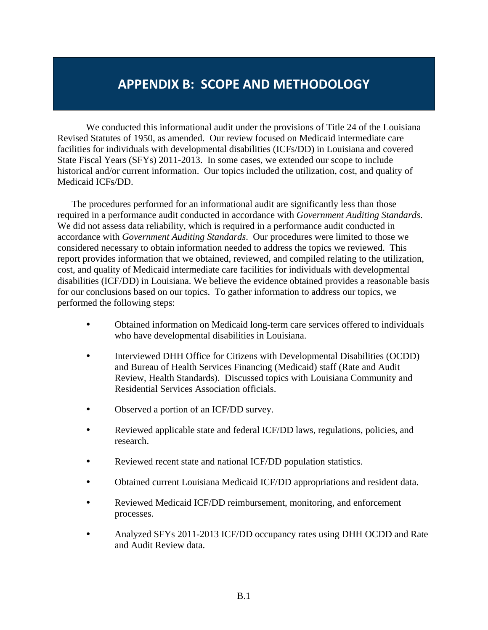# **APPENDIX B: SCOPE AND METHODOLOGY**

We conducted this informational audit under the provisions of Title 24 of the Louisiana Revised Statutes of 1950, as amended. Our review focused on Medicaid intermediate care facilities for individuals with developmental disabilities (ICFs/DD) in Louisiana and covered State Fiscal Years (SFYs) 2011-2013. In some cases, we extended our scope to include historical and/or current information. Our topics included the utilization, cost, and quality of Medicaid ICFs/DD.

The procedures performed for an informational audit are significantly less than those required in a performance audit conducted in accordance with *Government Auditing Standards*. We did not assess data reliability, which is required in a performance audit conducted in accordance with *Government Auditing Standards*. Our procedures were limited to those we considered necessary to obtain information needed to address the topics we reviewed. This report provides information that we obtained, reviewed, and compiled relating to the utilization, cost, and quality of Medicaid intermediate care facilities for individuals with developmental disabilities (ICF/DD) in Louisiana. We believe the evidence obtained provides a reasonable basis for our conclusions based on our topics. To gather information to address our topics, we performed the following steps:

- Obtained information on Medicaid long-term care services offered to individuals who have developmental disabilities in Louisiana.
- Interviewed DHH Office for Citizens with Developmental Disabilities (OCDD) and Bureau of Health Services Financing (Medicaid) staff (Rate and Audit Review, Health Standards). Discussed topics with Louisiana Community and Residential Services Association officials.
- Observed a portion of an ICF/DD survey.
- Reviewed applicable state and federal ICF/DD laws, regulations, policies, and research.
- Reviewed recent state and national ICF/DD population statistics.
- Obtained current Louisiana Medicaid ICF/DD appropriations and resident data.
- Reviewed Medicaid ICF/DD reimbursement, monitoring, and enforcement processes.
- Analyzed SFYs 2011-2013 ICF/DD occupancy rates using DHH OCDD and Rate and Audit Review data.